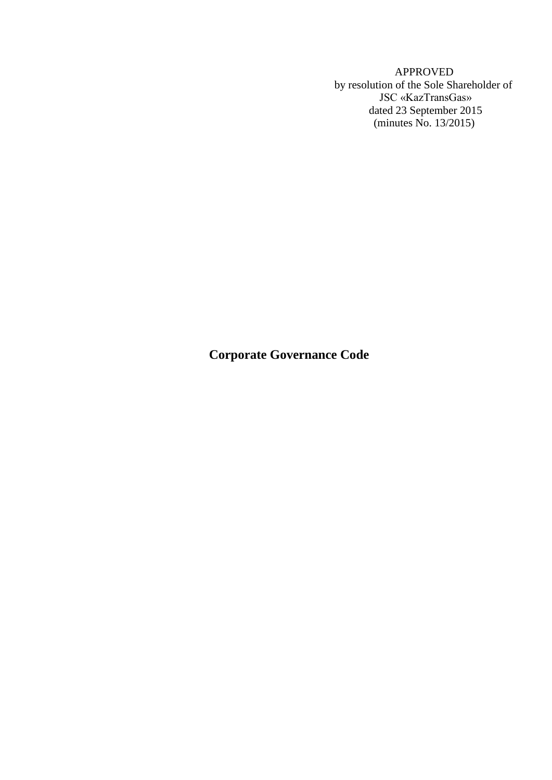APPROVED by resolution of the Sole Shareholder of JSC «KazTransGas» dated 23 September 2015 (minutes No. 13/2015)

**Corporate Governance Code**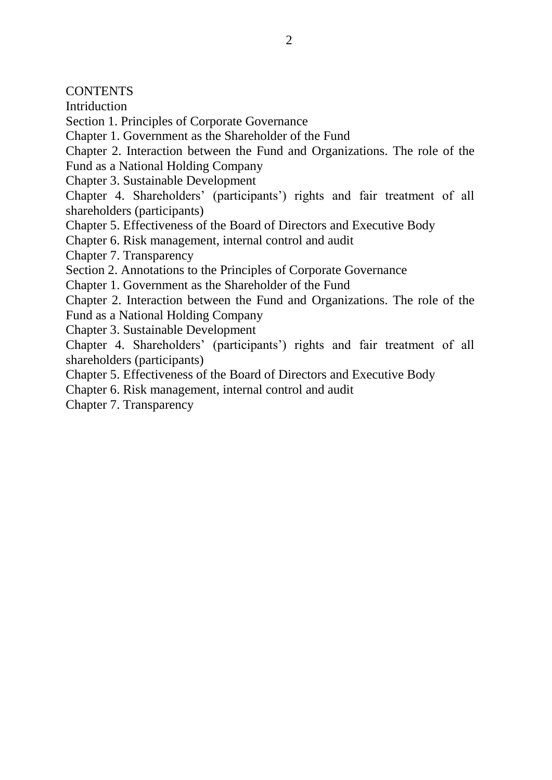**CONTENTS** 

**Intriduction** 

Section 1. Principles of Corporate Governance

Chapter 1. Government as the Shareholder of the Fund

Chapter 2. Interaction between the Fund and Organizations. The role of the Fund as a National Holding Company

Chapter 3. Sustainable Development

Chapter 4. Shareholders' (participants') rights and fair treatment of all shareholders (participants)

Chapter 5. Effectiveness of the Board of Directors and Executive Body

Chapter 6. Risk management, internal control and audit

Chapter 7. Transparency

Section 2. Annotations to the Principles of Corporate Governance

Chapter 1. Government as the Shareholder of the Fund

Chapter 2. Interaction between the Fund and Organizations. The role of the Fund as a National Holding Company

Chapter 3. Sustainable Development

Chapter 4. Shareholders' (participants') rights and fair treatment of all shareholders (participants)

Chapter 5. Effectiveness of the Board of Directors and Executive Body

Chapter 6. Risk management, internal control and audit

Chapter 7. Transparency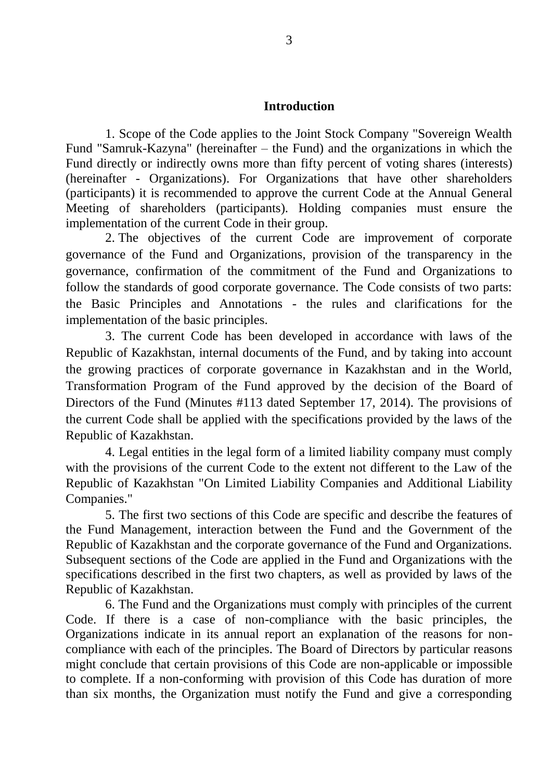### **Introduction**

1. Scope of the Code applies to the Joint Stock Company "Sovereign Wealth Fund "Samruk-Kazyna" (hereinafter – the Fund) and the organizations in which the Fund directly or indirectly owns more than fifty percent of voting shares (interests) (hereinafter - Organizations). For Organizations that have other shareholders (participants) it is recommended to approve the current Code at the Annual General Meeting of shareholders (participants). Holding companies must ensure the implementation of the current Code in their group.

2. The objectives of the current Code are improvement of corporate governance of the Fund and Organizations, provision of the transparency in the governance, confirmation of the commitment of the Fund and Organizations to follow the standards of good corporate governance. The Code consists of two parts: the Basic Principles and Annotations - the rules and clarifications for the implementation of the basic principles.

3. The current Code has been developed in accordance with laws of the Republic of Kazakhstan, internal documents of the Fund, and by taking into account the growing practices of corporate governance in Kazakhstan and in the World, Transformation Program of the Fund approved by the decision of the Board of Directors of the Fund (Minutes #113 dated September 17, 2014). The provisions of the current Code shall be applied with the specifications provided by the laws of the Republic of Kazakhstan.

4. Legal entities in the legal form of a limited liability company must comply with the provisions of the current Code to the extent not different to the Law of the Republic of Kazakhstan "On Limited Liability Companies and Additional Liability Companies."

5. The first two sections of this Code are specific and describe the features of the Fund Management, interaction between the Fund and the Government of the Republic of Kazakhstan and the corporate governance of the Fund and Organizations. Subsequent sections of the Code are applied in the Fund and Organizations with the specifications described in the first two chapters, as well as provided by laws of the Republic of Kazakhstan.

6. The Fund and the Organizations must comply with principles of the current Code. If there is a case of non-compliance with the basic principles, the Organizations indicate in its annual report an explanation of the reasons for noncompliance with each of the principles. The Board of Directors by particular reasons might conclude that certain provisions of this Code are non-applicable or impossible to complete. If a non-conforming with provision of this Code has duration of more than six months, the Organization must notify the Fund and give a corresponding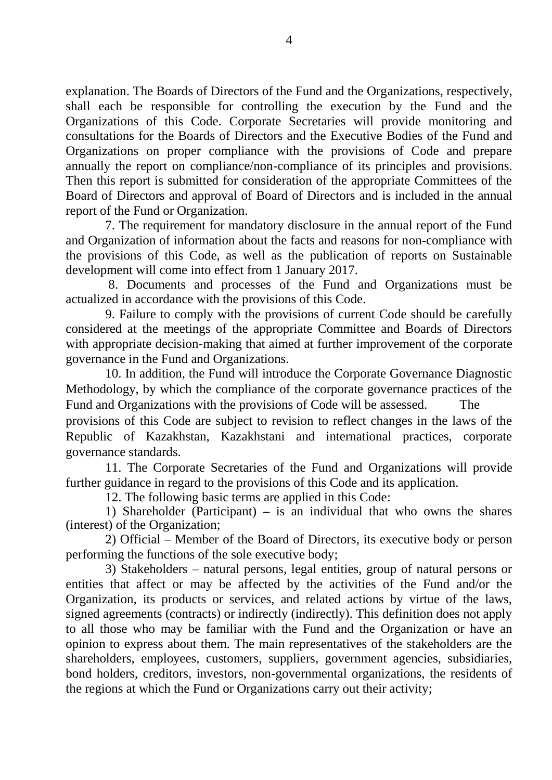explanation. The Boards of Directors of the Fund and the Organizations, respectively, shall each be responsible for controlling the execution by the Fund and the Organizations of this Code. Corporate Secretaries will provide monitoring and consultations for the Boards of Directors and the Executive Bodies of the Fund and Organizations on proper compliance with the provisions of Code and prepare annually the report on compliance/non-compliance of its principles and provisions. Then this report is submitted for consideration of the appropriate Committees of the Board of Directors and approval of Board of Directors and is included in the annual report of the Fund or Organization.

7. The requirement for mandatory disclosure in the annual report of the Fund and Organization of information about the facts and reasons for non-compliance with the provisions of this Code, as well as the publication of reports on Sustainable development will come into effect from 1 January 2017.

8. Documents and processes of the Fund and Organizations must be actualized in accordance with the provisions of this Code.

9. Failure to comply with the provisions of current Code should be carefully considered at the meetings of the appropriate Committee and Boards of Directors with appropriate decision-making that aimed at further improvement of the corporate governance in the Fund and Organizations.

10. In addition, the Fund will introduce the Corporate Governance Diagnostic Methodology, by which the compliance of the corporate governance practices of the Fund and Organizations with the provisions of Code will be assessed. The provisions of this Code are subject to revision to reflect changes in the laws of the Republic of Kazakhstan, Kazakhstani and international practices, corporate governance standards.

11. The Corporate Secretaries of the Fund and Organizations will provide further guidance in regard to the provisions of this Code and its application.

12. The following basic terms are applied in this Code:

1) Shareholder (Participant) **–** is an individual that who owns the shares (interest) of the Organization;

2) Official – Member of the Board of Directors, its executive body or person performing the functions of the sole executive body;

3) Stakeholders – natural persons, legal entities, group of natural persons or entities that affect or may be affected by the activities of the Fund and/or the Organization, its products or services, and related actions by virtue of the laws, signed agreements (contracts) or indirectly (indirectly). This definition does not apply to all those who may be familiar with the Fund and the Organization or have an opinion to express about them. The main representatives of the stakeholders are the shareholders, employees, customers, suppliers, government agencies, subsidiaries, bond holders, creditors, investors, non-governmental organizations, the residents of the regions at which the Fund or Organizations carry out their activity;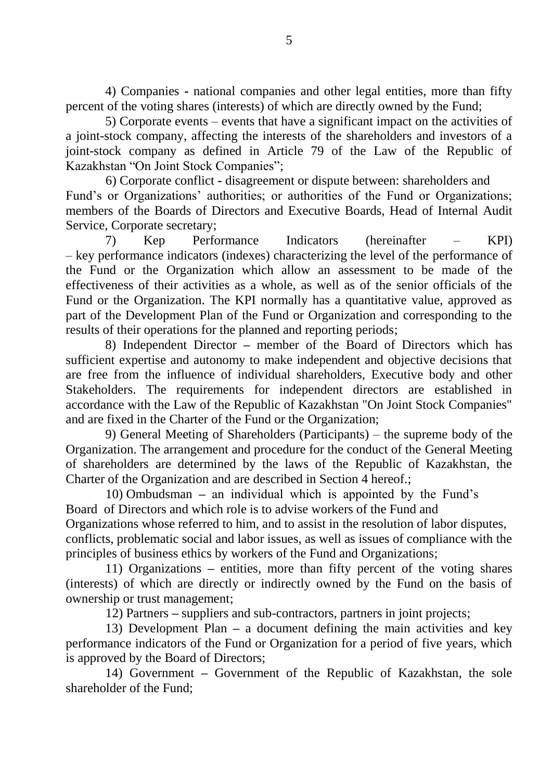4) Companies **-** national companies and other legal entities, more than fifty percent of the voting shares (interests) of which are directly owned by the Fund;

5) Corporate events – events that have a significant impact on the activities of a joint-stock company, affecting the interests of the shareholders and investors of a joint-stock company as defined in Article 79 of the Law of the Republic of Kazakhstan "On Joint Stock Companies";

6) Corporate conflict **-** disagreement or dispute between: shareholders and Fund's or Organizations' authorities; or authorities of the Fund or Organizations; members of the Boards of Directors and Executive Boards, Head of Internal Audit Service, Corporate secretary;

7) Kep Performance Indicators (hereinafter – KPI) – key performance indicators (indexes) characterizing the level of the performance of the Fund or the Organization which allow an assessment to be made of the effectiveness of their activities as a whole, as well as of the senior officials of the Fund or the Organization. The KPI normally has a quantitative value, approved as part of the Development Plan of the Fund or Organization and corresponding to the results of their operations for the planned and reporting periods;

8) Independent Director **–** member of the Board of Directors which has sufficient expertise and autonomy to make independent and objective decisions that are free from the influence of individual shareholders, Executive body and other Stakeholders. The requirements for independent directors are established in accordance with the Law of the Republic of Kazakhstan "On Joint Stock Companies" and are fixed in the Charter of the Fund or the Organization;

9) General Meeting of Shareholders (Participants) – the supreme body of the Organization. The arrangement and procedure for the conduct of the General Meeting of shareholders are determined by the laws of the Republic of Kazakhstan, the Charter of the Organization and are described in Section 4 hereof.;

10) Ombudsman **–** an individual which is appointed by the Fund's Board of Directors and which role is to advise workers of the Fund and Organizations whose referred to him, and to assist in the resolution of labor disputes, conflicts, problematic social and labor issues, as well as issues of compliance with the principles of business ethics by workers of the Fund and Organizations;

11) Organizations **–** entities, more than fifty percent of the voting shares (interests) of which are directly or indirectly owned by the Fund on the basis of ownership or trust management;

12) Partners **–** suppliers and sub-contractors, partners in joint projects;

13) Development Plan **–** a document defining the main activities and key performance indicators of the Fund or Organization for a period of five years, which is approved by the Board of Directors;

14) Government **–** Government of the Republic of Kazakhstan, the sole shareholder of the Fund;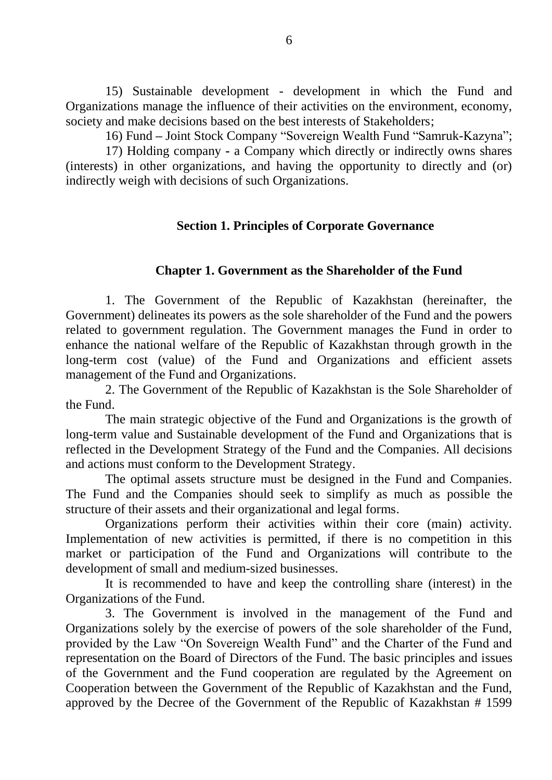15) Sustainable development - development in which the Fund and Organizations manage the influence of their activities on the environment, economy, society and make decisions based on the best interests of Stakeholders;

16) Fund **–** Joint Stock Company "Sovereign Wealth Fund "Samruk-Kazyna";

17) Holding company **-** a Company which directly or indirectly owns shares (interests) in other organizations, and having the opportunity to directly and (or) indirectly weigh with decisions of such Organizations.

### **Section 1. Principles of Corporate Governance**

### **Chapter 1. Government as the Shareholder of the Fund**

1. The Government of the Republic of Kazakhstan (hereinafter, the Government) delineates its powers as the sole shareholder of the Fund and the powers related to government regulation. The Government manages the Fund in order to enhance the national welfare of the Republic of Kazakhstan through growth in the long-term cost (value) of the Fund and Organizations and efficient assets management of the Fund and Organizations.

2. The Government of the Republic of Kazakhstan is the Sole Shareholder of the Fund.

The main strategic objective of the Fund and Organizations is the growth of long-term value and Sustainable development of the Fund and Organizations that is reflected in the Development Strategy of the Fund and the Companies. All decisions and actions must conform to the Development Strategy.

The optimal assets structure must be designed in the Fund and Companies. The Fund and the Companies should seek to simplify as much as possible the structure of their assets and their organizational and legal forms.

Organizations perform their activities within their core (main) activity. Implementation of new activities is permitted, if there is no competition in this market or participation of the Fund and Organizations will contribute to the development of small and medium-sized businesses.

It is recommended to have and keep the controlling share (interest) in the Organizations of the Fund.

3. The Government is involved in the management of the Fund and Organizations solely by the exercise of powers of the sole shareholder of the Fund, provided by the Law "On Sovereign Wealth Fund" and the Charter of the Fund and representation on the Board of Directors of the Fund. The basic principles and issues of the Government and the Fund cooperation are regulated by the Agreement on Cooperation between the Government of the Republic of Kazakhstan and the Fund, approved by the Decree of the Government of the Republic of Kazakhstan # 1599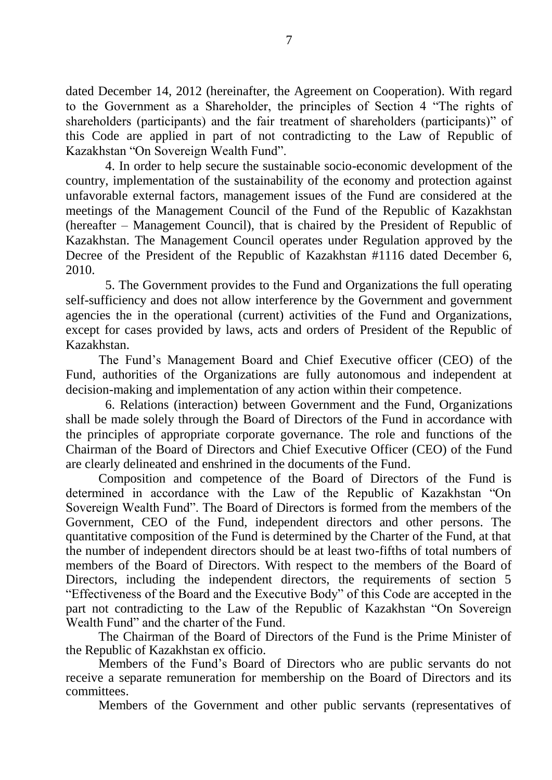dated December 14, 2012 (hereinafter, the Agreement on Cooperation). With regard to the Government as a Shareholder, the principles of Section 4 "The rights of shareholders (participants) and the fair treatment of shareholders (participants)" of this Code are applied in part of not contradicting to the Law of Republic of Kazakhstan "On Sovereign Wealth Fund".

4. In order to help secure the sustainable socio-economic development of the country, implementation of the sustainability of the economy and protection against unfavorable external factors, management issues of the Fund are considered at the meetings of the Management Council of the Fund of the Republic of Kazakhstan (hereafter – Management Council), that is chaired by the President of Republic of Kazakhstan. The Management Council operates under Regulation approved by the Decree of the President of the Republic of Kazakhstan #1116 dated December 6, 2010.

5. The Government provides to the Fund and Organizations the full operating self-sufficiency and does not allow interference by the Government and government agencies the in the operational (current) activities of the Fund and Organizations, except for cases provided by laws, acts and orders of President of the Republic of Kazakhstan.

The Fund's Management Board and Chief Executive officer (CEO) of the Fund, authorities of the Organizations are fully autonomous and independent at decision-making and implementation of any action within their competence.

6. Relations (interaction) between Government and the Fund, Organizations shall be made solely through the Board of Directors of the Fund in accordance with the principles of appropriate corporate governance. The role and functions of the Chairman of the Board of Directors and Chief Executive Officer (CEO) of the Fund are clearly delineated and enshrined in the documents of the Fund.

Composition and competence of the Board of Directors of the Fund is determined in accordance with the Law of the Republic of Kazakhstan "On Sovereign Wealth Fund". The Board of Directors is formed from the members of the Government, CEO of the Fund, independent directors and other persons. The quantitative composition of the Fund is determined by the Charter of the Fund, at that the number of independent directors should be at least two-fifths of total numbers of members of the Board of Directors. With respect to the members of the Board of Directors, including the independent directors, the requirements of section 5 "Effectiveness of the Board and the Executive Body" of this Code are accepted in the part not contradicting to the Law of the Republic of Kazakhstan "On Sovereign Wealth Fund" and the charter of the Fund.

The Chairman of the Board of Directors of the Fund is the Prime Minister of the Republic of Kazakhstan ex officio.

Members of the Fund's Board of Directors who are public servants do not receive a separate remuneration for membership on the Board of Directors and its committees.

Members of the Government and other public servants (representatives of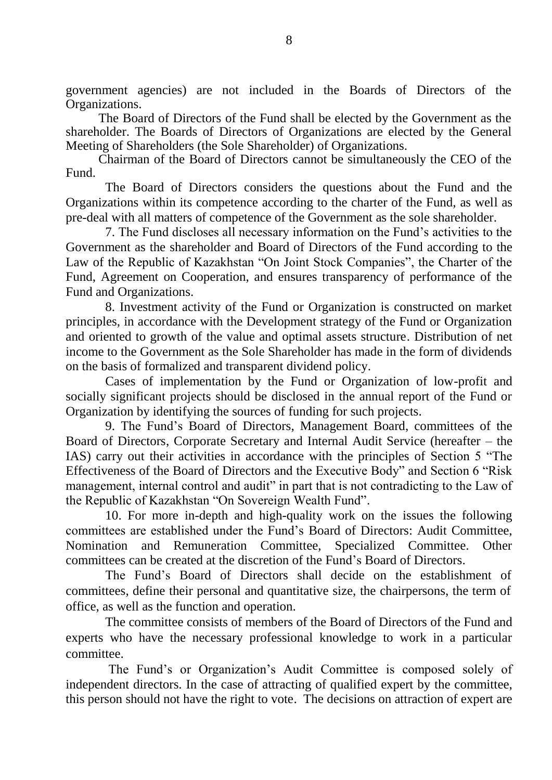government agencies) are not included in the Boards of Directors of the Organizations.

The Board of Directors of the Fund shall be elected by the Government as the shareholder. The Boards of Directors of Organizations are elected by the General Meeting of Shareholders (the Sole Shareholder) of Organizations.

Chairman of the Board of Directors cannot be simultaneously the CEO of the Fund.

The Board of Directors considers the questions about the Fund and the Organizations within its competence according to the charter of the Fund, as well as pre-deal with all matters of competence of the Government as the sole shareholder.

7. The Fund discloses all necessary information on the Fund's activities to the Government as the shareholder and Board of Directors of the Fund according to the Law of the Republic of Kazakhstan "On Joint Stock Companies", the Charter of the Fund, Agreement on Cooperation, and ensures transparency of performance of the Fund and Organizations.

8. Investment activity of the Fund or Organization is constructed on market principles, in accordance with the Development strategy of the Fund or Organization and oriented to growth of the value and optimal assets structure. Distribution of net income to the Government as the Sole Shareholder has made in the form of dividends on the basis of formalized and transparent dividend policy.

Cases of implementation by the Fund or Organization of low-profit and socially significant projects should be disclosed in the annual report of the Fund or Organization by identifying the sources of funding for such projects.

9. The Fund's Board of Directors, Management Board, committees of the Board of Directors, Corporate Secretary and Internal Audit Service (hereafter – the IAS) carry out their activities in accordance with the principles of Section 5 "The Effectiveness of the Board of Directors and the Executive Body" and Section 6 "Risk management, internal control and audit" in part that is not contradicting to the Law of the Republic of Kazakhstan "On Sovereign Wealth Fund".

10. For more in-depth and high-quality work on the issues the following committees are established under the Fund's Board of Directors: Audit Committee, Nomination and Remuneration Committee, Specialized Committee. Other committees can be created at the discretion of the Fund's Board of Directors.

The Fund's Board of Directors shall decide on the establishment of committees, define their personal and quantitative size, the chairpersons, the term of office, as well as the function and operation.

The committee consists of members of the Board of Directors of the Fund and experts who have the necessary professional knowledge to work in a particular committee.

The Fund's or Organization's Audit Committee is composed solely of independent directors. In the case of attracting of qualified expert by the committee, this person should not have the right to vote. The decisions on attraction of expert are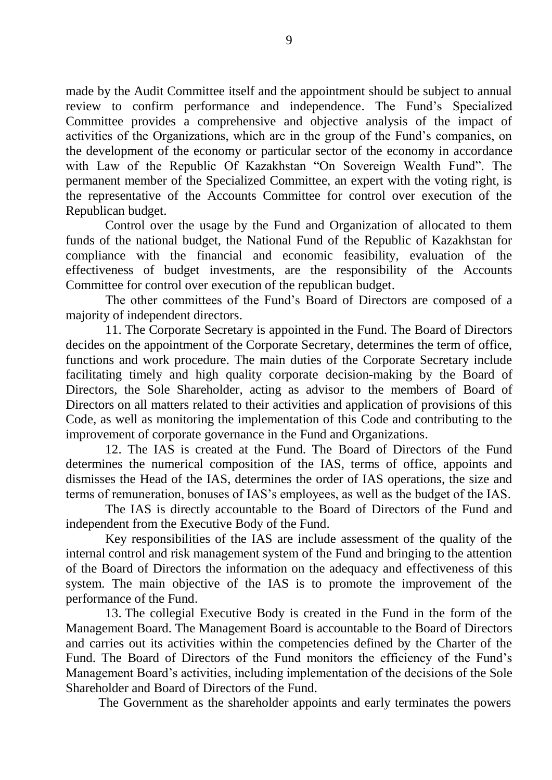made by the Audit Committee itself and the appointment should be subject to annual review to confirm performance and independence. The Fund's Specialized Committee provides a comprehensive and objective analysis of the impact of activities of the Organizations, which are in the group of the Fund's companies, on the development of the economy or particular sector of the economy in accordance with Law of the Republic Of Kazakhstan "On Sovereign Wealth Fund". The permanent member of the Specialized Committee, an expert with the voting right, is the representative of the Accounts Committee for control over execution of the Republican budget.

Control over the usage by the Fund and Organization of allocated to them funds of the national budget, the National Fund of the Republic of Kazakhstan for compliance with the financial and economic feasibility, evaluation of the effectiveness of budget investments, are the responsibility of the Accounts Committee for control over execution of the republican budget.

The other committees of the Fund's Board of Directors are composed of a majority of independent directors.

11. The Corporate Secretary is appointed in the Fund. The Board of Directors decides on the appointment of the Corporate Secretary, determines the term of office, functions and work procedure. The main duties of the Corporate Secretary include facilitating timely and high quality corporate decision-making by the Board of Directors, the Sole Shareholder, acting as advisor to the members of Board of Directors on all matters related to their activities and application of provisions of this Code, as well as monitoring the implementation of this Code and contributing to the improvement of corporate governance in the Fund and Organizations.

12. The IAS is created at the Fund. The Board of Directors of the Fund determines the numerical composition of the IAS, terms of office, appoints and dismisses the Head of the IAS, determines the order of IAS operations, the size and terms of remuneration, bonuses of IAS's employees, as well as the budget of the IAS.

The IAS is directly accountable to the Board of Directors of the Fund and independent from the Executive Body of the Fund.

Key responsibilities of the IAS are include assessment of the quality of the internal control and risk management system of the Fund and bringing to the attention of the Board of Directors the information on the adequacy and effectiveness of this system. The main objective of the IAS is to promote the improvement of the performance of the Fund.

13. The collegial Executive Body is created in the Fund in the form of the Management Board. The Management Board is accountable to the Board of Directors and carries out its activities within the competencies defined by the Charter of the Fund. The Board of Directors of the Fund monitors the efficiency of the Fund's Management Board's activities, including implementation of the decisions of the Sole Shareholder and Board of Directors of the Fund.

The Government as the shareholder appoints and early terminates the powers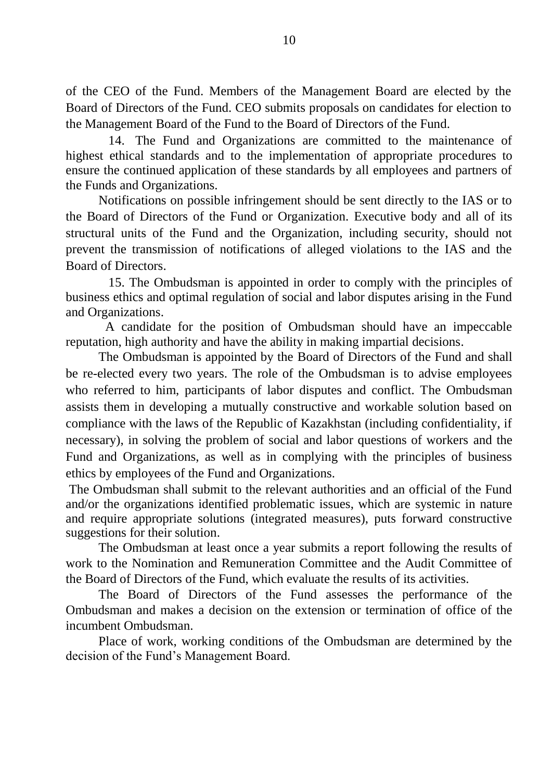of the CEO of the Fund. Members of the Management Board are elected by the Board of Directors of the Fund. CEO submits proposals on candidates for election to the Management Board of the Fund to the Board of Directors of the Fund.

14. The Fund and Organizations are committed to the maintenance of highest ethical standards and to the implementation of appropriate procedures to ensure the continued application of these standards by all employees and partners of the Funds and Organizations.

Notifications on possible infringement should be sent directly to the IAS or to the Board of Directors of the Fund or Organization. Executive body and all of its structural units of the Fund and the Organization, including security, should not prevent the transmission of notifications of alleged violations to the IAS and the Board of Directors.

15. The Ombudsman is appointed in order to comply with the principles of business ethics and optimal regulation of social and labor disputes arising in the Fund and Organizations.

A candidate for the position of Ombudsman should have an impeccable reputation, high authority and have the ability in making impartial decisions.

The Ombudsman is appointed by the Board of Directors of the Fund and shall be re-elected every two years. The role of the Ombudsman is to advise employees who referred to him, participants of labor disputes and conflict. The Ombudsman assists them in developing a mutually constructive and workable solution based on compliance with the laws of the Republic of Kazakhstan (including confidentiality, if necessary), in solving the problem of social and labor questions of workers and the Fund and Organizations, as well as in complying with the principles of business ethics by employees of the Fund and Organizations.

The Ombudsman shall submit to the relevant authorities and an official of the Fund and/or the organizations identified problematic issues, which are systemic in nature and require appropriate solutions (integrated measures), puts forward constructive suggestions for their solution.

The Ombudsman at least once a year submits a report following the results of work to the Nomination and Remuneration Committee and the Audit Committee of the Board of Directors of the Fund, which evaluate the results of its activities.

The Board of Directors of the Fund assesses the performance of the Ombudsman and makes a decision on the extension or termination of office of the incumbent Ombudsman.

Place of work, working conditions of the Ombudsman are determined by the decision of the Fund's Management Board.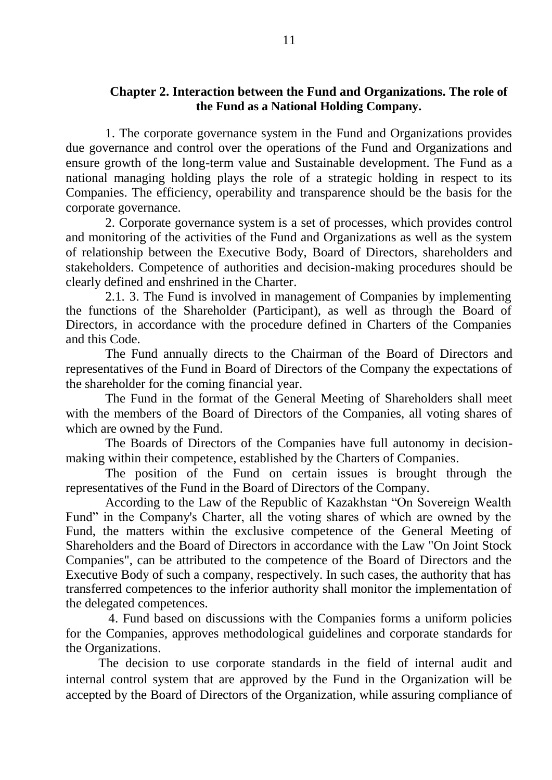## **Chapter 2. Interaction between the Fund and Organizations. The role of the Fund as a National Holding Company.**

1. The corporate governance system in the Fund and Organizations provides due governance and control over the operations of the Fund and Organizations and ensure growth of the long-term value and Sustainable development. The Fund as a national managing holding plays the role of a strategic holding in respect to its Companies. The efficiency, operability and transparence should be the basis for the corporate governance.

2. Corporate governance system is a set of processes, which provides control and monitoring of the activities of the Fund and Organizations as well as the system of relationship between the Executive Body, Board of Directors, shareholders and stakeholders. Competence of authorities and decision-making procedures should be clearly defined and enshrined in the Charter.

2.1. 3. The Fund is involved in management of Companies by implementing the functions of the Shareholder (Participant), as well as through the Board of Directors, in accordance with the procedure defined in Charters of the Companies and this Code.

The Fund annually directs to the Chairman of the Board of Directors and representatives of the Fund in Board of Directors of the Company the expectations of the shareholder for the coming financial year.

The Fund in the format of the General Meeting of Shareholders shall meet with the members of the Board of Directors of the Companies, all voting shares of which are owned by the Fund.

The Boards of Directors of the Companies have full autonomy in decisionmaking within their competence, established by the Charters of Companies.

The position of the Fund on certain issues is brought through the representatives of the Fund in the Board of Directors of the Company.

According to the Law of the Republic of Kazakhstan "On Sovereign Wealth Fund" in the Company's Charter, all the voting shares of which are owned by the Fund, the matters within the exclusive competence of the General Meeting of Shareholders and the Board of Directors in accordance with the Law "On Joint Stock Companies", can be attributed to the competence of the Board of Directors and the Executive Body of such a company, respectively. In such cases, the authority that has transferred competences to the inferior authority shall monitor the implementation of the delegated competences.

4. Fund based on discussions with the Companies forms a uniform policies for the Companies, approves methodological guidelines and corporate standards for the Organizations.

The decision to use corporate standards in the field of internal audit and internal control system that are approved by the Fund in the Organization will be accepted by the Board of Directors of the Organization, while assuring compliance of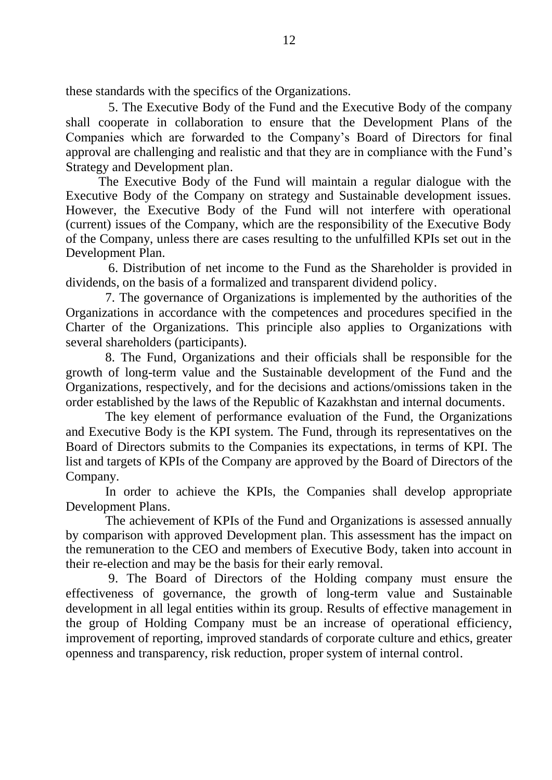these standards with the specifics of the Organizations.

5. The Executive Body of the Fund and the Executive Body of the company shall cooperate in collaboration to ensure that the Development Plans of the Companies which are forwarded to the Company's Board of Directors for final approval are challenging and realistic and that they are in compliance with the Fund's Strategy and Development plan.

The Executive Body of the Fund will maintain a regular dialogue with the Executive Body of the Company on strategy and Sustainable development issues. However, the Executive Body of the Fund will not interfere with operational (current) issues of the Company, which are the responsibility of the Executive Body of the Company, unless there are cases resulting to the unfulfilled KPIs set out in the Development Plan.

6. Distribution of net income to the Fund as the Shareholder is provided in dividends, on the basis of a formalized and transparent dividend policy.

7. The governance of Organizations is implemented by the authorities of the Organizations in accordance with the competences and procedures specified in the Charter of the Organizations. This principle also applies to Organizations with several shareholders (participants).

8. The Fund, Organizations and their officials shall be responsible for the growth of long-term value and the Sustainable development of the Fund and the Organizations, respectively, and for the decisions and actions/omissions taken in the order established by the laws of the Republic of Kazakhstan and internal documents.

The key element of performance evaluation of the Fund, the Organizations and Executive Body is the KPI system. The Fund, through its representatives on the Board of Directors submits to the Companies its expectations, in terms of KPI. The list and targets of KPIs of the Company are approved by the Board of Directors of the Company.

In order to achieve the KPIs, the Companies shall develop appropriate Development Plans.

The achievement of KPIs of the Fund and Organizations is assessed annually by comparison with approved Development plan. This assessment has the impact on the remuneration to the CEO and members of Executive Body, taken into account in their re-election and may be the basis for their early removal.

9. The Board of Directors of the Holding company must ensure the effectiveness of governance, the growth of long-term value and Sustainable development in all legal entities within its group. Results of effective management in the group of Holding Company must be an increase of operational efficiency, improvement of reporting, improved standards of corporate culture and ethics, greater openness and transparency, risk reduction, proper system of internal control.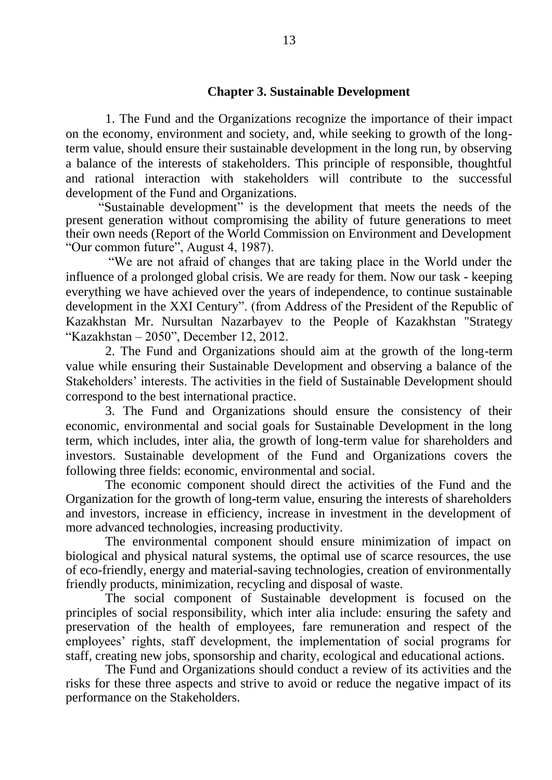### **Chapter 3. Sustainable Development**

1. The Fund and the Organizations recognize the importance of their impact on the economy, environment and society, and, while seeking to growth of the longterm value, should ensure their sustainable development in the long run, by observing a balance of the interests of stakeholders. This principle of responsible, thoughtful and rational interaction with stakeholders will contribute to the successful development of the Fund and Organizations.

"Sustainable development" is the development that meets the needs of the present generation without compromising the ability of future generations to meet their own needs (Report of the World Commission on Environment and Development "Our common future", August 4, 1987).

"We are not afraid of changes that are taking place in the World under the influence of a prolonged global crisis. We are ready for them. Now our task - keeping everything we have achieved over the years of independence, to continue sustainable development in the XXI Century". (from Address of the President of the Republic of Kazakhstan Mr. Nursultan Nazarbayev to the People of Kazakhstan "Strategy "Kazakhstan – 2050", December 12, 2012.

2. The Fund and Organizations should aim at the growth of the long-term value while ensuring their Sustainable Development and observing a balance of the Stakeholders' interests. The activities in the field of Sustainable Development should correspond to the best international practice.

3. The Fund and Organizations should ensure the consistency of their economic, environmental and social goals for Sustainable Development in the long term, which includes, inter alia, the growth of long-term value for shareholders and investors. Sustainable development of the Fund and Organizations covers the following three fields: economic, environmental and social.

The economic component should direct the activities of the Fund and the Organization for the growth of long-term value, ensuring the interests of shareholders and investors, increase in efficiency, increase in investment in the development of more advanced technologies, increasing productivity.

The environmental component should ensure minimization of impact on biological and physical natural systems, the optimal use of scarce resources, the use of eco-friendly, energy and material-saving technologies, creation of environmentally friendly products, minimization, recycling and disposal of waste.

The social component of Sustainable development is focused on the principles of social responsibility, which inter alia include: ensuring the safety and preservation of the health of employees, fare remuneration and respect of the employees' rights, staff development, the implementation of social programs for staff, creating new jobs, sponsorship and charity, ecological and educational actions.

The Fund and Organizations should conduct a review of its activities and the risks for these three aspects and strive to avoid or reduce the negative impact of its performance on the Stakeholders.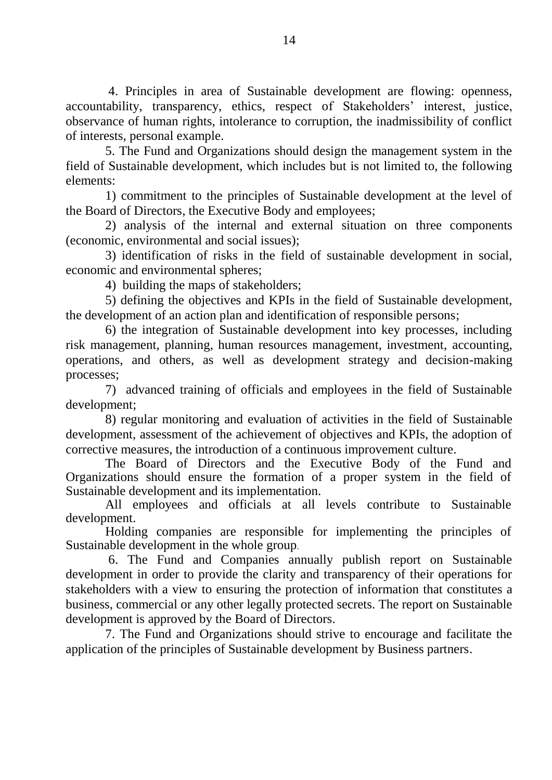4. Principles in area of Sustainable development are flowing: openness, accountability, transparency, ethics, respect of Stakeholders' interest, justice, observance of human rights, intolerance to corruption, the inadmissibility of conflict of interests, personal example.

5. The Fund and Organizations should design the management system in the field of Sustainable development, which includes but is not limited to, the following elements:

1) commitment to the principles of Sustainable development at the level of the Board of Directors, the Executive Body and employees;

2) analysis of the internal and external situation on three components (economic, environmental and social issues);

3) identification of risks in the field of sustainable development in social, economic and environmental spheres;

4) building the maps of stakeholders;

5) defining the objectives and KPIs in the field of Sustainable development, the development of an action plan and identification of responsible persons;

6) the integration of Sustainable development into key processes, including risk management, planning, human resources management, investment, accounting, operations, and others, as well as development strategy and decision-making processes;

7) advanced training of officials and employees in the field of Sustainable development;

8) regular monitoring and evaluation of activities in the field of Sustainable development, assessment of the achievement of objectives and KPIs, the adoption of corrective measures, the introduction of a continuous improvement culture.

The Board of Directors and the Executive Body of the Fund and Organizations should ensure the formation of a proper system in the field of Sustainable development and its implementation.

All employees and officials at all levels contribute to Sustainable development.

Holding companies are responsible for implementing the principles of Sustainable development in the whole group.

6. The Fund and Companies annually publish report on Sustainable development in order to provide the clarity and transparency of their operations for stakeholders with a view to ensuring the protection of information that constitutes a business, commercial or any other legally protected secrets. The report on Sustainable development is approved by the Board of Directors.

7. The Fund and Organizations should strive to encourage and facilitate the application of the principles of Sustainable development by Business partners.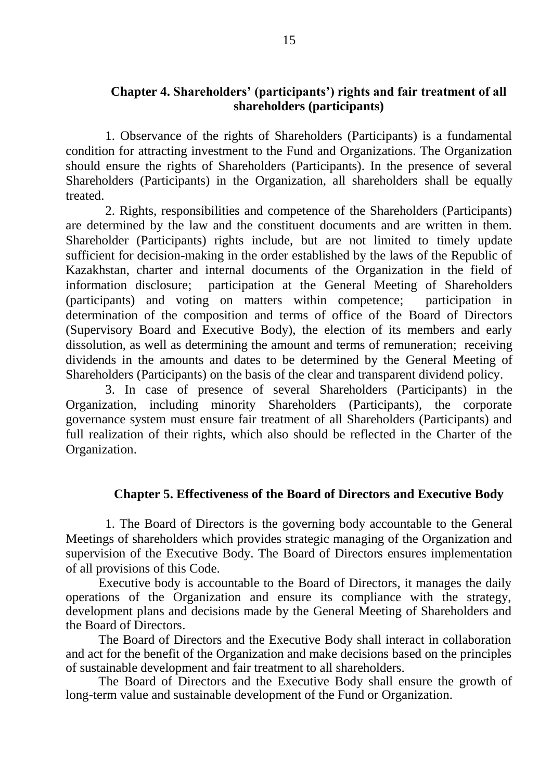## **Chapter 4. Shareholders' (participants') rights and fair treatment of all shareholders (participants)**

1. Observance of the rights of Shareholders (Participants) is a fundamental condition for attracting investment to the Fund and Organizations. The Organization should ensure the rights of Shareholders (Participants). In the presence of several Shareholders (Participants) in the Organization, all shareholders shall be equally treated.

2. Rights, responsibilities and competence of the Shareholders (Participants) are determined by the law and the constituent documents and are written in them. Shareholder (Participants) rights include, but are not limited to timely update sufficient for decision-making in the order established by the laws of the Republic of Kazakhstan, charter and internal documents of the Organization in the field of information disclosure; participation at the General Meeting of Shareholders (participants) and voting on matters within competence; participation in determination of the composition and terms of office of the Board of Directors (Supervisory Board and Executive Body), the election of its members and early dissolution, as well as determining the amount and terms of remuneration; receiving dividends in the amounts and dates to be determined by the General Meeting of Shareholders (Participants) on the basis of the clear and transparent dividend policy.

3. In case of presence of several Shareholders (Participants) in the Organization, including minority Shareholders (Participants), the corporate governance system must ensure fair treatment of all Shareholders (Participants) and full realization of their rights, which also should be reflected in the Charter of the Organization.

# **Chapter 5. Effectiveness of the Board of Directors and Executive Body**

1. The Board of Directors is the governing body accountable to the General Meetings of shareholders which provides strategic managing of the Organization and supervision of the Executive Body. The Board of Directors ensures implementation of all provisions of this Code.

Executive body is accountable to the Board of Directors, it manages the daily operations of the Organization and ensure its compliance with the strategy, development plans and decisions made by the General Meeting of Shareholders and the Board of Directors.

The Board of Directors and the Executive Body shall interact in collaboration and act for the benefit of the Organization and make decisions based on the principles of sustainable development and fair treatment to all shareholders.

The Board of Directors and the Executive Body shall ensure the growth of long-term value and sustainable development of the Fund or Organization.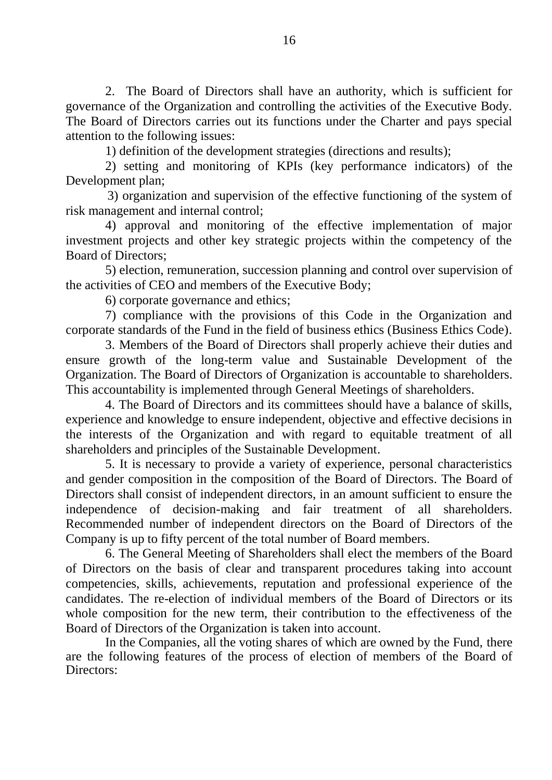2. The Board of Directors shall have an authority, which is sufficient for governance of the Organization and controlling the activities of the Executive Body. The Board of Directors carries out its functions under the Charter and pays special attention to the following issues:

1) definition of the development strategies (directions and results);

2) setting and monitoring of KPIs (key performance indicators) of the Development plan;

3) organization and supervision of the effective functioning of the system of risk management and internal control;

4) approval and monitoring of the effective implementation of major investment projects and other key strategic projects within the competency of the Board of Directors;

5) election, remuneration, succession planning and control over supervision of the activities of CEO and members of the Executive Body;

6) corporate governance and ethics;

7) compliance with the provisions of this Code in the Organization and corporate standards of the Fund in the field of business ethics (Business Ethics Code).

3. Members of the Board of Directors shall properly achieve their duties and ensure growth of the long-term value and Sustainable Development of the Organization. The Board of Directors of Organization is accountable to shareholders. This accountability is implemented through General Meetings of shareholders.

4. The Board of Directors and its committees should have a balance of skills, experience and knowledge to ensure independent, objective and effective decisions in the interests of the Organization and with regard to equitable treatment of all shareholders and principles of the Sustainable Development.

5. It is necessary to provide a variety of experience, personal characteristics and gender composition in the composition of the Board of Directors. The Board of Directors shall consist of independent directors, in an amount sufficient to ensure the independence of decision-making and fair treatment of all shareholders. Recommended number of independent directors on the Board of Directors of the Company is up to fifty percent of the total number of Board members.

6. The General Meeting of Shareholders shall elect the members of the Board of Directors on the basis of clear and transparent procedures taking into account competencies, skills, achievements, reputation and professional experience of the candidates. The re-election of individual members of the Board of Directors or its whole composition for the new term, their contribution to the effectiveness of the Board of Directors of the Organization is taken into account.

In the Companies, all the voting shares of which are owned by the Fund, there are the following features of the process of election of members of the Board of Directors: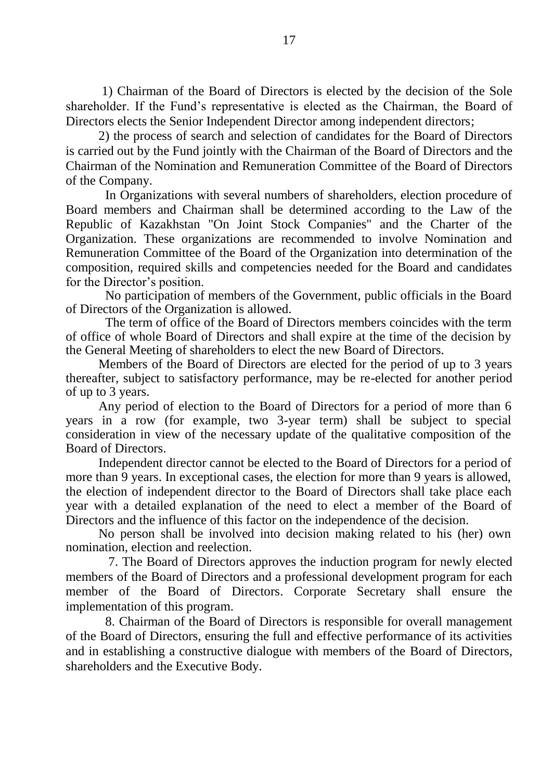1) Chairman of the Board of Directors is elected by the decision of the Sole shareholder. If the Fund's representative is elected as the Chairman, the Board of Directors elects the Senior Independent Director among independent directors;

2) the process of search and selection of candidates for the Board of Directors is carried out by the Fund jointly with the Chairman of the Board of Directors and the Chairman of the Nomination and Remuneration Committee of the Board of Directors of the Company.

In Organizations with several numbers of shareholders, election procedure of Board members and Chairman shall be determined according to the Law of the Republic of Kazakhstan "On Joint Stock Companies" and the Charter of the Organization. These organizations are recommended to involve Nomination and Remuneration Committee of the Board of the Organization into determination of the composition, required skills and competencies needed for the Board and candidates for the Director's position.

No participation of members of the Government, public officials in the Board of Directors of the Organization is allowed.

The term of office of the Board of Directors members coincides with the term of office of whole Board of Directors and shall expire at the time of the decision by the General Meeting of shareholders to elect the new Board of Directors.

Members of the Board of Directors are elected for the period of up to 3 years thereafter, subject to satisfactory performance, may be re-elected for another period of up to 3 years.

Any period of election to the Board of Directors for a period of more than 6 years in a row (for example, two 3-year term) shall be subject to special consideration in view of the necessary update of the qualitative composition of the Board of Directors.

Independent director cannot be elected to the Board of Directors for a period of more than 9 years. In exceptional cases, the election for more than 9 years is allowed, the election of independent director to the Board of Directors shall take place each year with a detailed explanation of the need to elect a member of the Board of Directors and the influence of this factor on the independence of the decision.

No person shall be involved into decision making related to his (her) own nomination, election and reelection.

7. The Board of Directors approves the induction program for newly elected members of the Board of Directors and a professional development program for each member of the Board of Directors. Corporate Secretary shall ensure the implementation of this program.

8. Chairman of the Board of Directors is responsible for overall management of the Board of Directors, ensuring the full and effective performance of its activities and in establishing a constructive dialogue with members of the Board of Directors, shareholders and the Executive Body.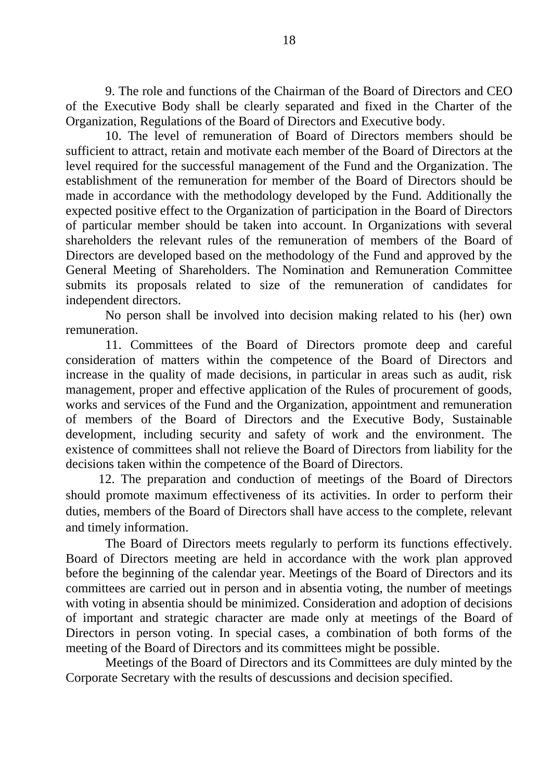9. The role and functions of the Chairman of the Board of Directors and CEO of the Executive Body shall be clearly separated and fixed in the Charter of the Organization, Regulations of the Board of Directors and Executive body.

10. The level of remuneration of Board of Directors members should be sufficient to attract, retain and motivate each member of the Board of Directors at the level required for the successful management of the Fund and the Organization. The establishment of the remuneration for member of the Board of Directors should be made in accordance with the methodology developed by the Fund. Additionally the expected positive effect to the Organization of participation in the Board of Directors of particular member should be taken into account. In Organizations with several shareholders the relevant rules of the remuneration of members of the Board of Directors are developed based on the methodology of the Fund and approved by the General Meeting of Shareholders. The Nomination and Remuneration Committee submits its proposals related to size of the remuneration of candidates for independent directors.

No person shall be involved into decision making related to his (her) own remuneration.

11. Committees of the Board of Directors promote deep and careful consideration of matters within the competence of the Board of Directors and increase in the quality of made decisions, in particular in areas such as audit, risk management, proper and effective application of the Rules of procurement of goods, works and services of the Fund and the Organization, appointment and remuneration of members of the Board of Directors and the Executive Body, Sustainable development, including security and safety of work and the environment. The existence of committees shall not relieve the Board of Directors from liability for the decisions taken within the competence of the Board of Directors.

12. The preparation and conduction of meetings of the Board of Directors should promote maximum effectiveness of its activities. In order to perform their duties, members of the Board of Directors shall have access to the complete, relevant and timely information.

The Board of Directors meets regularly to perform its functions effectively. Board of Directors meeting are held in accordance with the work plan approved before the beginning of the calendar year. Meetings of the Board of Directors and its committees are carried out in person and in absentia voting, the number of meetings with voting in absentia should be minimized. Consideration and adoption of decisions of important and strategic character are made only at meetings of the Board of Directors in person voting. In special cases, a combination of both forms of the meeting of the Board of Directors and its committees might be possible.

Meetings of the Board of Directors and its Committees are duly minted by the Corporate Secretary with the results of descussions and decision specified.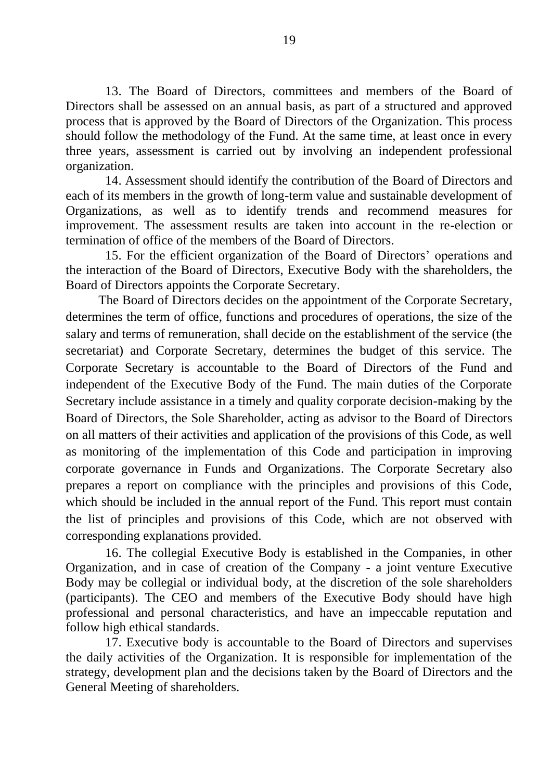13. The Board of Directors, committees and members of the Board of Directors shall be assessed on an annual basis, as part of a structured and approved process that is approved by the Board of Directors of the Organization. This process should follow the methodology of the Fund. At the same time, at least once in every three years, assessment is carried out by involving an independent professional organization.

14. Assessment should identify the contribution of the Board of Directors and each of its members in the growth of long-term value and sustainable development of Organizations, as well as to identify trends and recommend measures for improvement. The assessment results are taken into account in the re-election or termination of office of the members of the Board of Directors.

15. For the efficient organization of the Board of Directors' operations and the interaction of the Board of Directors, Executive Body with the shareholders, the Board of Directors appoints the Corporate Secretary.

The Board of Directors decides on the appointment of the Corporate Secretary, determines the term of office, functions and procedures of operations, the size of the salary and terms of remuneration, shall decide on the establishment of the service (the secretariat) and Corporate Secretary, determines the budget of this service. The Corporate Secretary is accountable to the Board of Directors of the Fund and independent of the Executive Body of the Fund. The main duties of the Corporate Secretary include assistance in a timely and quality corporate decision-making by the Board of Directors, the Sole Shareholder, acting as advisor to the Board of Directors on all matters of their activities and application of the provisions of this Code, as well as monitoring of the implementation of this Code and participation in improving corporate governance in Funds and Organizations. The Corporate Secretary also prepares a report on compliance with the principles and provisions of this Code, which should be included in the annual report of the Fund. This report must contain the list of principles and provisions of this Code, which are not observed with corresponding explanations provided.

16. The collegial Executive Body is established in the Companies, in other Organization, and in case of creation of the Company - a joint venture Executive Body may be collegial or individual body, at the discretion of the sole shareholders (participants). The CEO and members of the Executive Body should have high professional and personal characteristics, and have an impeccable reputation and follow high ethical standards.

17. Executive body is accountable to the Board of Directors and supervises the daily activities of the Organization. It is responsible for implementation of the strategy, development plan and the decisions taken by the Board of Directors and the General Meeting of shareholders.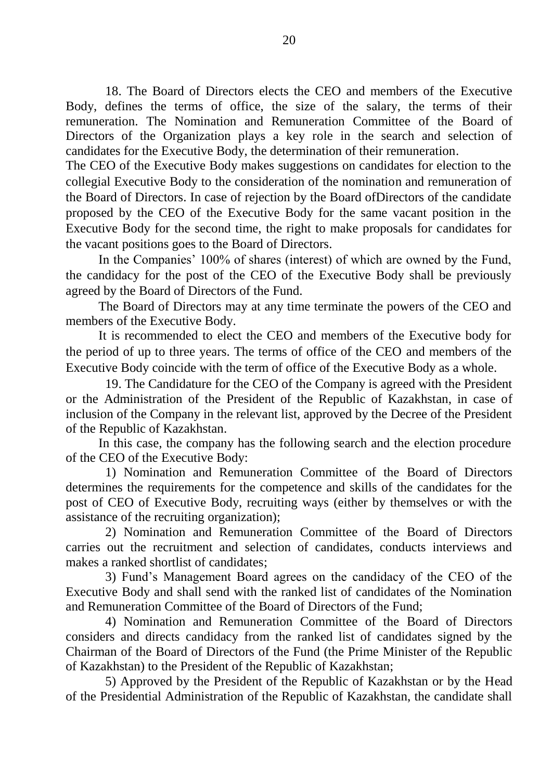18. The Board of Directors elects the CEO and members of the Executive Body, defines the terms of office, the size of the salary, the terms of their remuneration. The Nomination and Remuneration Committee of the Board of Directors of the Organization plays a key role in the search and selection of candidates for the Executive Body, the determination of their remuneration.

The CEO of the Executive Body makes suggestions on candidates for election to the collegial Executive Body to the consideration of the nomination and remuneration of the Board of Directors. In case of rejection by the Board ofDirectors of the candidate proposed by the CEO of the Executive Body for the same vacant position in the Executive Body for the second time, the right to make proposals for candidates for the vacant positions goes to the Board of Directors.

In the Companies' 100% of shares (interest) of which are owned by the Fund, the candidacy for the post of the CEO of the Executive Body shall be previously agreed by the Board of Directors of the Fund.

The Board of Directors may at any time terminate the powers of the CEO and members of the Executive Body.

It is recommended to elect the CEO and members of the Executive body for the period of up to three years. The terms of office of the CEO and members of the Executive Body coincide with the term of office of the Executive Body as a whole.

19. The Candidature for the CEO of the Company is agreed with the President or the Administration of the President of the Republic of Kazakhstan, in case of inclusion of the Company in the relevant list, approved by the Decree of the President of the Republic of Kazakhstan.

In this case, the company has the following search and the election procedure of the CEO of the Executive Body:

1) Nomination and Remuneration Committee of the Board of Directors determines the requirements for the competence and skills of the candidates for the post of CEO of Executive Body, recruiting ways (either by themselves or with the assistance of the recruiting organization);

2) Nomination and Remuneration Committee of the Board of Directors carries out the recruitment and selection of candidates, conducts interviews and makes a ranked shortlist of candidates;

3) Fund's Management Board agrees on the candidacy of the CEO of the Executive Body and shall send with the ranked list of candidates of the Nomination and Remuneration Committee of the Board of Directors of the Fund;

4) Nomination and Remuneration Committee of the Board of Directors considers and directs candidacy from the ranked list of candidates signed by the Chairman of the Board of Directors of the Fund (the Prime Minister of the Republic of Kazakhstan) to the President of the Republic of Kazakhstan;

5) Approved by the President of the Republic of Kazakhstan or by the Head of the Presidential Administration of the Republic of Kazakhstan, the candidate shall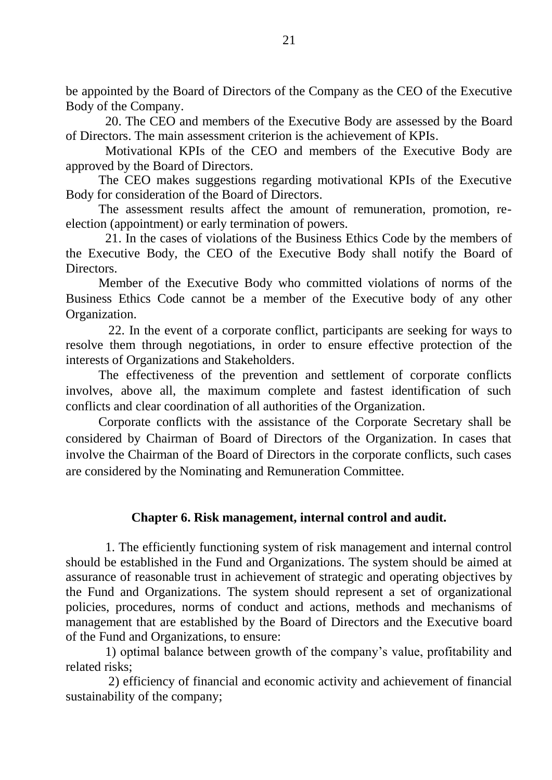be appointed by the Board of Directors of the Company as the CEO of the Executive Body of the Company.

20. The CEO and members of the Executive Body are assessed by the Board of Directors. The main assessment criterion is the achievement of KPIs.

Motivational KPIs of the CEO and members of the Executive Body are approved by the Board of Directors.

The CEO makes suggestions regarding motivational KPIs of the Executive Body for consideration of the Board of Directors.

The assessment results affect the amount of remuneration, promotion, reelection (appointment) or early termination of powers.

21. In the cases of violations of the Business Ethics Code by the members of the Executive Body, the CEO of the Executive Body shall notify the Board of **Directors** 

Member of the Executive Body who committed violations of norms of the Business Ethics Code cannot be a member of the Executive body of any other Organization.

22. In the event of a corporate conflict, participants are seeking for ways to resolve them through negotiations, in order to ensure effective protection of the interests of Organizations and Stakeholders.

The effectiveness of the prevention and settlement of corporate conflicts involves, above all, the maximum complete and fastest identification of such conflicts and clear coordination of all authorities of the Organization.

Corporate conflicts with the assistance of the Corporate Secretary shall be considered by Chairman of Board of Directors of the Organization. In cases that involve the Chairman of the Board of Directors in the corporate conflicts, such cases are considered by the Nominating and Remuneration Committee.

## **Chapter 6. Risk management, internal control and audit.**

1. The efficiently functioning system of risk management and internal control should be established in the Fund and Organizations. The system should be aimed at assurance of reasonable trust in achievement of strategic and operating objectives by the Fund and Organizations. The system should represent a set of organizational policies, procedures, norms of conduct and actions, methods and mechanisms of management that are established by the Board of Directors and the Executive board of the Fund and Organizations, to ensure:

1) optimal balance between growth of the company's value, profitability and related risks;

2) efficiency of financial and economic activity and achievement of financial sustainability of the company;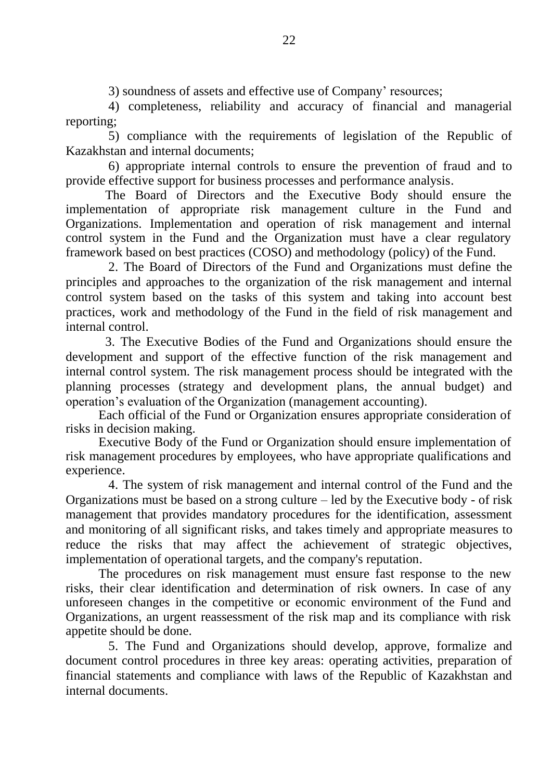3) soundness of assets and effective use of Company' resources;

4) completeness, reliability and accuracy of financial and managerial reporting;

5) compliance with the requirements of legislation of the Republic of Kazakhstan and internal documents;

6) appropriate internal controls to ensure the prevention of fraud and to provide effective support for business processes and performance analysis.

The Board of Directors and the Executive Body should ensure the implementation of appropriate risk management culture in the Fund and Organizations. Implementation and operation of risk management and internal control system in the Fund and the Organization must have a clear regulatory framework based on best practices (COSO) and methodology (policy) of the Fund.

2. The Board of Directors of the Fund and Organizations must define the principles and approaches to the organization of the risk management and internal control system based on the tasks of this system and taking into account best practices, work and methodology of the Fund in the field of risk management and internal control.

3. The Executive Bodies of the Fund and Organizations should ensure the development and support of the effective function of the risk management and internal control system. The risk management process should be integrated with the planning processes (strategy and development plans, the annual budget) and operation's evaluation of the Organization (management accounting).

Each official of the Fund or Organization ensures appropriate consideration of risks in decision making.

Executive Body of the Fund or Organization should ensure implementation of risk management procedures by employees, who have appropriate qualifications and experience.

4. The system of risk management and internal control of the Fund and the Organizations must be based on a strong culture – led by the Executive body - of risk management that provides mandatory procedures for the identification, assessment and monitoring of all significant risks, and takes timely and appropriate measures to reduce the risks that may affect the achievement of strategic objectives, implementation of operational targets, and the company's reputation.

The procedures on risk management must ensure fast response to the new risks, their clear identification and determination of risk owners. In case of any unforeseen changes in the competitive or economic environment of the Fund and Organizations, an urgent reassessment of the risk map and its compliance with risk appetite should be done.

5. The Fund and Organizations should develop, approve, formalize and document control procedures in three key areas: operating activities, preparation of financial statements and compliance with laws of the Republic of Kazakhstan and internal documents.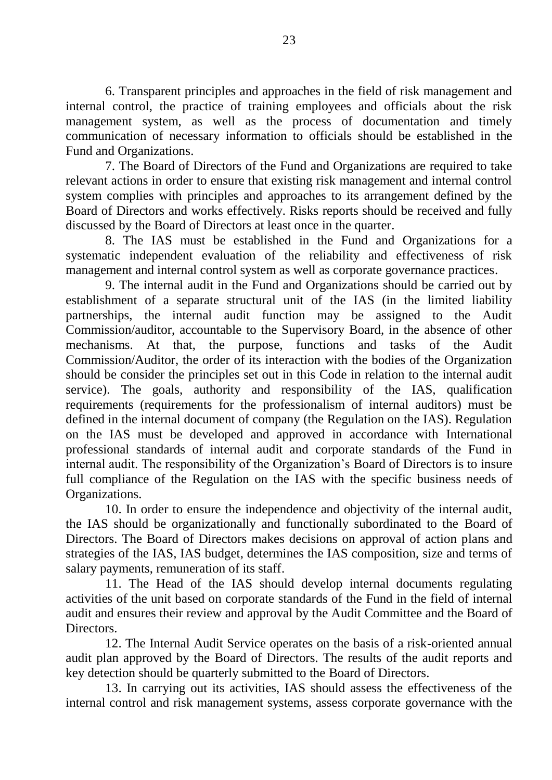6. Transparent principles and approaches in the field of risk management and internal control, the practice of training employees and officials about the risk management system, as well as the process of documentation and timely communication of necessary information to officials should be established in the Fund and Organizations.

7. The Board of Directors of the Fund and Organizations are required to take relevant actions in order to ensure that existing risk management and internal control system complies with principles and approaches to its arrangement defined by the Board of Directors and works effectively. Risks reports should be received and fully discussed by the Board of Directors at least once in the quarter.

8. The IAS must be established in the Fund and Organizations for a systematic independent evaluation of the reliability and effectiveness of risk management and internal control system as well as corporate governance practices.

9. The internal audit in the Fund and Organizations should be carried out by establishment of a separate structural unit of the IAS (in the limited liability partnerships, the internal audit function may be assigned to the Audit Commission/auditor, accountable to the Supervisory Board, in the absence of other mechanisms. At that, the purpose, functions and tasks of the Audit Commission/Auditor, the order of its interaction with the bodies of the Organization should be consider the principles set out in this Code in relation to the internal audit service). The goals, authority and responsibility of the IAS, qualification requirements (requirements for the professionalism of internal auditors) must be defined in the internal document of company (the Regulation on the IAS). Regulation on the IAS must be developed and approved in accordance with International professional standards of internal audit and corporate standards of the Fund in internal audit. The responsibility of the Organization's Board of Directors is to insure full compliance of the Regulation on the IAS with the specific business needs of Organizations.

10. In order to ensure the independence and objectivity of the internal audit, the IAS should be organizationally and functionally subordinated to the Board of Directors. The Board of Directors makes decisions on approval of action plans and strategies of the IAS, IAS budget, determines the IAS composition, size and terms of salary payments, remuneration of its staff.

11. The Head of the IAS should develop internal documents regulating activities of the unit based on corporate standards of the Fund in the field of internal audit and ensures their review and approval by the Audit Committee and the Board of Directors.

12. The Internal Audit Service operates on the basis of a risk-oriented annual audit plan approved by the Board of Directors. The results of the audit reports and key detection should be quarterly submitted to the Board of Directors.

13. In carrying out its activities, IAS should assess the effectiveness of the internal control and risk management systems, assess corporate governance with the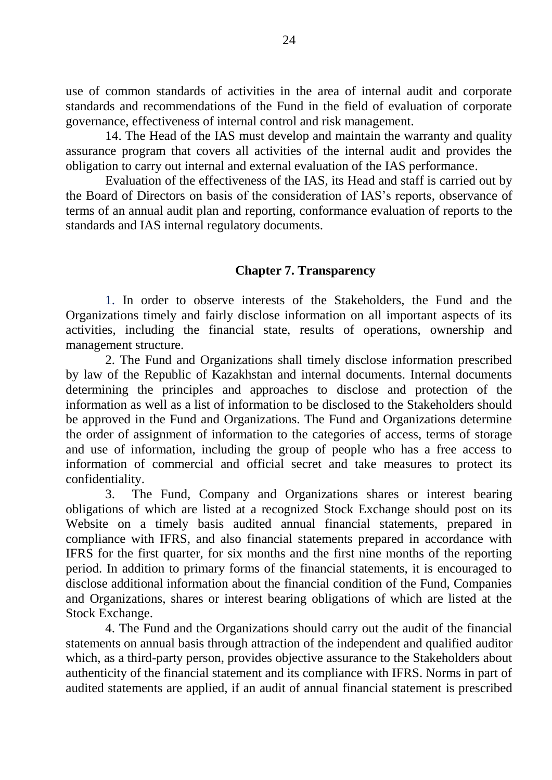use of common standards of activities in the area of internal audit and corporate standards and recommendations of the Fund in the field of evaluation of corporate governance, effectiveness of internal control and risk management.

14. The Head of the IAS must develop and maintain the warranty and quality assurance program that covers all activities of the internal audit and provides the obligation to carry out internal and external evaluation of the IAS performance.

Evaluation of the effectiveness of the IAS, its Head and staff is carried out by the Board of Directors on basis of the consideration of IAS's reports, observance of terms of an annual audit plan and reporting, conformance evaluation of reports to the standards and IAS internal regulatory documents.

### **Chapter 7. Transparency**

1. In order to observe interests of the Stakeholders, the Fund and the Organizations timely and fairly disclose information on all important aspects of its activities, including the financial state, results of operations, ownership and management structure.

2. The Fund and Organizations shall timely disclose information prescribed by law of the Republic of Kazakhstan and internal documents. Internal documents determining the principles and approaches to disclose and protection of the information as well as a list of information to be disclosed to the Stakeholders should be approved in the Fund and Organizations. The Fund and Organizations determine the order of assignment of information to the categories of access, terms of storage and use of information, including the group of people who has a free access to information of commercial and official secret and take measures to protect its confidentiality.

3. The Fund, Company and Organizations shares or interest bearing obligations of which are listed at a recognized Stock Exchange should post on its Website on a timely basis audited annual financial statements, prepared in compliance with IFRS, and also financial statements prepared in accordance with IFRS for the first quarter, for six months and the first nine months of the reporting period. In addition to primary forms of the financial statements, it is encouraged to disclose additional information about the financial condition of the Fund, Companies and Organizations, shares or interest bearing obligations of which are listed at the Stock Exchange.

4. The Fund and the Organizations should carry out the audit of the financial statements on annual basis through attraction of the independent and qualified auditor which, as a third-party person, provides objective assurance to the Stakeholders about authenticity of the financial statement and its compliance with IFRS. Norms in part of audited statements are applied, if an audit of annual financial statement is prescribed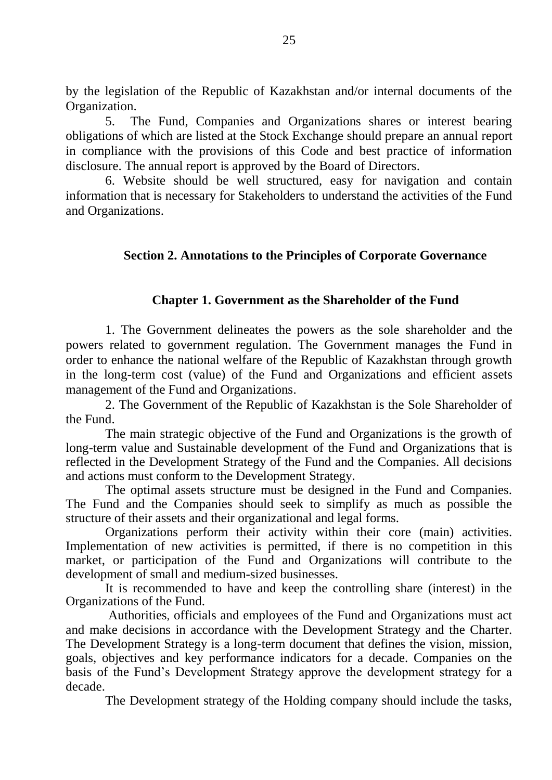by the legislation of the Republic of Kazakhstan and/or internal documents of the Organization.

5. The Fund, Companies and Organizations shares or interest bearing obligations of which are listed at the Stock Exchange should prepare an annual report in compliance with the provisions of this Code and best practice of information disclosure. The annual report is approved by the Board of Directors.

6. Website should be well structured, easy for navigation and contain information that is necessary for Stakeholders to understand the activities of the Fund and Organizations.

## **Section 2. Annotations to the Principles of Corporate Governance**

### **Chapter 1. Government as the Shareholder of the Fund**

1. The Government delineates the powers as the sole shareholder and the powers related to government regulation. The Government manages the Fund in order to enhance the national welfare of the Republic of Kazakhstan through growth in the long-term cost (value) of the Fund and Organizations and efficient assets management of the Fund and Organizations.

2. The Government of the Republic of Kazakhstan is the Sole Shareholder of the Fund.

The main strategic objective of the Fund and Organizations is the growth of long-term value and Sustainable development of the Fund and Organizations that is reflected in the Development Strategy of the Fund and the Companies. All decisions and actions must conform to the Development Strategy.

The optimal assets structure must be designed in the Fund and Companies. The Fund and the Companies should seek to simplify as much as possible the structure of their assets and their organizational and legal forms.

Organizations perform their activity within their core (main) activities. Implementation of new activities is permitted, if there is no competition in this market, or participation of the Fund and Organizations will contribute to the development of small and medium-sized businesses.

It is recommended to have and keep the controlling share (interest) in the Organizations of the Fund.

Authorities, officials and employees of the Fund and Organizations must act and make decisions in accordance with the Development Strategy and the Charter. The Development Strategy is a long-term document that defines the vision, mission, goals, objectives and key performance indicators for a decade. Companies on the basis of the Fund's Development Strategy approve the development strategy for a decade.

The Development strategy of the Holding company should include the tasks,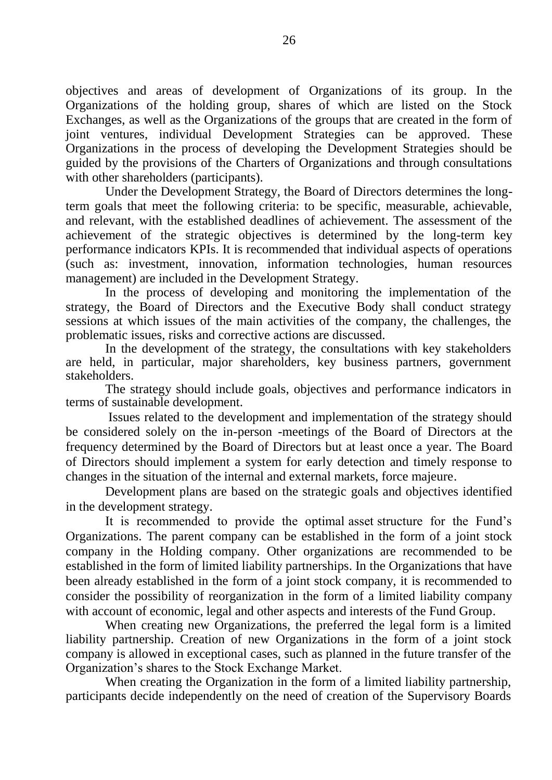objectives and areas of development of Organizations of its group. In the Organizations of the holding group, shares of which are listed on the Stock Exchanges, as well as the Organizations of the groups that are created in the form of joint ventures, individual Development Strategies can be approved. These Organizations in the process of developing the Development Strategies should be guided by the provisions of the Charters of Organizations and through consultations with other shareholders (participants).

Under the Development Strategy, the Board of Directors determines the longterm goals that meet the following criteria: to be specific, measurable, achievable, and relevant, with the established deadlines of achievement. The assessment of the achievement of the strategic objectives is determined by the long-term key performance indicators KPIs. It is recommended that individual aspects of operations (such as: investment, innovation, information technologies, human resources management) are included in the Development Strategy.

In the process of developing and monitoring the implementation of the strategy, the Board of Directors and the Executive Body shall conduct strategy sessions at which issues of the main activities of the company, the challenges, the problematic issues, risks and corrective actions are discussed.

In the development of the strategy, the consultations with key stakeholders are held, in particular, major shareholders, key business partners, government stakeholders.

The strategy should include goals, objectives and performance indicators in terms of sustainable development.

Issues related to the development and implementation of the strategy should be considered solely on the in-person -meetings of the Board of Directors at the frequency determined by the Board of Directors but at least once a year. The Board of Directors should implement a system for early detection and timely response to changes in the situation of the internal and external markets, force majeure.

Development plans are based on the strategic goals and objectives identified in the development strategy.

It is recommended to provide the optimal asset structure for the Fund's Organizations. The parent company can be established in the form of a joint stock company in the Holding company. Other organizations are recommended to be established in the form of limited liability partnerships. In the Organizations that have been already established in the form of a joint stock company, it is recommended to consider the possibility of reorganization in the form of a limited liability company with account of economic, legal and other aspects and interests of the Fund Group.

When creating new Organizations, the preferred the legal form is a limited liability partnership. Creation of new Organizations in the form of a joint stock company is allowed in exceptional cases, such as planned in the future transfer of the Organization's shares to the Stock Exchange Market.

When creating the Organization in the form of a limited liability partnership, participants decide independently on the need of creation of the Supervisory Boards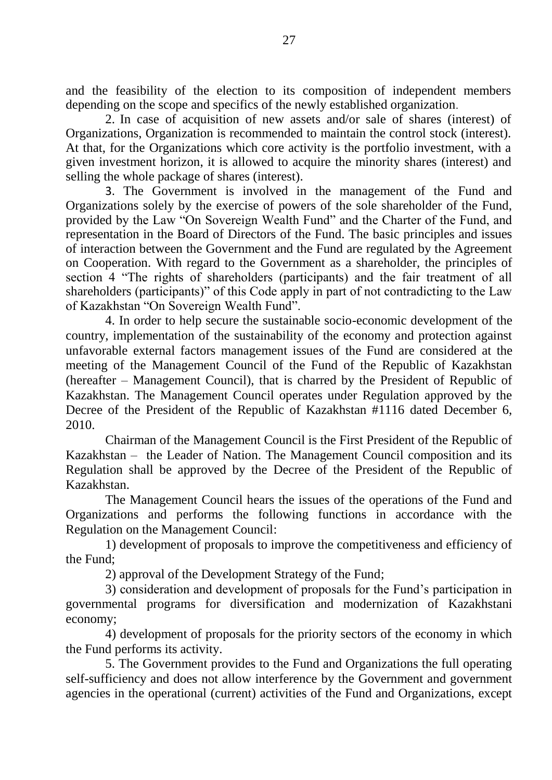and the feasibility of the election to its composition of independent members depending on the scope and specifics of the newly established organization.

2. In case of acquisition of new assets and/or sale of shares (interest) of Organizations, Organization is recommended to maintain the control stock (interest). At that, for the Organizations which core activity is the portfolio investment, with a given investment horizon, it is allowed to acquire the minority shares (interest) and selling the whole package of shares (interest).

3. The Government is involved in the management of the Fund and Organizations solely by the exercise of powers of the sole shareholder of the Fund, provided by the Law "On Sovereign Wealth Fund" and the Charter of the Fund, and representation in the Board of Directors of the Fund. The basic principles and issues of interaction between the Government and the Fund are regulated by the Agreement on Cooperation. With regard to the Government as a shareholder, the principles of section 4 "The rights of shareholders (participants) and the fair treatment of all shareholders (participants)" of this Code apply in part of not contradicting to the Law of Kazakhstan "On Sovereign Wealth Fund".

4. In order to help secure the sustainable socio-economic development of the country, implementation of the sustainability of the economy and protection against unfavorable external factors management issues of the Fund are considered at the meeting of the Management Council of the Fund of the Republic of Kazakhstan (hereafter – Management Council), that is charred by the President of Republic of Kazakhstan. The Management Council operates under Regulation approved by the Decree of the President of the Republic of Kazakhstan #1116 dated December 6, 2010.

Chairman of the Management Council is the First President of the Republic of Kazakhstan – the Leader of Nation. The Management Council composition and its Regulation shall be approved by the Decree of the President of the Republic of Kazakhstan.

The Management Council hears the issues of the operations of the Fund and Organizations and performs the following functions in accordance with the Regulation on the Management Council:

1) development of proposals to improve the competitiveness and efficiency of the Fund;

2) approval of the Development Strategy of the Fund;

3) consideration and development of proposals for the Fund's participation in governmental programs for diversification and modernization of Kazakhstani economy;

4) development of proposals for the priority sectors of the economy in which the Fund performs its activity.

5. The Government provides to the Fund and Organizations the full operating self-sufficiency and does not allow interference by the Government and government agencies in the operational (current) activities of the Fund and Organizations, except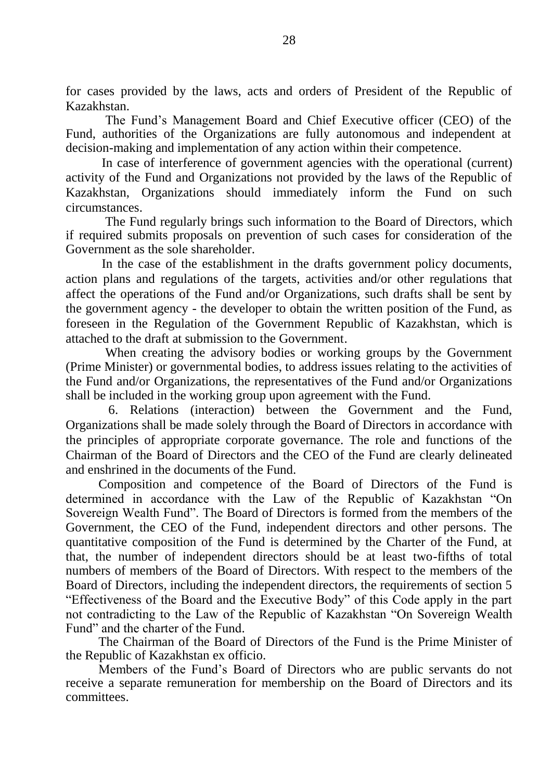for cases provided by the laws, acts and orders of President of the Republic of Kazakhstan.

The Fund's Management Board and Chief Executive officer (CEO) of the Fund, authorities of the Organizations are fully autonomous and independent at decision-making and implementation of any action within their competence.

In case of interference of government agencies with the operational (current) activity of the Fund and Organizations not provided by the laws of the Republic of Kazakhstan, Organizations should immediately inform the Fund on such circumstances.

The Fund regularly brings such information to the Board of Directors, which if required submits proposals on prevention of such cases for consideration of the Government as the sole shareholder.

In the case of the establishment in the drafts government policy documents, action plans and regulations of the targets, activities and/or other regulations that affect the operations of the Fund and/or Organizations, such drafts shall be sent by the government agency - the developer to obtain the written position of the Fund, as foreseen in the Regulation of the Government Republic of Kazakhstan, which is attached to the draft at submission to the Government.

When creating the advisory bodies or working groups by the Government (Prime Minister) or governmental bodies, to address issues relating to the activities of the Fund and/or Organizations, the representatives of the Fund and/or Organizations shall be included in the working group upon agreement with the Fund.

6. Relations (interaction) between the Government and the Fund, Organizations shall be made solely through the Board of Directors in accordance with the principles of appropriate corporate governance. The role and functions of the Chairman of the Board of Directors and the CEO of the Fund are clearly delineated and enshrined in the documents of the Fund.

Composition and competence of the Board of Directors of the Fund is determined in accordance with the Law of the Republic of Kazakhstan "On Sovereign Wealth Fund". The Board of Directors is formed from the members of the Government, the CEO of the Fund, independent directors and other persons. The quantitative composition of the Fund is determined by the Charter of the Fund, at that, the number of independent directors should be at least two-fifths of total numbers of members of the Board of Directors. With respect to the members of the Board of Directors, including the independent directors, the requirements of section 5 "Effectiveness of the Board and the Executive Body" of this Code apply in the part not contradicting to the Law of the Republic of Kazakhstan "On Sovereign Wealth Fund" and the charter of the Fund.

The Chairman of the Board of Directors of the Fund is the Prime Minister of the Republic of Kazakhstan ex officio.

Members of the Fund's Board of Directors who are public servants do not receive a separate remuneration for membership on the Board of Directors and its committees.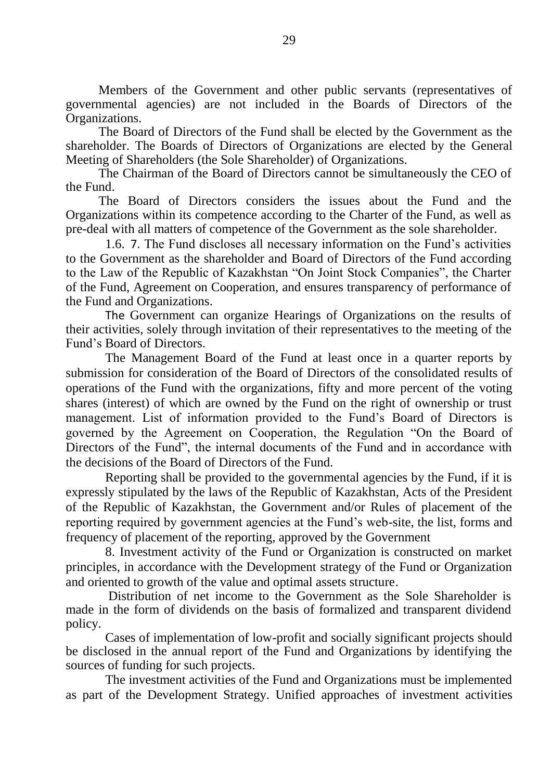Members of the Government and other public servants (representatives of governmental agencies) are not included in the Boards of Directors of the Organizations.

The Board of Directors of the Fund shall be elected by the Government as the shareholder. The Boards of Directors of Organizations are elected by the General Meeting of Shareholders (the Sole Shareholder) of Organizations.

The Chairman of the Board of Directors cannot be simultaneously the CEO of the Fund.

The Board of Directors considers the issues about the Fund and the Organizations within its competence according to the Charter of the Fund, as well as pre-deal with all matters of competence of the Government as the sole shareholder.

1.6. 7. The Fund discloses all necessary information on the Fund's activities to the Government as the shareholder and Board of Directors of the Fund according to the Law of the Republic of Kazakhstan "On Joint Stock Companies", the Charter of the Fund, Agreement on Cooperation, and ensures transparency of performance of the Fund and Organizations.

The Government can organize Hearings of Organizations on the results of their activities, solely through invitation of their representatives to the meeting of the Fund's Board of Directors.

The Management Board of the Fund at least once in a quarter reports by submission for consideration of the Board of Directors of the consolidated results of operations of the Fund with the organizations, fifty and more percent of the voting shares (interest) of which are owned by the Fund on the right of ownership or trust management. List of information provided to the Fund's Board of Directors is governed by the Agreement on Cooperation, the Regulation "On the Board of Directors of the Fund", the internal documents of the Fund and in accordance with the decisions of the Board of Directors of the Fund.

Reporting shall be provided to the governmental agencies by the Fund, if it is expressly stipulated by the laws of the Republic of Kazakhstan, Acts of the President of the Republic of Kazakhstan, the Government and/or Rules of placement of the reporting required by government agencies at the Fund's web-site, the list, forms and frequency of placement of the reporting, approved by the Government

8. Investment activity of the Fund or Organization is constructed on market principles, in accordance with the Development strategy of the Fund or Organization and oriented to growth of the value and optimal assets structure.

Distribution of net income to the Government as the Sole Shareholder is made in the form of dividends on the basis of formalized and transparent dividend policy.

Cases of implementation of low-profit and socially significant projects should be disclosed in the annual report of the Fund and Organizations by identifying the sources of funding for such projects.

The investment activities of the Fund and Organizations must be implemented as part of the Development Strategy. Unified approaches of investment activities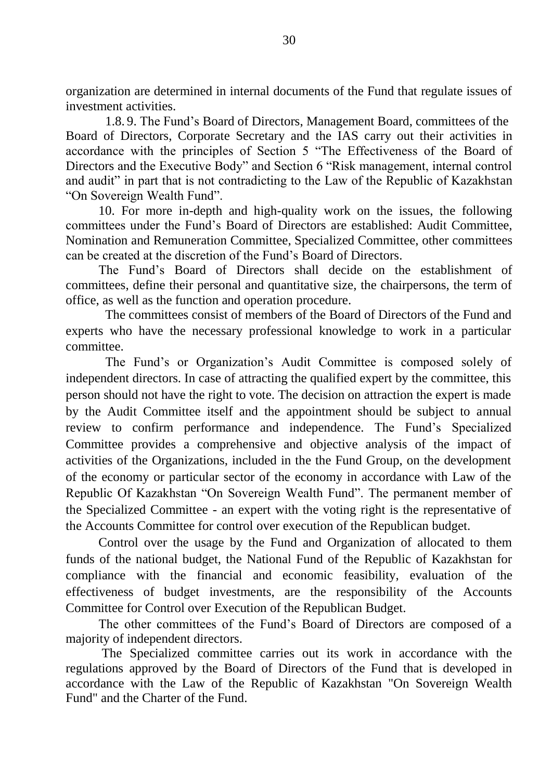organization are determined in internal documents of the Fund that regulate issues of investment activities.

1.8. 9. The Fund's Board of Directors, Management Board, committees of the Board of Directors, Corporate Secretary and the IAS carry out their activities in accordance with the principles of Section 5 "The Effectiveness of the Board of Directors and the Executive Body" and Section 6 "Risk management, internal control and audit" in part that is not contradicting to the Law of the Republic of Kazakhstan "On Sovereign Wealth Fund".

10. For more in-depth and high-quality work on the issues, the following committees under the Fund's Board of Directors are established: Audit Committee, Nomination and Remuneration Committee, Specialized Committee, other committees can be created at the discretion of the Fund's Board of Directors.

The Fund's Board of Directors shall decide on the establishment of committees, define their personal and quantitative size, the chairpersons, the term of office, as well as the function and operation procedure.

The committees consist of members of the Board of Directors of the Fund and experts who have the necessary professional knowledge to work in a particular committee.

The Fund's or Organization's Audit Committee is composed solely of independent directors. In case of attracting the qualified expert by the committee, this person should not have the right to vote. The decision on attraction the expert is made by the Audit Committee itself and the appointment should be subject to annual review to confirm performance and independence. The Fund's Specialized Committee provides a comprehensive and objective analysis of the impact of activities of the Organizations, included in the the Fund Group, on the development of the economy or particular sector of the economy in accordance with Law of the Republic Of Kazakhstan "On Sovereign Wealth Fund". The permanent member of the Specialized Committee - an expert with the voting right is the representative of the Accounts Committee for control over execution of the Republican budget.

Control over the usage by the Fund and Organization of allocated to them funds of the national budget, the National Fund of the Republic of Kazakhstan for compliance with the financial and economic feasibility, evaluation of the effectiveness of budget investments, are the responsibility of the Accounts Committee for Control over Execution of the Republican Budget.

The other committees of the Fund's Board of Directors are composed of a majority of independent directors.

The Specialized committee carries out its work in accordance with the regulations approved by the Board of Directors of the Fund that is developed in accordance with the Law of the Republic of Kazakhstan "On Sovereign Wealth Fund" and the Charter of the Fund.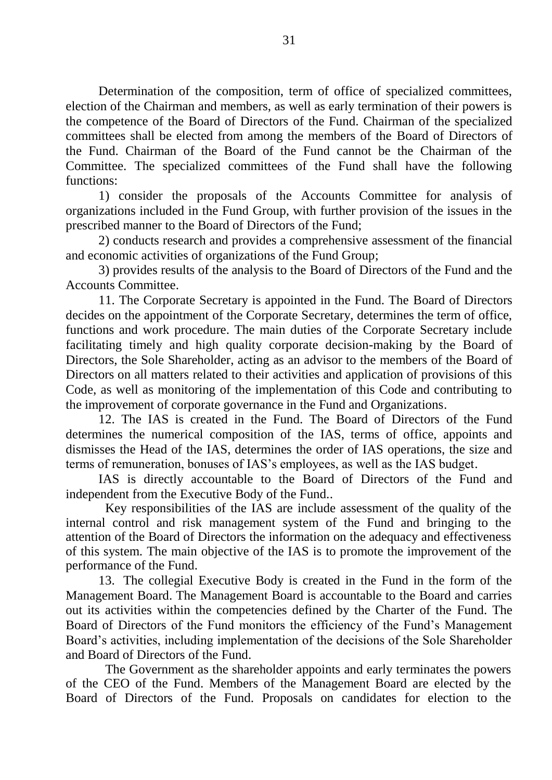Determination of the composition, term of office of specialized committees, election of the Chairman and members, as well as early termination of their powers is the competence of the Board of Directors of the Fund. Chairman of the specialized committees shall be elected from among the members of the Board of Directors of the Fund. Chairman of the Board of the Fund cannot be the Chairman of the Committee. The specialized committees of the Fund shall have the following functions:

1) consider the proposals of the Accounts Committee for analysis of organizations included in the Fund Group, with further provision of the issues in the prescribed manner to the Board of Directors of the Fund;

2) conducts research and provides a comprehensive assessment of the financial and economic activities of organizations of the Fund Group;

3) provides results of the analysis to the Board of Directors of the Fund and the Accounts Committee.

11. The Corporate Secretary is appointed in the Fund. The Board of Directors decides on the appointment of the Corporate Secretary, determines the term of office, functions and work procedure. The main duties of the Corporate Secretary include facilitating timely and high quality corporate decision-making by the Board of Directors, the Sole Shareholder, acting as an advisor to the members of the Board of Directors on all matters related to their activities and application of provisions of this Code, as well as monitoring of the implementation of this Code and contributing to the improvement of corporate governance in the Fund and Organizations.

12. The IAS is created in the Fund. The Board of Directors of the Fund determines the numerical composition of the IAS, terms of office, appoints and dismisses the Head of the IAS, determines the order of IAS operations, the size and terms of remuneration, bonuses of IAS's employees, as well as the IAS budget.

IAS is directly accountable to the Board of Directors of the Fund and independent from the Executive Body of the Fund..

Key responsibilities of the IAS are include assessment of the quality of the internal control and risk management system of the Fund and bringing to the attention of the Board of Directors the information on the adequacy and effectiveness of this system. The main objective of the IAS is to promote the improvement of the performance of the Fund.

13. The collegial Executive Body is created in the Fund in the form of the Management Board. The Management Board is accountable to the Board and carries out its activities within the competencies defined by the Charter of the Fund. The Board of Directors of the Fund monitors the efficiency of the Fund's Management Board's activities, including implementation of the decisions of the Sole Shareholder and Board of Directors of the Fund.

The Government as the shareholder appoints and early terminates the powers of the CEO of the Fund. Members of the Management Board are elected by the Board of Directors of the Fund. Proposals on candidates for election to the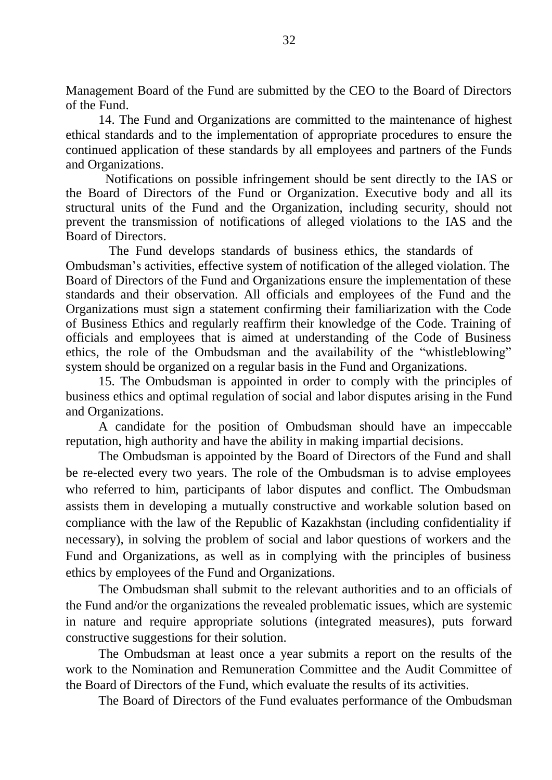Management Board of the Fund are submitted by the CEO to the Board of Directors of the Fund.

14. The Fund and Organizations are committed to the maintenance of highest ethical standards and to the implementation of appropriate procedures to ensure the continued application of these standards by all employees and partners of the Funds and Organizations.

Notifications on possible infringement should be sent directly to the IAS or the Board of Directors of the Fund or Organization. Executive body and all its structural units of the Fund and the Organization, including security, should not prevent the transmission of notifications of alleged violations to the IAS and the Board of Directors.

The Fund develops standards of business ethics, the standards of Ombudsman's activities, effective system of notification of the alleged violation. The Board of Directors of the Fund and Organizations ensure the implementation of these standards and their observation. All officials and employees of the Fund and the Organizations must sign a statement confirming their familiarization with the Code of Business Ethics and regularly reaffirm their knowledge of the Code. Training of officials and employees that is aimed at understanding of the Code of Business ethics, the role of the Ombudsman and the availability of the "whistleblowing" system should be organized on a regular basis in the Fund and Organizations.

15. The Ombudsman is appointed in order to comply with the principles of business ethics and optimal regulation of social and labor disputes arising in the Fund and Organizations.

A candidate for the position of Ombudsman should have an impeccable reputation, high authority and have the ability in making impartial decisions.

The Ombudsman is appointed by the Board of Directors of the Fund and shall be re-elected every two years. The role of the Ombudsman is to advise employees who referred to him, participants of labor disputes and conflict. The Ombudsman assists them in developing a mutually constructive and workable solution based on compliance with the law of the Republic of Kazakhstan (including confidentiality if necessary), in solving the problem of social and labor questions of workers and the Fund and Organizations, as well as in complying with the principles of business ethics by employees of the Fund and Organizations.

The Ombudsman shall submit to the relevant authorities and to an officials of the Fund and/or the organizations the revealed problematic issues, which are systemic in nature and require appropriate solutions (integrated measures), puts forward constructive suggestions for their solution.

The Ombudsman at least once a year submits a report on the results of the work to the Nomination and Remuneration Committee and the Audit Committee of the Board of Directors of the Fund, which evaluate the results of its activities.

The Board of Directors of the Fund evaluates performance of the Ombudsman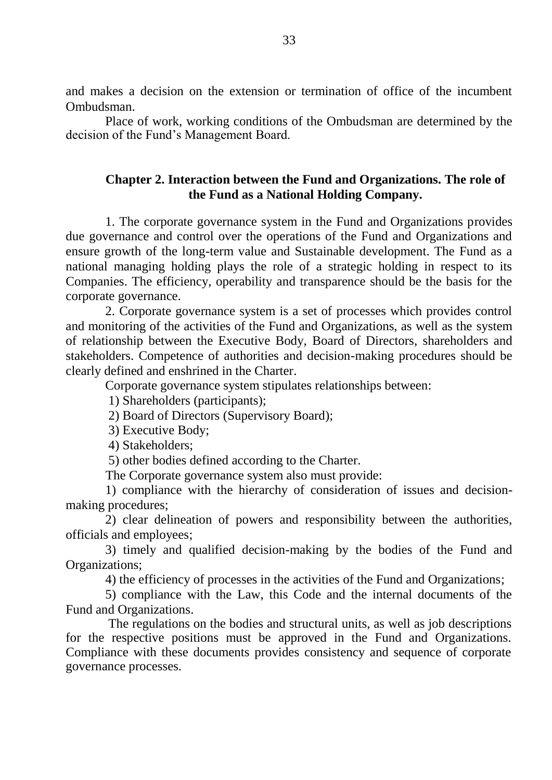and makes a decision on the extension or termination of office of the incumbent Ombudsman.

Place of work, working conditions of the Ombudsman are determined by the decision of the Fund's Management Board.

# **Chapter 2. Interaction between the Fund and Organizations. The role of the Fund as a National Holding Company.**

1. The corporate governance system in the Fund and Organizations provides due governance and control over the operations of the Fund and Organizations and ensure growth of the long-term value and Sustainable development. The Fund as a national managing holding plays the role of a strategic holding in respect to its Companies. The efficiency, operability and transparence should be the basis for the corporate governance.

2. Corporate governance system is a set of processes which provides control and monitoring of the activities of the Fund and Organizations, as well as the system of relationship between the Executive Body, Board of Directors, shareholders and stakeholders. Competence of authorities and decision-making procedures should be clearly defined and enshrined in the Charter.

Corporate governance system stipulates relationships between:

1) Shareholders (participants);

- 2) Board of Directors (Supervisory Board);
- 3) Executive Body;

4) Stakeholders;

5) other bodies defined according to the Charter.

The Corporate governance system also must provide:

1) compliance with the hierarchy of consideration of issues and decisionmaking procedures;

2) clear delineation of powers and responsibility between the authorities, officials and employees;

3) timely and qualified decision-making by the bodies of the Fund and Organizations;

4) the efficiency of processes in the activities of the Fund and Organizations;

5) compliance with the Law, this Code and the internal documents of the Fund and Organizations.

The regulations on the bodies and structural units, as well as job descriptions for the respective positions must be approved in the Fund and Organizations. Compliance with these documents provides consistency and sequence of corporate governance processes.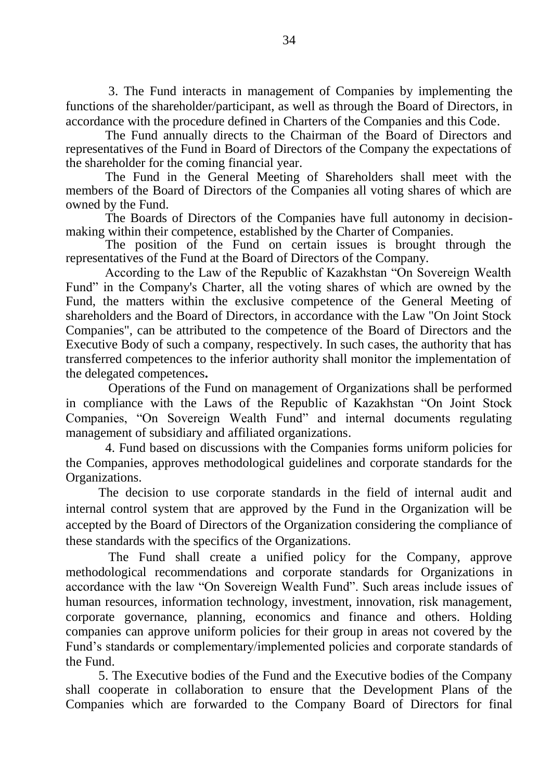3. The Fund interacts in management of Companies by implementing the functions of the shareholder/participant, as well as through the Board of Directors, in accordance with the procedure defined in Charters of the Companies and this Code.

The Fund annually directs to the Chairman of the Board of Directors and representatives of the Fund in Board of Directors of the Company the expectations of the shareholder for the coming financial year.

The Fund in the General Meeting of Shareholders shall meet with the members of the Board of Directors of the Companies all voting shares of which are owned by the Fund.

The Boards of Directors of the Companies have full autonomy in decisionmaking within their competence, established by the Charter of Companies.

The position of the Fund on certain issues is brought through the representatives of the Fund at the Board of Directors of the Company.

 According to the Law of the Republic of Kazakhstan "On Sovereign Wealth Fund" in the Company's Charter, all the voting shares of which are owned by the Fund, the matters within the exclusive competence of the General Meeting of shareholders and the Board of Directors, in accordance with the Law "On Joint Stock Companies", can be attributed to the competence of the Board of Directors and the Executive Body of such a company, respectively. In such cases, the authority that has transferred competences to the inferior authority shall monitor the implementation of the delegated competences**.**

Operations of the Fund on management of Organizations shall be performed in compliance with the Laws of the Republic of Kazakhstan "On Joint Stock Companies, "On Sovereign Wealth Fund" and internal documents regulating management of subsidiary and affiliated organizations.

4. Fund based on discussions with the Companies forms uniform policies for the Companies, approves methodological guidelines and corporate standards for the Organizations.

The decision to use corporate standards in the field of internal audit and internal control system that are approved by the Fund in the Organization will be accepted by the Board of Directors of the Organization considering the compliance of these standards with the specifics of the Organizations.

The Fund shall create a unified policy for the Company, approve methodological recommendations and corporate standards for Organizations in accordance with the law "On Sovereign Wealth Fund". Such areas include issues of human resources, information technology, investment, innovation, risk management, corporate governance, planning, economics and finance and others. Holding companies can approve uniform policies for their group in areas not covered by the Fund's standards or complementary/implemented policies and corporate standards of the Fund.

5. The Executive bodies of the Fund and the Executive bodies of the Company shall cooperate in collaboration to ensure that the Development Plans of the Companies which are forwarded to the Company Board of Directors for final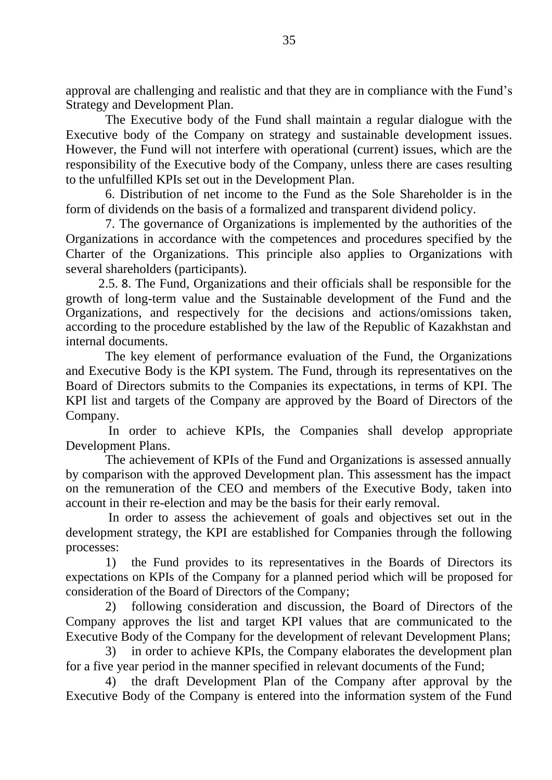approval are challenging and realistic and that they are in compliance with the Fund's Strategy and Development Plan.

The Executive body of the Fund shall maintain a regular dialogue with the Executive body of the Company on strategy and sustainable development issues. However, the Fund will not interfere with operational (current) issues, which are the responsibility of the Executive body of the Company, unless there are cases resulting to the unfulfilled KPIs set out in the Development Plan.

6. Distribution of net income to the Fund as the Sole Shareholder is in the form of dividends on the basis of a formalized and transparent dividend policy.

7. The governance of Organizations is implemented by the authorities of the Organizations in accordance with the competences and procedures specified by the Charter of the Organizations. This principle also applies to Organizations with several shareholders (participants).

2.5. 8. The Fund, Organizations and their officials shall be responsible for the growth of long-term value and the Sustainable development of the Fund and the Organizations, and respectively for the decisions and actions/omissions taken, according to the procedure established by the law of the Republic of Kazakhstan and internal documents.

The key element of performance evaluation of the Fund, the Organizations and Executive Body is the KPI system. The Fund, through its representatives on the Board of Directors submits to the Companies its expectations, in terms of KPI. The KPI list and targets of the Company are approved by the Board of Directors of the Company.

In order to achieve KPIs, the Companies shall develop appropriate Development Plans.

The achievement of KPIs of the Fund and Organizations is assessed annually by comparison with the approved Development plan. This assessment has the impact on the remuneration of the CEO and members of the Executive Body, taken into account in their re-election and may be the basis for their early removal.

In order to assess the achievement of goals and objectives set out in the development strategy, the KPI are established for Companies through the following processes:

1) the Fund provides to its representatives in the Boards of Directors its expectations on KPIs of the Company for a planned period which will be proposed for consideration of the Board of Directors of the Company;

2) following consideration and discussion, the Board of Directors of the Company approves the list and target KPI values that are communicated to the Executive Body of the Company for the development of relevant Development Plans;

3) in order to achieve KPIs, the Company elaborates the development plan for a five year period in the manner specified in relevant documents of the Fund;

4) the draft Development Plan of the Company after approval by the Executive Body of the Company is entered into the information system of the Fund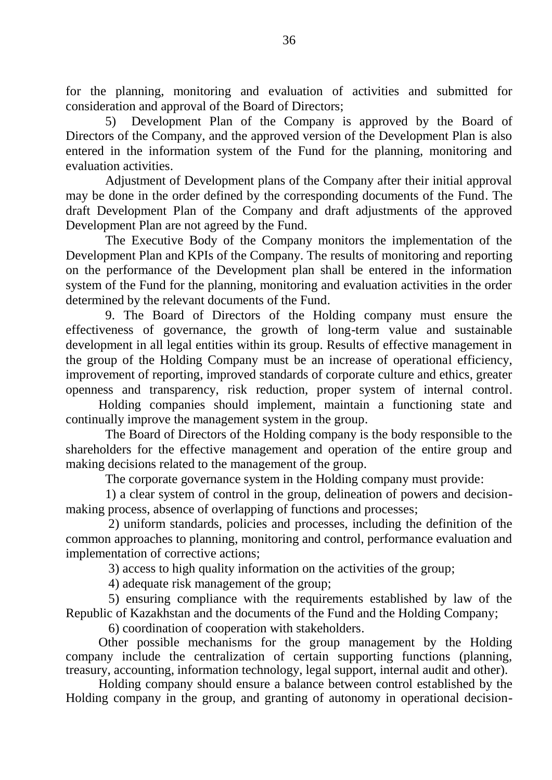for the planning, monitoring and evaluation of activities and submitted for consideration and approval of the Board of Directors;

5) Development Plan of the Company is approved by the Board of Directors of the Company, and the approved version of the Development Plan is also entered in the information system of the Fund for the planning, monitoring and evaluation activities.

Adjustment of Development plans of the Company after their initial approval may be done in the order defined by the corresponding documents of the Fund. The draft Development Plan of the Company and draft adjustments of the approved Development Plan are not agreed by the Fund.

The Executive Body of the Company monitors the implementation of the Development Plan and KPIs of the Company. The results of monitoring and reporting on the performance of the Development plan shall be entered in the information system of the Fund for the planning, monitoring and evaluation activities in the order determined by the relevant documents of the Fund.

9. The Board of Directors of the Holding company must ensure the effectiveness of governance, the growth of long-term value and sustainable development in all legal entities within its group. Results of effective management in the group of the Holding Company must be an increase of operational efficiency, improvement of reporting, improved standards of corporate culture and ethics, greater openness and transparency, risk reduction, proper system of internal control.

Holding companies should implement, maintain a functioning state and continually improve the management system in the group.

The Board of Directors of the Holding company is the body responsible to the shareholders for the effective management and operation of the entire group and making decisions related to the management of the group.

The corporate governance system in the Holding company must provide:

1) a clear system of control in the group, delineation of powers and decisionmaking process, absence of overlapping of functions and processes;

2) uniform standards, policies and processes, including the definition of the common approaches to planning, monitoring and control, performance evaluation and implementation of corrective actions;

3) access to high quality information on the activities of the group;

4) adequate risk management of the group;

5) ensuring compliance with the requirements established by law of the Republic of Kazakhstan and the documents of the Fund and the Holding Company;

6) coordination of cooperation with stakeholders.

Other possible mechanisms for the group management by the Holding company include the centralization of certain supporting functions (planning, treasury, accounting, information technology, legal support, internal audit and other).

Holding company should ensure a balance between control established by the Holding company in the group, and granting of autonomy in operational decision-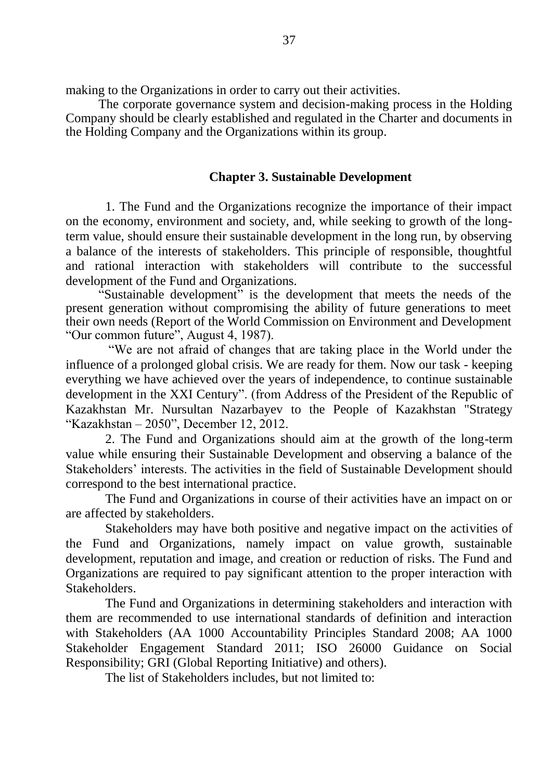making to the Organizations in order to carry out their activities.

The corporate governance system and decision-making process in the Holding Company should be clearly established and regulated in the Charter and documents in the Holding Company and the Organizations within its group.

## **Chapter 3. Sustainable Development**

1. The Fund and the Organizations recognize the importance of their impact on the economy, environment and society, and, while seeking to growth of the longterm value, should ensure their sustainable development in the long run, by observing a balance of the interests of stakeholders. This principle of responsible, thoughtful and rational interaction with stakeholders will contribute to the successful development of the Fund and Organizations.

"Sustainable development" is the development that meets the needs of the present generation without compromising the ability of future generations to meet their own needs (Report of the World Commission on Environment and Development "Our common future", August 4, 1987).

"We are not afraid of changes that are taking place in the World under the influence of a prolonged global crisis. We are ready for them. Now our task - keeping everything we have achieved over the years of independence, to continue sustainable development in the XXI Century". (from Address of the President of the Republic of Kazakhstan Mr. Nursultan Nazarbayev to the People of Kazakhstan "Strategy "Kazakhstan – 2050", December 12, 2012.

2. The Fund and Organizations should aim at the growth of the long-term value while ensuring their Sustainable Development and observing a balance of the Stakeholders' interests. The activities in the field of Sustainable Development should correspond to the best international practice.

The Fund and Organizations in course of their activities have an impact on or are affected by stakeholders.

Stakeholders may have both positive and negative impact on the activities of the Fund and Organizations, namely impact on value growth, sustainable development, reputation and image, and creation or reduction of risks. The Fund and Organizations are required to pay significant attention to the proper interaction with Stakeholders.

The Fund and Organizations in determining stakeholders and interaction with them are recommended to use international standards of definition and interaction with Stakeholders (AA 1000 Accountability Principles Standard 2008; AA 1000 Stakeholder Engagement Standard 2011; ISO 26000 Guidance on Social Responsibility; GRI (Global Reporting Initiative) and others).

The list of Stakeholders includes, but not limited to: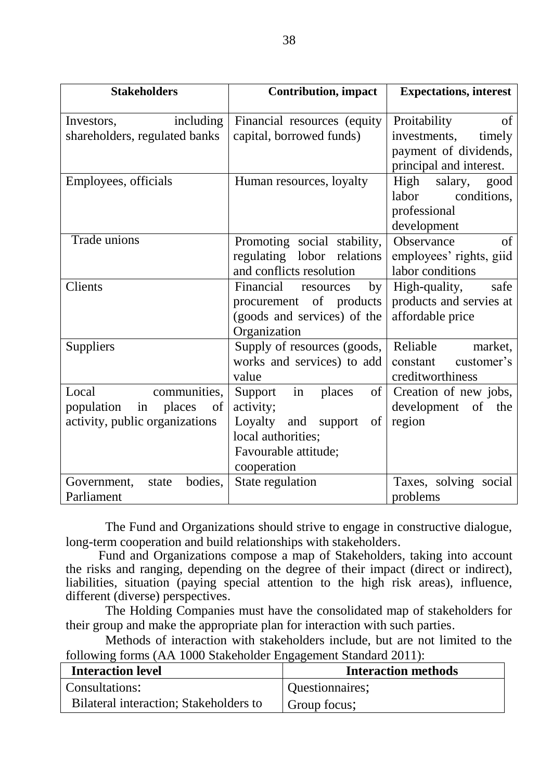| <b>Stakeholders</b>              | <b>Contribution, impact</b>     | <b>Expectations, interest</b> |  |
|----------------------------------|---------------------------------|-------------------------------|--|
|                                  |                                 |                               |  |
| including<br>Investors,          | Financial resources (equity)    | Proitability<br>of            |  |
| shareholders, regulated banks    | capital, borrowed funds)        | investments,<br>timely        |  |
|                                  |                                 | payment of dividends,         |  |
|                                  |                                 | principal and interest.       |  |
| Employees, officials             | Human resources, loyalty        | High<br>salary,<br>good       |  |
|                                  |                                 | labor<br>conditions,          |  |
|                                  |                                 | professional                  |  |
|                                  |                                 | development                   |  |
| Trade unions                     | Promoting social stability,     | of<br>Observance              |  |
|                                  | regulating lobor relations      | employees' rights, giid       |  |
|                                  | and conflicts resolution        | labor conditions              |  |
| Clients                          | Financial<br>by<br>resources    | High-quality,<br>safe         |  |
|                                  | procurement of products         | products and servies at       |  |
|                                  | (goods and services) of the     | affordable price              |  |
|                                  | Organization                    |                               |  |
| Suppliers                        | Supply of resources (goods,     | Reliable<br>market,           |  |
|                                  | works and services) to add      | customer's<br>constant        |  |
|                                  | value                           | creditworthiness              |  |
| communities,<br>Local            | Support<br>places<br>of<br>in   | Creation of new jobs,         |  |
| population<br>places<br>in<br>of | activity;                       | development of the            |  |
| activity, public organizations   | Loyalty<br>of<br>and<br>support | region                        |  |
|                                  | local authorities;              |                               |  |
|                                  | Favourable attitude;            |                               |  |
|                                  | cooperation                     |                               |  |
| bodies,<br>Government,<br>state  | State regulation                | Taxes, solving social         |  |
| Parliament                       |                                 | problems                      |  |

The Fund and Organizations should strive to engage in constructive dialogue, long-term cooperation and build relationships with stakeholders.

Fund and Organizations compose a map of Stakeholders, taking into account the risks and ranging, depending on the degree of their impact (direct or indirect), liabilities, situation (paying special attention to the high risk areas), influence, different (diverse) perspectives.

The Holding Companies must have the consolidated map of stakeholders for their group and make the appropriate plan for interaction with such parties.

Methods of interaction with stakeholders include, but are not limited to the following forms (AA 1000 Stakeholder Engagement Standard 2011):

| <b>Interaction level</b>               | <b>Interaction methods</b> |
|----------------------------------------|----------------------------|
| Consultations:                         | Questionnaires;            |
| Bilateral interaction; Stakeholders to | Group focus;               |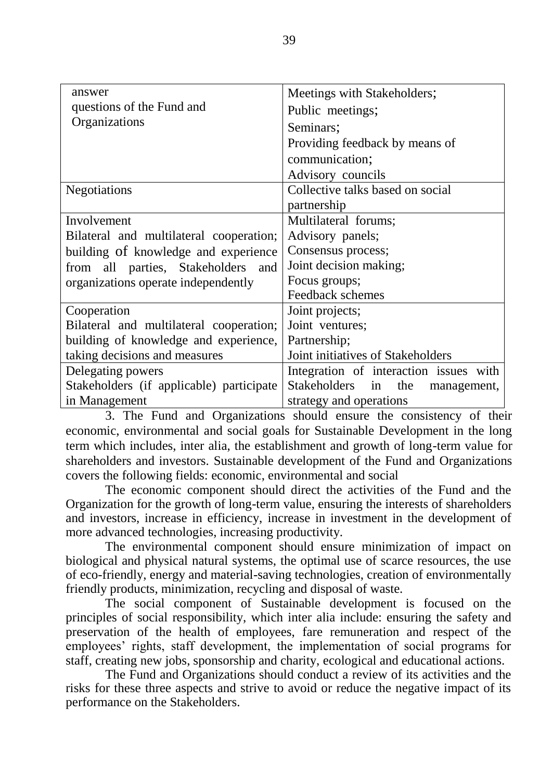| answer                                                | Meetings with Stakeholders;            |  |
|-------------------------------------------------------|----------------------------------------|--|
| questions of the Fund and                             | Public meetings;                       |  |
| Organizations                                         | Seminars;                              |  |
|                                                       | Providing feedback by means of         |  |
|                                                       | communication;                         |  |
|                                                       | Advisory councils                      |  |
| <b>Negotiations</b>                                   | Collective talks based on social       |  |
|                                                       | partnership                            |  |
| Involvement                                           | Multilateral forums;                   |  |
| Bilateral and multilateral cooperation;               | Advisory panels;                       |  |
| building of knowledge and experience                  | Consensus process;                     |  |
| from all parties, Stakeholders<br>and                 | Joint decision making;                 |  |
| organizations operate independently                   | Focus groups;                          |  |
|                                                       | Feedback schemes                       |  |
| Cooperation                                           | Joint projects;                        |  |
| Bilateral and multilateral cooperation;               | Joint ventures;                        |  |
| building of knowledge and experience,<br>Partnership; |                                        |  |
| taking decisions and measures                         | Joint initiatives of Stakeholders      |  |
| Delegating powers                                     | Integration of interaction issues with |  |
| Stakeholders (if applicable) participate              | Stakeholders in<br>the<br>management,  |  |
| in Management                                         | strategy and operations                |  |

3. The Fund and Organizations should ensure the consistency of their economic, environmental and social goals for Sustainable Development in the long term which includes, inter alia, the establishment and growth of long-term value for shareholders and investors. Sustainable development of the Fund and Organizations covers the following fields: economic, environmental and social

The economic component should direct the activities of the Fund and the Organization for the growth of long-term value, ensuring the interests of shareholders and investors, increase in efficiency, increase in investment in the development of more advanced technologies, increasing productivity.

The environmental component should ensure minimization of impact on biological and physical natural systems, the optimal use of scarce resources, the use of eco-friendly, energy and material-saving technologies, creation of environmentally friendly products, minimization, recycling and disposal of waste.

The social component of Sustainable development is focused on the principles of social responsibility, which inter alia include: ensuring the safety and preservation of the health of employees, fare remuneration and respect of the employees' rights, staff development, the implementation of social programs for staff, creating new jobs, sponsorship and charity, ecological and educational actions.

The Fund and Organizations should conduct a review of its activities and the risks for these three aspects and strive to avoid or reduce the negative impact of its performance on the Stakeholders.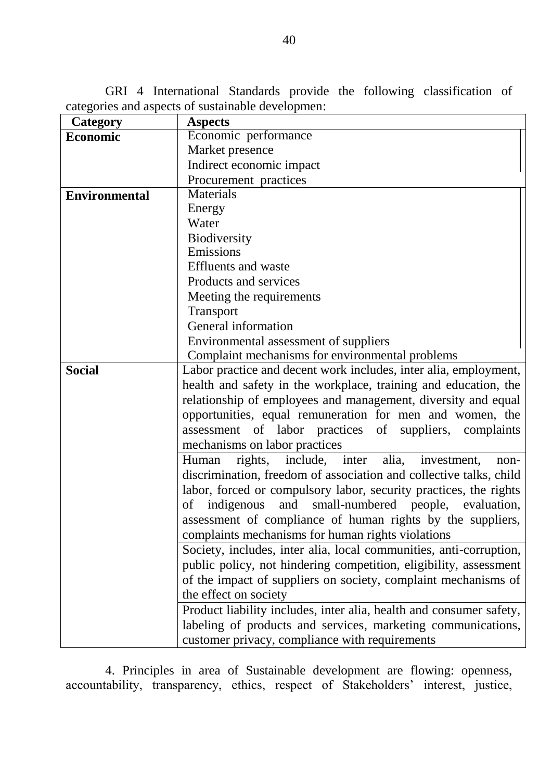GRI 4 International Standards provide the following classification of categories and aspects of sustainable developmen:

| <b>Category</b>      | <b>Aspects</b>                                                      |  |  |
|----------------------|---------------------------------------------------------------------|--|--|
| <b>Economic</b>      | Economic performance                                                |  |  |
|                      | Market presence                                                     |  |  |
|                      | Indirect economic impact                                            |  |  |
|                      | Procurement practices                                               |  |  |
| <b>Environmental</b> | Materials                                                           |  |  |
|                      | Energy                                                              |  |  |
|                      | Water                                                               |  |  |
|                      | Biodiversity                                                        |  |  |
|                      | Emissions                                                           |  |  |
|                      | <b>Effluents</b> and waste                                          |  |  |
|                      | Products and services                                               |  |  |
|                      | Meeting the requirements                                            |  |  |
|                      | Transport                                                           |  |  |
|                      | General information                                                 |  |  |
|                      | Environmental assessment of suppliers                               |  |  |
|                      | Complaint mechanisms for environmental problems                     |  |  |
| <b>Social</b>        | Labor practice and decent work includes, inter alia, employment,    |  |  |
|                      | health and safety in the workplace, training and education, the     |  |  |
|                      | relationship of employees and management, diversity and equal       |  |  |
|                      | opportunities, equal remuneration for men and women, the            |  |  |
|                      | assessment of labor practices of suppliers, complaints              |  |  |
|                      | mechanisms on labor practices                                       |  |  |
|                      | rights, include, inter alia, investment,<br>Human<br>non-           |  |  |
|                      | discrimination, freedom of association and collective talks, child  |  |  |
|                      | labor, forced or compulsory labor, security practices, the rights   |  |  |
|                      | indigenous and small-numbered people, evaluation,<br>of             |  |  |
|                      | assessment of compliance of human rights by the suppliers,          |  |  |
|                      | complaints mechanisms for human rights violations                   |  |  |
|                      | Society, includes, inter alia, local communities, anti-corruption,  |  |  |
|                      | public policy, not hindering competition, eligibility, assessment   |  |  |
|                      | of the impact of suppliers on society, complaint mechanisms of      |  |  |
|                      | the effect on society                                               |  |  |
|                      | Product liability includes, inter alia, health and consumer safety, |  |  |
|                      | labeling of products and services, marketing communications,        |  |  |
|                      | customer privacy, compliance with requirements                      |  |  |

4. Principles in area of Sustainable development are flowing: openness, accountability, transparency, ethics, respect of Stakeholders' interest, justice,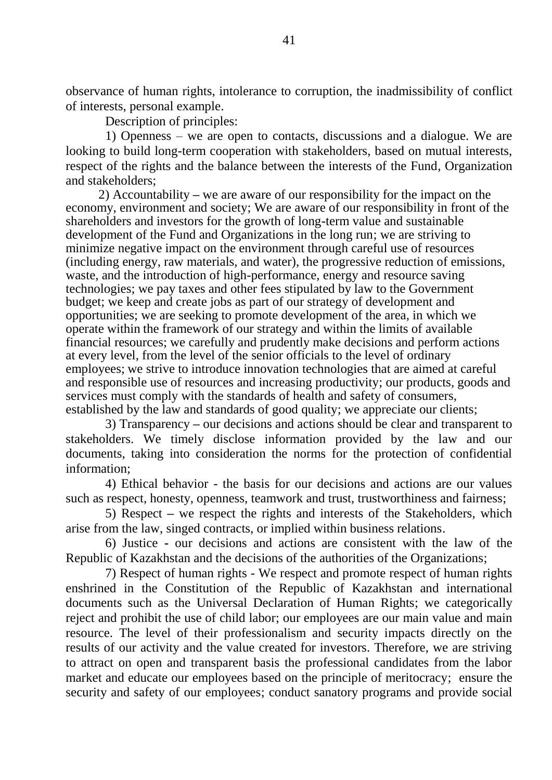observance of human rights, intolerance to corruption, the inadmissibility of conflict of interests, personal example.

Description of principles:

1) Openness – we are open to contacts, discussions and a dialogue. We are looking to build long-term cooperation with stakeholders, based on mutual interests, respect of the rights and the balance between the interests of the Fund, Organization and stakeholders;

2) Accountability **–** we are aware of our responsibility for the impact on the economy, environment and society; We are aware of our responsibility in front of the shareholders and investors for the growth of long-term value and sustainable development of the Fund and Organizations in the long run; we are striving to minimize negative impact on the environment through careful use of resources (including energy, raw materials, and water), the progressive reduction of emissions, waste, and the introduction of high-performance, energy and resource saving technologies; we pay taxes and other fees stipulated by law to the Government budget; we keep and create jobs as part of our strategy of development and opportunities; we are seeking to promote development of the area, in which we operate within the framework of our strategy and within the limits of available financial resources; we carefully and prudently make decisions and perform actions at every level, from the level of the senior officials to the level of ordinary employees; we strive to introduce innovation technologies that are aimed at careful and responsible use of resources and increasing productivity; our products, goods and services must comply with the standards of health and safety of consumers, established by the law and standards of good quality; we appreciate our clients;

3) Transparency **–** our decisions and actions should be clear and transparent to stakeholders. We timely disclose information provided by the law and our documents, taking into consideration the norms for the protection of confidential information;

4) Ethical behavior - the basis for our decisions and actions are our values such as respect, honesty, openness, teamwork and trust, trustworthiness and fairness;

5) Respect **–** we respect the rights and interests of the Stakeholders, which arise from the law, singed contracts, or implied within business relations.

6) Justice **-** our decisions and actions are consistent with the law of the Republic of Kazakhstan and the decisions of the authorities of the Organizations;

7) Respect of human rights - We respect and promote respect of human rights enshrined in the Constitution of the Republic of Kazakhstan and international documents such as the Universal Declaration of Human Rights; we categorically reject and prohibit the use of child labor; our employees are our main value and main resource. The level of their professionalism and security impacts directly on the results of our activity and the value created for investors. Therefore, we are striving to attract on open and transparent basis the professional candidates from the labor market and educate our employees based on the principle of meritocracy; ensure the security and safety of our employees; conduct sanatory programs and provide social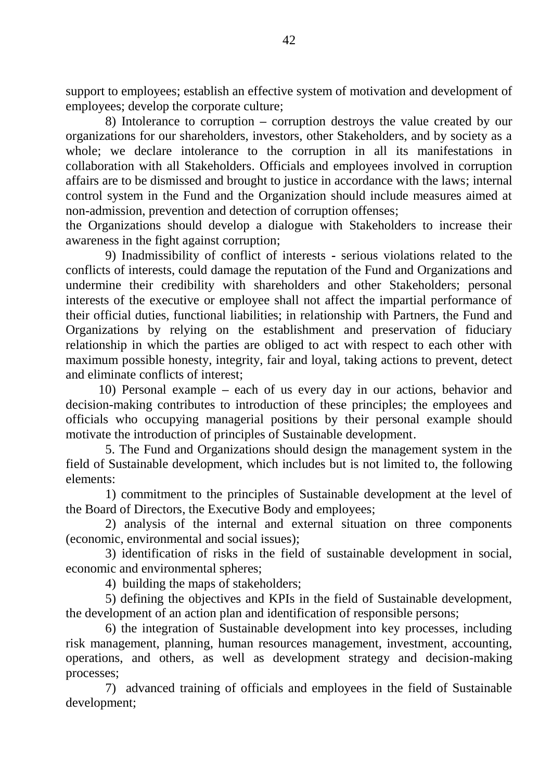support to employees; establish an effective system of motivation and development of employees; develop the corporate culture;

8) Intolerance to corruption **–** corruption destroys the value created by our organizations for our shareholders, investors, other Stakeholders, and by society as a whole; we declare intolerance to the corruption in all its manifestations in collaboration with all Stakeholders. Officials and employees involved in corruption affairs are to be dismissed and brought to justice in accordance with the laws; internal control system in the Fund and the Organization should include measures aimed at non-admission, prevention and detection of corruption offenses;

the Organizations should develop a dialogue with Stakeholders to increase their awareness in the fight against corruption;

9) Inadmissibility of conflict of interests **-** serious violations related to the conflicts of interests, could damage the reputation of the Fund and Organizations and undermine their credibility with shareholders and other Stakeholders; personal interests of the executive or employee shall not affect the impartial performance of their official duties, functional liabilities; in relationship with Partners, the Fund and Organizations by relying on the establishment and preservation of fiduciary relationship in which the parties are obliged to act with respect to each other with maximum possible honesty, integrity, fair and loyal, taking actions to prevent, detect and eliminate conflicts of interest;

10) Personal example **–** each of us every day in our actions, behavior and decision-making contributes to introduction of these principles; the employees and officials who occupying managerial positions by their personal example should motivate the introduction of principles of Sustainable development.

5. The Fund and Organizations should design the management system in the field of Sustainable development, which includes but is not limited to, the following elements:

1) commitment to the principles of Sustainable development at the level of the Board of Directors, the Executive Body and employees;

2) analysis of the internal and external situation on three components (economic, environmental and social issues);

3) identification of risks in the field of sustainable development in social, economic and environmental spheres;

4) building the maps of stakeholders;

5) defining the objectives and KPIs in the field of Sustainable development, the development of an action plan and identification of responsible persons;

6) the integration of Sustainable development into key processes, including risk management, planning, human resources management, investment, accounting, operations, and others, as well as development strategy and decision-making processes;

7) advanced training of officials and employees in the field of Sustainable development;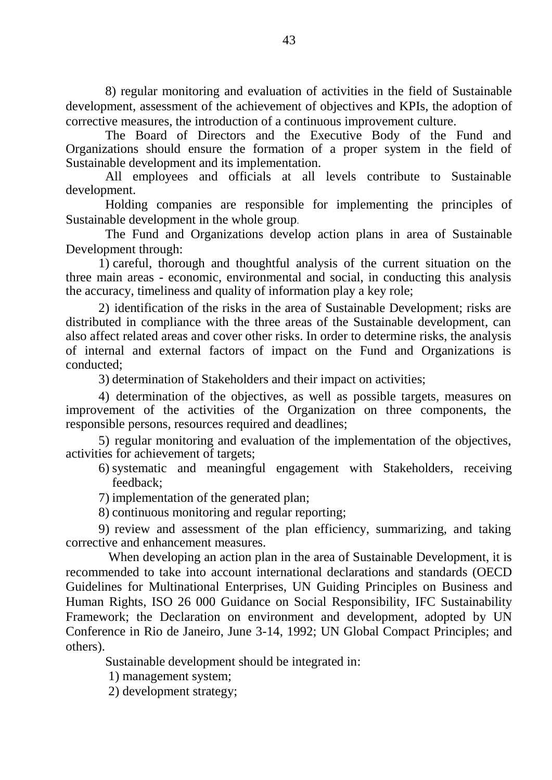8) regular monitoring and evaluation of activities in the field of Sustainable development, assessment of the achievement of objectives and KPIs, the adoption of corrective measures, the introduction of a continuous improvement culture.

The Board of Directors and the Executive Body of the Fund and Organizations should ensure the formation of a proper system in the field of Sustainable development and its implementation.

All employees and officials at all levels contribute to Sustainable development.

Holding companies are responsible for implementing the principles of Sustainable development in the whole group.

The Fund and Organizations develop action plans in area of Sustainable Development through:

1) careful, thorough and thoughtful analysis of the current situation on the three main areas - economic, environmental and social, in conducting this analysis the accuracy, timeliness and quality of information play a key role;

2) identification of the risks in the area of Sustainable Development; risks are distributed in compliance with the three areas of the Sustainable development, can also affect related areas and cover other risks. In order to determine risks, the analysis of internal and external factors of impact on the Fund and Organizations is conducted;

3) determination of Stakeholders and their impact on activities;

4) determination of the objectives, as well as possible targets, measures on improvement of the activities of the Organization on three components, the responsible persons, resources required and deadlines;

5) regular monitoring and evaluation of the implementation of the objectives, activities for achievement of targets;

- 6) systematic and meaningful engagement with Stakeholders, receiving feedback;
- 7) implementation of the generated plan;
- 8) continuous monitoring and regular reporting;

9) review and assessment of the plan efficiency, summarizing, and taking corrective and enhancement measures.

When developing an action plan in the area of Sustainable Development, it is recommended to take into account international declarations and standards (OECD Guidelines for Multinational Enterprises, UN Guiding Principles on Business and Human Rights, ISO 26 000 Guidance on Social Responsibility, IFC Sustainability Framework; the Declaration on environment and development, adopted by UN Conference in Rio de Janeiro, June 3-14, 1992; UN Global Compact Principles; and others).

Sustainable development should be integrated in:

1) management system;

2) development strategy;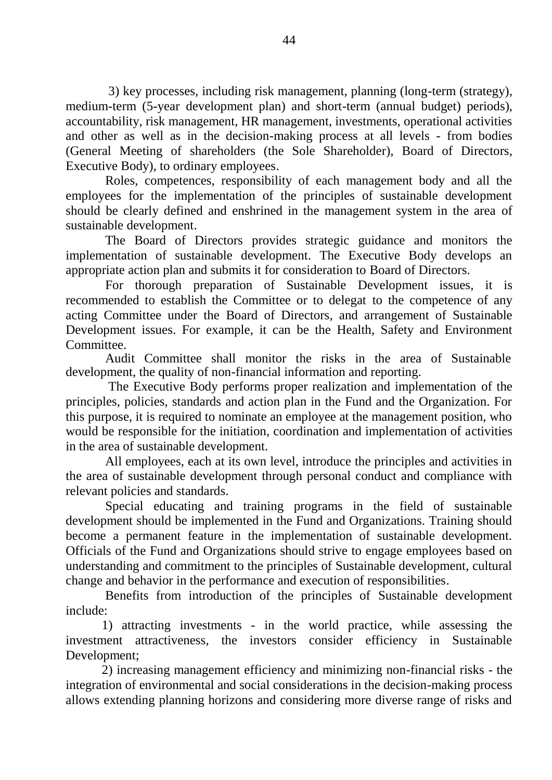3) key processes, including risk management, planning (long-term (strategy), medium-term (5-year development plan) and short-term (annual budget) periods), accountability, risk management, HR management, investments, operational activities and other as well as in the decision-making process at all levels - from bodies (General Meeting of shareholders (the Sole Shareholder), Board of Directors, Executive Body), to ordinary employees.

Roles, competences, responsibility of each management body and all the employees for the implementation of the principles of sustainable development should be clearly defined and enshrined in the management system in the area of sustainable development.

The Board of Directors provides strategic guidance and monitors the implementation of sustainable development. The Executive Body develops an appropriate action plan and submits it for consideration to Board of Directors.

For thorough preparation of Sustainable Development issues, it is recommended to establish the Committee or to delegat to the competence of any acting Committee under the Board of Directors, and arrangement of Sustainable Development issues. For example, it can be the Health, Safety and Environment Committee.

Audit Committee shall monitor the risks in the area of Sustainable development, the quality of non-financial information and reporting.

The Executive Body performs proper realization and implementation of the principles, policies, standards and action plan in the Fund and the Organization. For this purpose, it is required to nominate an employee at the management position, who would be responsible for the initiation, coordination and implementation of activities in the area of sustainable development.

All employees, each at its own level, introduce the principles and activities in the area of sustainable development through personal conduct and compliance with relevant policies and standards.

Special educating and training programs in the field of sustainable development should be implemented in the Fund and Organizations. Training should become a permanent feature in the implementation of sustainable development. Officials of the Fund and Organizations should strive to engage employees based on understanding and commitment to the principles of Sustainable development, cultural change and behavior in the performance and execution of responsibilities.

Benefits from introduction of the principles of Sustainable development include:

1) attracting investments - in the world practice, while assessing the investment attractiveness, the investors consider efficiency in Sustainable Development:

2) increasing management efficiency and minimizing non-financial risks - the integration of environmental and social considerations in the decision-making process allows extending planning horizons and considering more diverse range of risks and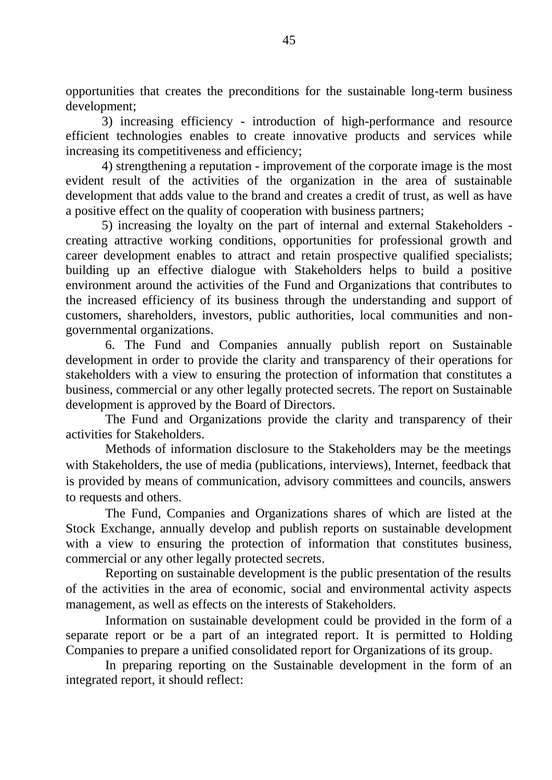opportunities that creates the preconditions for the sustainable long-term business development;

3) increasing efficiency - introduction of high-performance and resource efficient technologies enables to create innovative products and services while increasing its competitiveness and efficiency;

4) strengthening a reputation - improvement of the corporate image is the most evident result of the activities of the organization in the area of sustainable development that adds value to the brand and creates a credit of trust, as well as have a positive effect on the quality of cooperation with business partners;

5) increasing the loyalty on the part of internal and external Stakeholders creating attractive working conditions, opportunities for professional growth and career development enables to attract and retain prospective qualified specialists; building up an effective dialogue with Stakeholders helps to build a positive environment around the activities of the Fund and Organizations that contributes to the increased efficiency of its business through the understanding and support of customers, shareholders, investors, public authorities, local communities and nongovernmental organizations.

6. The Fund and Companies annually publish report on Sustainable development in order to provide the clarity and transparency of their operations for stakeholders with a view to ensuring the protection of information that constitutes a business, commercial or any other legally protected secrets. The report on Sustainable development is approved by the Board of Directors.

The Fund and Organizations provide the clarity and transparency of their activities for Stakeholders.

Methods of information disclosure to the Stakeholders may be the meetings with Stakeholders, the use of media (publications, interviews), Internet, feedback that is provided by means of communication, advisory committees and councils, answers to requests and others.

The Fund, Companies and Organizations shares of which are listed at the Stock Exchange, annually develop and publish reports on sustainable development with a view to ensuring the protection of information that constitutes business, commercial or any other legally protected secrets.

Reporting on sustainable development is the public presentation of the results of the activities in the area of economic, social and environmental activity aspects management, as well as effects on the interests of Stakeholders.

Information on sustainable development could be provided in the form of a separate report or be a part of an integrated report. It is permitted to Holding Companies to prepare a unified consolidated report for Organizations of its group.

In preparing reporting on the Sustainable development in the form of an integrated report, it should reflect: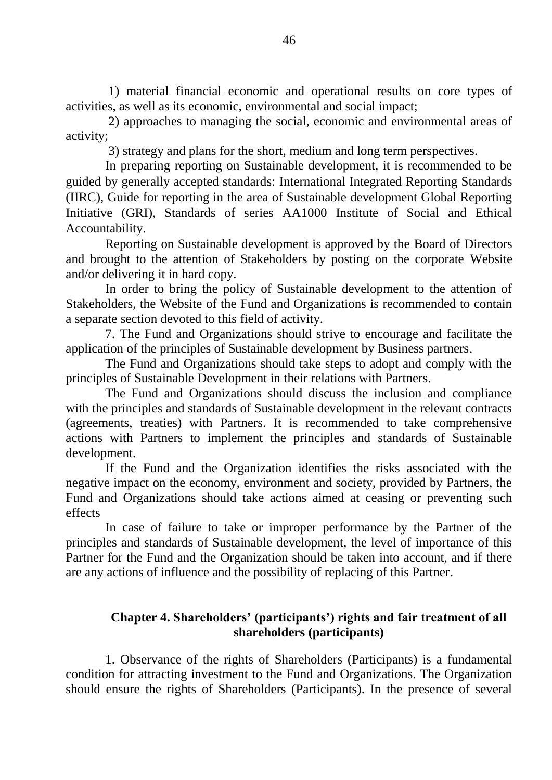1) material financial economic and operational results on core types of activities, as well as its economic, environmental and social impact;

2) approaches to managing the social, economic and environmental areas of activity;

3) strategy and plans for the short, medium and long term perspectives.

In preparing reporting on Sustainable development, it is recommended to be guided by generally accepted standards: International Integrated Reporting Standards (IIRC), Guide for reporting in the area of Sustainable development Global Reporting Initiative (GRI), Standards of series AA1000 Institute of Social and Ethical Accountability.

Reporting on Sustainable development is approved by the Board of Directors and brought to the attention of Stakeholders by posting on the corporate Website and/or delivering it in hard copy.

In order to bring the policy of Sustainable development to the attention of Stakeholders, the Website of the Fund and Organizations is recommended to contain a separate section devoted to this field of activity.

7. The Fund and Organizations should strive to encourage and facilitate the application of the principles of Sustainable development by Business partners.

The Fund and Organizations should take steps to adopt and comply with the principles of Sustainable Development in their relations with Partners.

The Fund and Organizations should discuss the inclusion and compliance with the principles and standards of Sustainable development in the relevant contracts (agreements, treaties) with Partners. It is recommended to take comprehensive actions with Partners to implement the principles and standards of Sustainable development.

If the Fund and the Organization identifies the risks associated with the negative impact on the economy, environment and society, provided by Partners, the Fund and Organizations should take actions aimed at ceasing or preventing such effects

In case of failure to take or improper performance by the Partner of the principles and standards of Sustainable development, the level of importance of this Partner for the Fund and the Organization should be taken into account, and if there are any actions of influence and the possibility of replacing of this Partner.

## **Chapter 4. Shareholders' (participants') rights and fair treatment of all shareholders (participants)**

1. Observance of the rights of Shareholders (Participants) is a fundamental condition for attracting investment to the Fund and Organizations. The Organization should ensure the rights of Shareholders (Participants). In the presence of several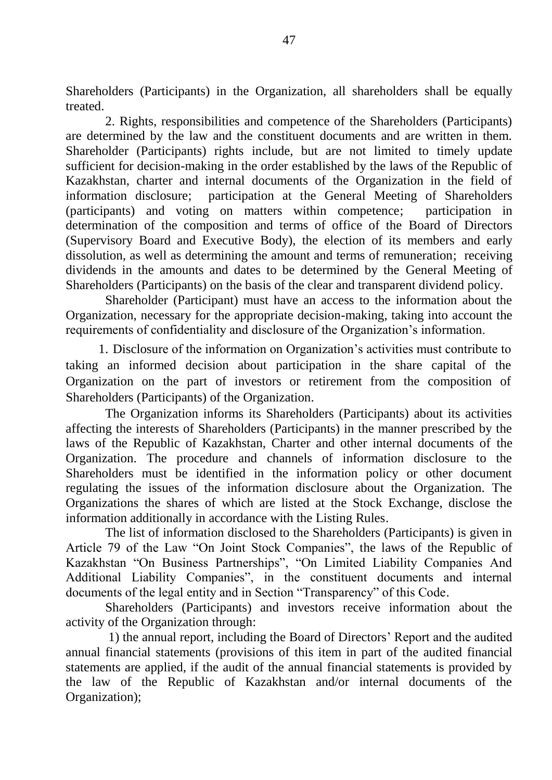Shareholders (Participants) in the Organization, all shareholders shall be equally treated.

2. Rights, responsibilities and competence of the Shareholders (Participants) are determined by the law and the constituent documents and are written in them. Shareholder (Participants) rights include, but are not limited to timely update sufficient for decision-making in the order established by the laws of the Republic of Kazakhstan, charter and internal documents of the Organization in the field of information disclosure; participation at the General Meeting of Shareholders (participants) and voting on matters within competence; participation in determination of the composition and terms of office of the Board of Directors (Supervisory Board and Executive Body), the election of its members and early dissolution, as well as determining the amount and terms of remuneration; receiving dividends in the amounts and dates to be determined by the General Meeting of Shareholders (Participants) on the basis of the clear and transparent dividend policy.

Shareholder (Participant) must have an access to the information about the Organization, necessary for the appropriate decision-making, taking into account the requirements of confidentiality and disclosure of the Organization's information.

1. Disclosure of the information on Organization's activities must contribute to taking an informed decision about participation in the share capital of the Organization on the part of investors or retirement from the composition of Shareholders (Participants) of the Organization.

The Organization informs its Shareholders (Participants) about its activities affecting the interests of Shareholders (Participants) in the manner prescribed by the laws of the Republic of Kazakhstan, Charter and other internal documents of the Organization. The procedure and channels of information disclosure to the Shareholders must be identified in the information policy or other document regulating the issues of the information disclosure about the Organization. The Organizations the shares of which are listed at the Stock Exchange, disclose the information additionally in accordance with the Listing Rules.

The list of information disclosed to the Shareholders (Participants) is given in Article 79 of the Law "On Joint Stock Companies", the laws of the Republic of Kazakhstan "On Business Partnerships", "On Limited Liability Companies And Additional Liability Companies", in the constituent documents and internal documents of the legal entity and in Section "Transparency" of this Code.

Shareholders (Participants) and investors receive information about the activity of the Organization through:

1) the annual report, including the Board of Directors' Report and the audited annual financial statements (provisions of this item in part of the audited financial statements are applied, if the audit of the annual financial statements is provided by the law of the Republic of Kazakhstan and/or internal documents of the Organization);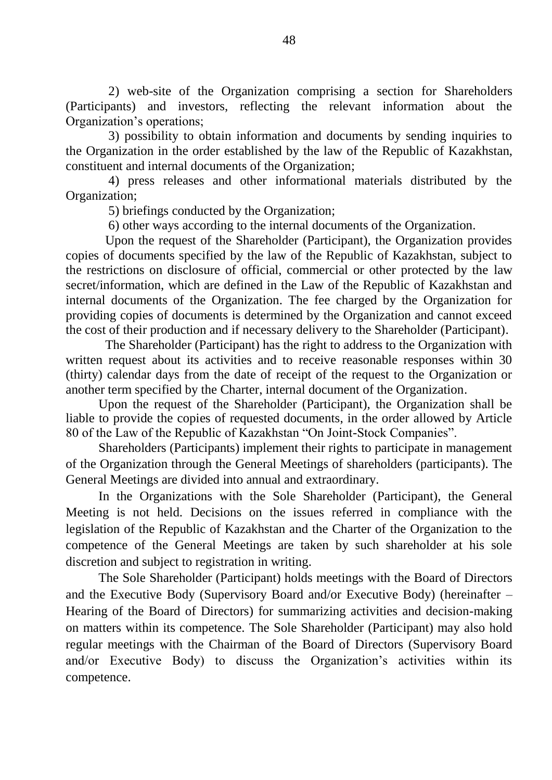2) web-site of the Organization comprising a section for Shareholders (Participants) and investors, reflecting the relevant information about the Organization's operations;

3) possibility to obtain information and documents by sending inquiries to the Organization in the order established by the law of the Republic of Kazakhstan, constituent and internal documents of the Organization;

4) press releases and other informational materials distributed by the Organization;

5) briefings conducted by the Organization;

6) other ways according to the internal documents of the Organization.

Upon the request of the Shareholder (Participant), the Organization provides copies of documents specified by the law of the Republic of Kazakhstan, subject to the restrictions on disclosure of official, commercial or other protected by the law secret/information, which are defined in the Law of the Republic of Kazakhstan and internal documents of the Organization. The fee charged by the Organization for providing copies of documents is determined by the Organization and cannot exceed the cost of their production and if necessary delivery to the Shareholder (Participant).

The Shareholder (Participant) has the right to address to the Organization with written request about its activities and to receive reasonable responses within 30 (thirty) calendar days from the date of receipt of the request to the Organization or another term specified by the Charter, internal document of the Organization.

Upon the request of the Shareholder (Participant), the Organization shall be liable to provide the copies of requested documents, in the order allowed by Article 80 of the Law of the Republic of Kazakhstan "On Joint-Stock Companies".

Shareholders (Participants) implement their rights to participate in management of the Organization through the General Meetings of shareholders (participants). The General Meetings are divided into annual and extraordinary.

In the Organizations with the Sole Shareholder (Participant), the General Meeting is not held. Decisions on the issues referred in compliance with the legislation of the Republic of Kazakhstan and the Charter of the Organization to the competence of the General Meetings are taken by such shareholder at his sole discretion and subject to registration in writing.

The Sole Shareholder (Participant) holds meetings with the Board of Directors and the Executive Body (Supervisory Board and/or Executive Body) (hereinafter – Hearing of the Board of Directors) for summarizing activities and decision-making on matters within its competence. The Sole Shareholder (Participant) may also hold regular meetings with the Chairman of the Board of Directors (Supervisory Board and/or Executive Body) to discuss the Organization's activities within its competence.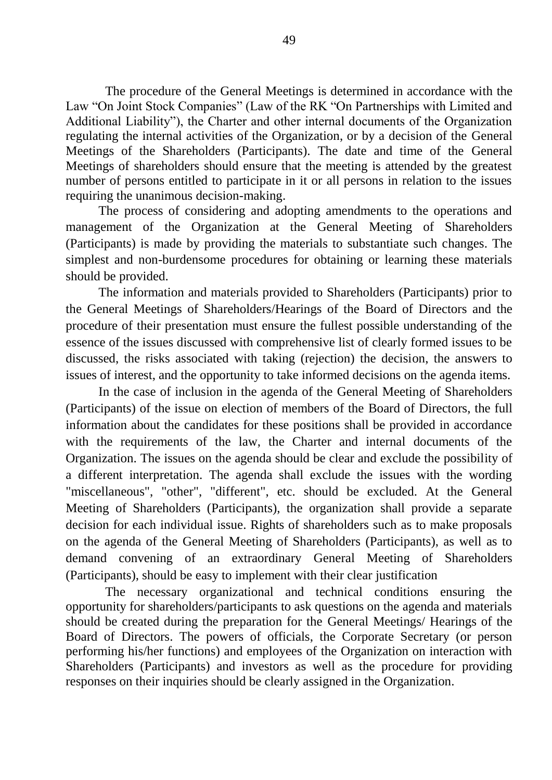The procedure of the General Meetings is determined in accordance with the Law "On Joint Stock Companies" (Law of the RK "On Partnerships with Limited and Additional Liability"), the Charter and other internal documents of the Organization regulating the internal activities of the Organization, or by a decision of the General Meetings of the Shareholders (Participants). The date and time of the General Meetings of shareholders should ensure that the meeting is attended by the greatest number of persons entitled to participate in it or all persons in relation to the issues requiring the unanimous decision-making.

The process of considering and adopting amendments to the operations and management of the Organization at the General Meeting of Shareholders (Participants) is made by providing the materials to substantiate such changes. The simplest and non-burdensome procedures for obtaining or learning these materials should be provided.

The information and materials provided to Shareholders (Participants) prior to the General Meetings of Shareholders/Hearings of the Board of Directors and the procedure of their presentation must ensure the fullest possible understanding of the essence of the issues discussed with comprehensive list of clearly formed issues to be discussed, the risks associated with taking (rejection) the decision, the answers to issues of interest, and the opportunity to take informed decisions on the agenda items.

In the case of inclusion in the agenda of the General Meeting of Shareholders (Participants) of the issue on election of members of the Board of Directors, the full information about the candidates for these positions shall be provided in accordance with the requirements of the law, the Charter and internal documents of the Organization. The issues on the agenda should be clear and exclude the possibility of a different interpretation. The agenda shall exclude the issues with the wording "miscellaneous", "other", "different", etc. should be excluded. At the General Meeting of Shareholders (Participants), the organization shall provide a separate decision for each individual issue. Rights of shareholders such as to make proposals on the agenda of the General Meeting of Shareholders (Participants), as well as to demand convening of an extraordinary General Meeting of Shareholders (Participants), should be easy to implement with their clear justification

The necessary organizational and technical conditions ensuring the opportunity for shareholders/participants to ask questions on the agenda and materials should be created during the preparation for the General Meetings/ Hearings of the Board of Directors. The powers of officials, the Corporate Secretary (or person performing his/her functions) and employees of the Organization on interaction with Shareholders (Participants) and investors as well as the procedure for providing responses on their inquiries should be clearly assigned in the Organization.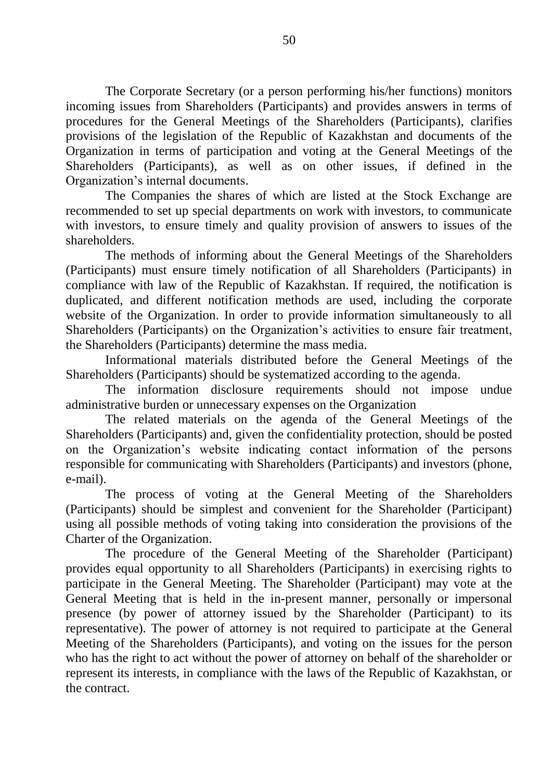The Corporate Secretary (or a person performing his/her functions) monitors incoming issues from Shareholders (Participants) and provides answers in terms of procedures for the General Meetings of the Shareholders (Participants), clarifies provisions of the legislation of the Republic of Kazakhstan and documents of the Organization in terms of participation and voting at the General Meetings of the Shareholders (Participants), as well as on other issues, if defined in the Organization's internal documents.

The Companies the shares of which are listed at the Stock Exchange are recommended to set up special departments on work with investors, to communicate with investors, to ensure timely and quality provision of answers to issues of the shareholders.

The methods of informing about the General Meetings of the Shareholders (Participants) must ensure timely notification of all Shareholders (Participants) in compliance with law of the Republic of Kazakhstan. If required, the notification is duplicated, and different notification methods are used, including the corporate website of the Organization. In order to provide information simultaneously to all Shareholders (Participants) on the Organization's activities to ensure fair treatment, the Shareholders (Participants) determine the mass media.

Informational materials distributed before the General Meetings of the Shareholders (Participants) should be systematized according to the agenda.

The information disclosure requirements should not impose undue administrative burden or unnecessary expenses on the Organization

The related materials on the agenda of the General Meetings of the Shareholders (Participants) and, given the confidentiality protection, should be posted on the Organization's website indicating contact information of the persons responsible for communicating with Shareholders (Participants) and investors (phone, e-mail).

The process of voting at the General Meeting of the Shareholders (Participants) should be simplest and convenient for the Shareholder (Participant) using all possible methods of voting taking into consideration the provisions of the Charter of the Organization.

The procedure of the General Meeting of the Shareholder (Participant) provides equal opportunity to all Shareholders (Participants) in exercising rights to participate in the General Meeting. The Shareholder (Participant) may vote at the General Meeting that is held in the in-present manner, personally or impersonal presence (by power of attorney issued by the Shareholder (Participant) to its representative). The power of attorney is not required to participate at the General Meeting of the Shareholders (Participants), and voting on the issues for the person who has the right to act without the power of attorney on behalf of the shareholder or represent its interests, in compliance with the laws of the Republic of Kazakhstan, or the contract.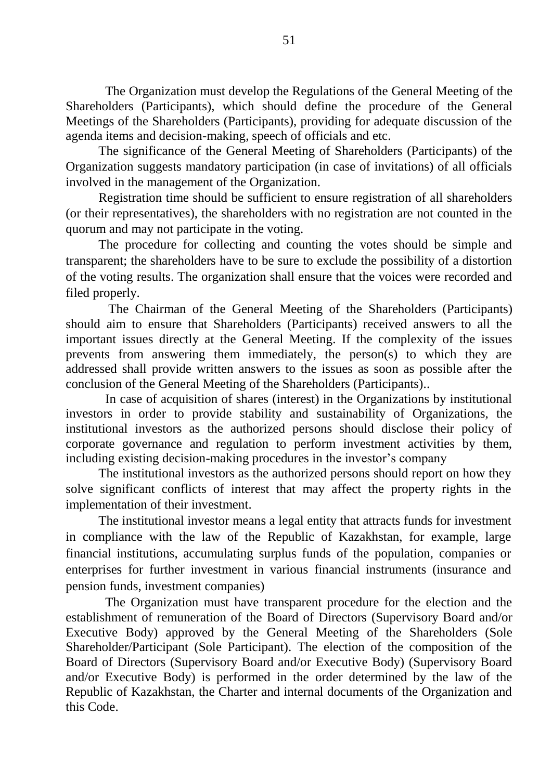The Organization must develop the Regulations of the General Meeting of the Shareholders (Participants), which should define the procedure of the General Meetings of the Shareholders (Participants), providing for adequate discussion of the agenda items and decision-making, speech of officials and etc.

The significance of the General Meeting of Shareholders (Participants) of the Organization suggests mandatory participation (in case of invitations) of all officials involved in the management of the Organization.

Registration time should be sufficient to ensure registration of all shareholders (or their representatives), the shareholders with no registration are not counted in the quorum and may not participate in the voting.

The procedure for collecting and counting the votes should be simple and transparent; the shareholders have to be sure to exclude the possibility of a distortion of the voting results. The organization shall ensure that the voices were recorded and filed properly.

The Chairman of the General Meeting of the Shareholders (Participants) should aim to ensure that Shareholders (Participants) received answers to all the important issues directly at the General Meeting. If the complexity of the issues prevents from answering them immediately, the person(s) to which they are addressed shall provide written answers to the issues as soon as possible after the conclusion of the General Meeting of the Shareholders (Participants)..

In case of acquisition of shares (interest) in the Organizations by institutional investors in order to provide stability and sustainability of Organizations, the institutional investors as the authorized persons should disclose their policy of corporate governance and regulation to perform investment activities by them, including existing decision-making procedures in the investor's company

The institutional investors as the authorized persons should report on how they solve significant conflicts of interest that may affect the property rights in the implementation of their investment.

The institutional investor means a legal entity that attracts funds for investment in compliance with the law of the Republic of Kazakhstan, for example, large financial institutions, accumulating surplus funds of the population, companies or enterprises for further investment in various financial instruments (insurance and pension funds, investment companies)

The Organization must have transparent procedure for the election and the establishment of remuneration of the Board of Directors (Supervisory Board and/or Executive Body) approved by the General Meeting of the Shareholders (Sole Shareholder/Participant (Sole Participant). The election of the composition of the Board of Directors (Supervisory Board and/or Executive Body) (Supervisory Board and/or Executive Body) is performed in the order determined by the law of the Republic of Kazakhstan, the Charter and internal documents of the Organization and this Code.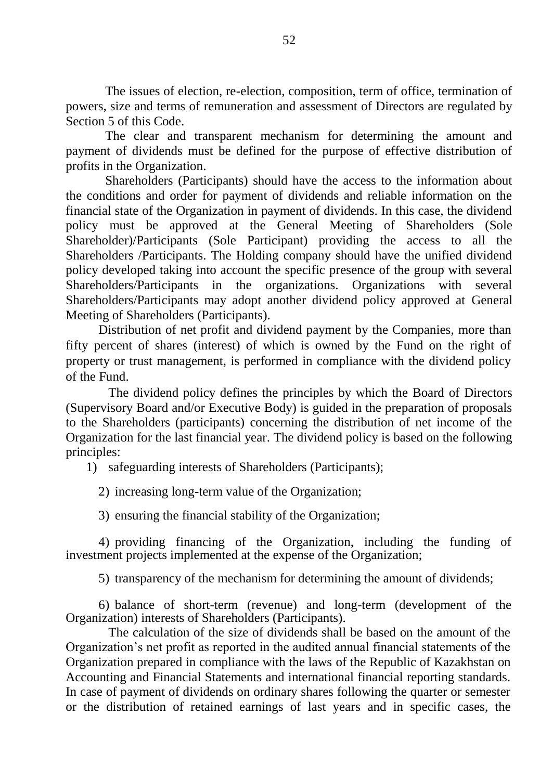The issues of election, re-election, composition, term of office, termination of powers, size and terms of remuneration and assessment of Directors are regulated by Section 5 of this Code.

The clear and transparent mechanism for determining the amount and payment of dividends must be defined for the purpose of effective distribution of profits in the Organization.

Shareholders (Participants) should have the access to the information about the conditions and order for payment of dividends and reliable information on the financial state of the Organization in payment of dividends. In this case, the dividend policy must be approved at the General Meeting of Shareholders (Sole Shareholder)/Participants (Sole Participant) providing the access to all the Shareholders /Participants. The Holding company should have the unified dividend policy developed taking into account the specific presence of the group with several Shareholders/Participants in the organizations. Organizations with several Shareholders/Participants may adopt another dividend policy approved at General Meeting of Shareholders (Participants).

Distribution of net profit and dividend payment by the Companies, more than fifty percent of shares (interest) of which is owned by the Fund on the right of property or trust management, is performed in compliance with the dividend policy of the Fund.

The dividend policy defines the principles by which the Board of Directors (Supervisory Board and/or Executive Body) is guided in the preparation of proposals to the Shareholders (participants) concerning the distribution of net income of the Organization for the last financial year. The dividend policy is based on the following principles:

1) safeguarding interests of Shareholders (Participants);

2) increasing long-term value of the Organization;

3) ensuring the financial stability of the Organization;

4) providing financing of the Organization, including the funding of investment projects implemented at the expense of the Organization;

5) transparency of the mechanism for determining the amount of dividends;

6) balance of short-term (revenue) and long-term (development of the Organization) interests of Shareholders (Participants).

The calculation of the size of dividends shall be based on the amount of the Organization's net profit as reported in the audited annual financial statements of the Organization prepared in compliance with the laws of the Republic of Kazakhstan on Accounting and Financial Statements and international financial reporting standards. In case of payment of dividends on ordinary shares following the quarter or semester or the distribution of retained earnings of last years and in specific cases, the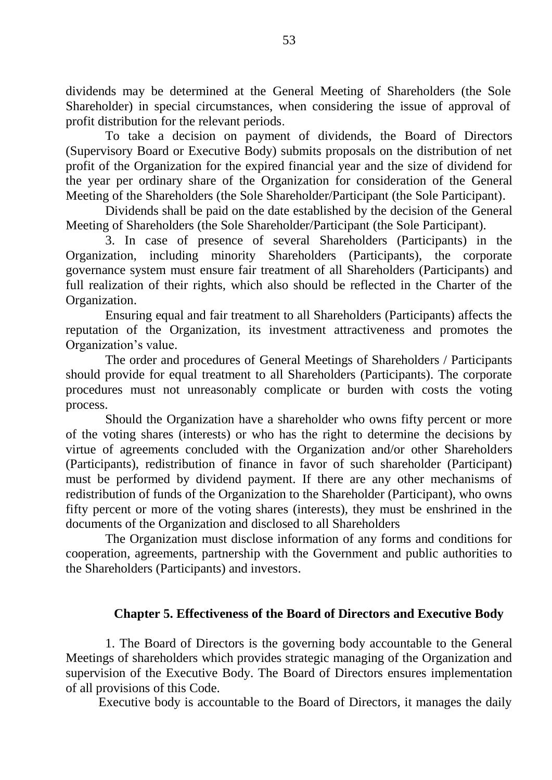dividends may be determined at the General Meeting of Shareholders (the Sole Shareholder) in special circumstances, when considering the issue of approval of profit distribution for the relevant periods.

To take a decision on payment of dividends, the Board of Directors (Supervisory Board or Executive Body) submits proposals on the distribution of net profit of the Organization for the expired financial year and the size of dividend for the year per ordinary share of the Organization for consideration of the General Meeting of the Shareholders (the Sole Shareholder/Participant (the Sole Participant).

Dividends shall be paid on the date established by the decision of the General Meeting of Shareholders (the Sole Shareholder/Participant (the Sole Participant).

3. In case of presence of several Shareholders (Participants) in the Organization, including minority Shareholders (Participants), the corporate governance system must ensure fair treatment of all Shareholders (Participants) and full realization of their rights, which also should be reflected in the Charter of the Organization.

Ensuring equal and fair treatment to all Shareholders (Participants) affects the reputation of the Organization, its investment attractiveness and promotes the Organization's value.

The order and procedures of General Meetings of Shareholders / Participants should provide for equal treatment to all Shareholders (Participants). The corporate procedures must not unreasonably complicate or burden with costs the voting process.

Should the Organization have a shareholder who owns fifty percent or more of the voting shares (interests) or who has the right to determine the decisions by virtue of agreements concluded with the Organization and/or other Shareholders (Participants), redistribution of finance in favor of such shareholder (Participant) must be performed by dividend payment. If there are any other mechanisms of redistribution of funds of the Organization to the Shareholder (Participant), who owns fifty percent or more of the voting shares (interests), they must be enshrined in the documents of the Organization and disclosed to all Shareholders

The Organization must disclose information of any forms and conditions for cooperation, agreements, partnership with the Government and public authorities to the Shareholders (Participants) and investors.

## **Chapter 5. Effectiveness of the Board of Directors and Executive Body**

1. The Board of Directors is the governing body accountable to the General Meetings of shareholders which provides strategic managing of the Organization and supervision of the Executive Body. The Board of Directors ensures implementation of all provisions of this Code.

Executive body is accountable to the Board of Directors, it manages the daily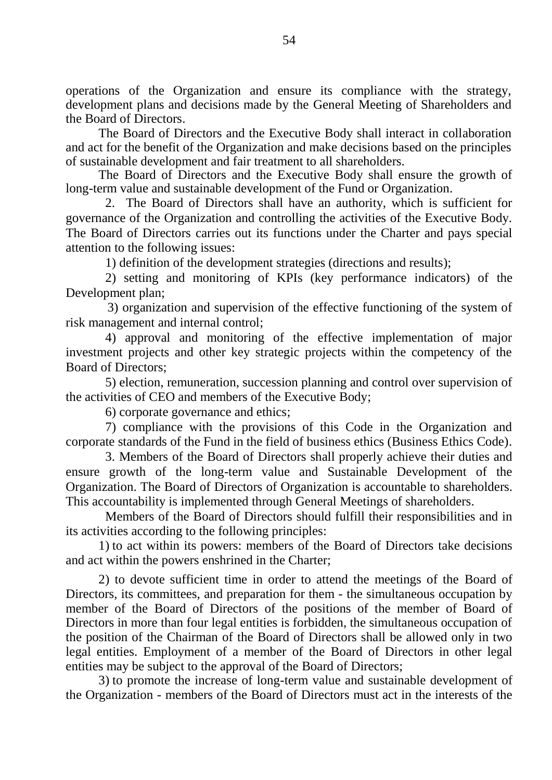operations of the Organization and ensure its compliance with the strategy, development plans and decisions made by the General Meeting of Shareholders and the Board of Directors.

The Board of Directors and the Executive Body shall interact in collaboration and act for the benefit of the Organization and make decisions based on the principles of sustainable development and fair treatment to all shareholders.

The Board of Directors and the Executive Body shall ensure the growth of long-term value and sustainable development of the Fund or Organization.

2. The Board of Directors shall have an authority, which is sufficient for governance of the Organization and controlling the activities of the Executive Body. The Board of Directors carries out its functions under the Charter and pays special attention to the following issues:

1) definition of the development strategies (directions and results);

2) setting and monitoring of KPIs (key performance indicators) of the Development plan;

3) organization and supervision of the effective functioning of the system of risk management and internal control;

4) approval and monitoring of the effective implementation of major investment projects and other key strategic projects within the competency of the Board of Directors;

5) election, remuneration, succession planning and control over supervision of the activities of CEO and members of the Executive Body;

6) corporate governance and ethics;

7) compliance with the provisions of this Code in the Organization and corporate standards of the Fund in the field of business ethics (Business Ethics Code).

3. Members of the Board of Directors shall properly achieve their duties and ensure growth of the long-term value and Sustainable Development of the Organization. The Board of Directors of Organization is accountable to shareholders. This accountability is implemented through General Meetings of shareholders.

Members of the Board of Directors should fulfill their responsibilities and in its activities according to the following principles:

1) to act within its powers: members of the Board of Directors take decisions and act within the powers enshrined in the Charter;

2) to devote sufficient time in order to attend the meetings of the Board of Directors, its committees, and preparation for them - the simultaneous occupation by member of the Board of Directors of the positions of the member of Board of Directors in more than four legal entities is forbidden, the simultaneous occupation of the position of the Chairman of the Board of Directors shall be allowed only in two legal entities. Employment of a member of the Board of Directors in other legal entities may be subject to the approval of the Board of Directors;

3) to promote the increase of long-term value and sustainable development of the Organization - members of the Board of Directors must act in the interests of the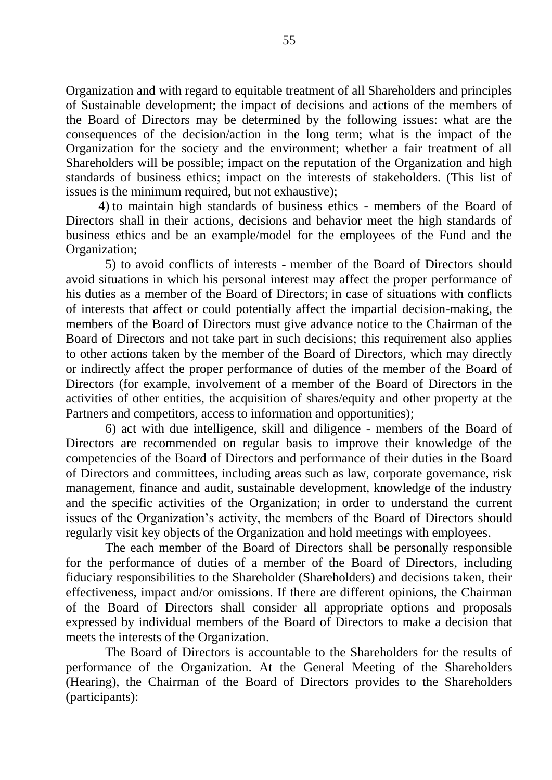Organization and with regard to equitable treatment of all Shareholders and principles of Sustainable development; the impact of decisions and actions of the members of the Board of Directors may be determined by the following issues: what are the consequences of the decision/action in the long term; what is the impact of the Organization for the society and the environment; whether a fair treatment of all Shareholders will be possible; impact on the reputation of the Organization and high standards of business ethics; impact on the interests of stakeholders. (This list of issues is the minimum required, but not exhaustive);

4) to maintain high standards of business ethics - members of the Board of Directors shall in their actions, decisions and behavior meet the high standards of business ethics and be an example/model for the employees of the Fund and the Organization;

5) to avoid conflicts of interests - member of the Board of Directors should avoid situations in which his personal interest may affect the proper performance of his duties as a member of the Board of Directors; in case of situations with conflicts of interests that affect or could potentially affect the impartial decision-making, the members of the Board of Directors must give advance notice to the Chairman of the Board of Directors and not take part in such decisions; this requirement also applies to other actions taken by the member of the Board of Directors, which may directly or indirectly affect the proper performance of duties of the member of the Board of Directors (for example, involvement of a member of the Board of Directors in the activities of other entities, the acquisition of shares/equity and other property at the Partners and competitors, access to information and opportunities);

6) act with due intelligence, skill and diligence - members of the Board of Directors are recommended on regular basis to improve their knowledge of the competencies of the Board of Directors and performance of their duties in the Board of Directors and committees, including areas such as law, corporate governance, risk management, finance and audit, sustainable development, knowledge of the industry and the specific activities of the Organization; in order to understand the current issues of the Organization's activity, the members of the Board of Directors should regularly visit key objects of the Organization and hold meetings with employees.

The each member of the Board of Directors shall be personally responsible for the performance of duties of a member of the Board of Directors, including fiduciary responsibilities to the Shareholder (Shareholders) and decisions taken, their effectiveness, impact and/or omissions. If there are different opinions, the Chairman of the Board of Directors shall consider all appropriate options and proposals expressed by individual members of the Board of Directors to make a decision that meets the interests of the Organization.

The Board of Directors is accountable to the Shareholders for the results of performance of the Organization. At the General Meeting of the Shareholders (Hearing), the Chairman of the Board of Directors provides to the Shareholders (participants):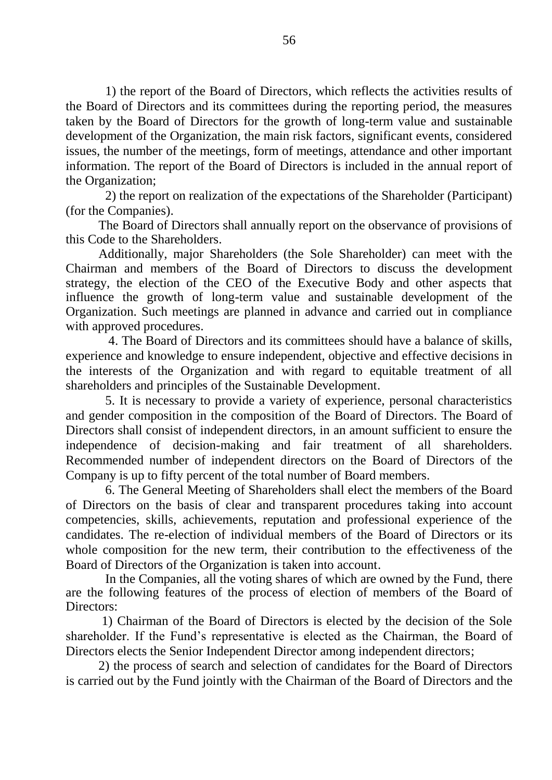1) the report of the Board of Directors, which reflects the activities results of the Board of Directors and its committees during the reporting period, the measures taken by the Board of Directors for the growth of long-term value and sustainable development of the Organization, the main risk factors, significant events, considered issues, the number of the meetings, form of meetings, attendance and other important information. The report of the Board of Directors is included in the annual report of the Organization;

2) the report on realization of the expectations of the Shareholder (Participant) (for the Companies).

The Board of Directors shall annually report on the observance of provisions of this Code to the Shareholders.

Additionally, major Shareholders (the Sole Shareholder) can meet with the Chairman and members of the Board of Directors to discuss the development strategy, the election of the CEO of the Executive Body and other aspects that influence the growth of long-term value and sustainable development of the Organization. Such meetings are planned in advance and carried out in compliance with approved procedures.

4. The Board of Directors and its committees should have a balance of skills, experience and knowledge to ensure independent, objective and effective decisions in the interests of the Organization and with regard to equitable treatment of all shareholders and principles of the Sustainable Development.

5. It is necessary to provide a variety of experience, personal characteristics and gender composition in the composition of the Board of Directors. The Board of Directors shall consist of independent directors, in an amount sufficient to ensure the independence of decision-making and fair treatment of all shareholders. Recommended number of independent directors on the Board of Directors of the Company is up to fifty percent of the total number of Board members.

6. The General Meeting of Shareholders shall elect the members of the Board of Directors on the basis of clear and transparent procedures taking into account competencies, skills, achievements, reputation and professional experience of the candidates. The re-election of individual members of the Board of Directors or its whole composition for the new term, their contribution to the effectiveness of the Board of Directors of the Organization is taken into account.

In the Companies, all the voting shares of which are owned by the Fund, there are the following features of the process of election of members of the Board of Directors:

1) Chairman of the Board of Directors is elected by the decision of the Sole shareholder. If the Fund's representative is elected as the Chairman, the Board of Directors elects the Senior Independent Director among independent directors;

2) the process of search and selection of candidates for the Board of Directors is carried out by the Fund jointly with the Chairman of the Board of Directors and the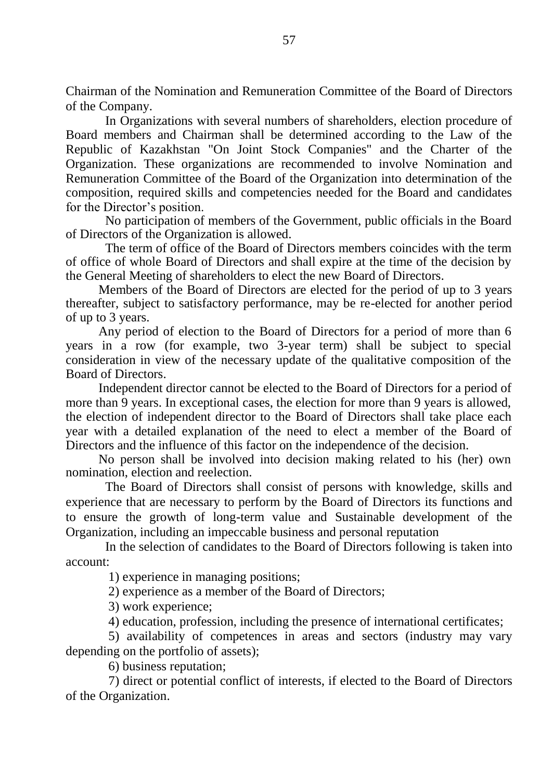Chairman of the Nomination and Remuneration Committee of the Board of Directors of the Company.

In Organizations with several numbers of shareholders, election procedure of Board members and Chairman shall be determined according to the Law of the Republic of Kazakhstan "On Joint Stock Companies" and the Charter of the Organization. These organizations are recommended to involve Nomination and Remuneration Committee of the Board of the Organization into determination of the composition, required skills and competencies needed for the Board and candidates for the Director's position.

No participation of members of the Government, public officials in the Board of Directors of the Organization is allowed.

The term of office of the Board of Directors members coincides with the term of office of whole Board of Directors and shall expire at the time of the decision by the General Meeting of shareholders to elect the new Board of Directors.

Members of the Board of Directors are elected for the period of up to 3 years thereafter, subject to satisfactory performance, may be re-elected for another period of up to 3 years.

Any period of election to the Board of Directors for a period of more than 6 years in a row (for example, two 3-year term) shall be subject to special consideration in view of the necessary update of the qualitative composition of the Board of Directors.

Independent director cannot be elected to the Board of Directors for a period of more than 9 years. In exceptional cases, the election for more than 9 years is allowed, the election of independent director to the Board of Directors shall take place each year with a detailed explanation of the need to elect a member of the Board of Directors and the influence of this factor on the independence of the decision.

No person shall be involved into decision making related to his (her) own nomination, election and reelection.

The Board of Directors shall consist of persons with knowledge, skills and experience that are necessary to perform by the Board of Directors its functions and to ensure the growth of long-term value and Sustainable development of the Organization, including an impeccable business and personal reputation

In the selection of candidates to the Board of Directors following is taken into account:

1) experience in managing positions;

2) experience as a member of the Board of Directors;

3) work experience;

4) education, profession, including the presence of international certificates;

5) availability of competences in areas and sectors (industry may vary depending on the portfolio of assets);

6) business reputation;

7) direct or potential conflict of interests, if elected to the Board of Directors of the Organization.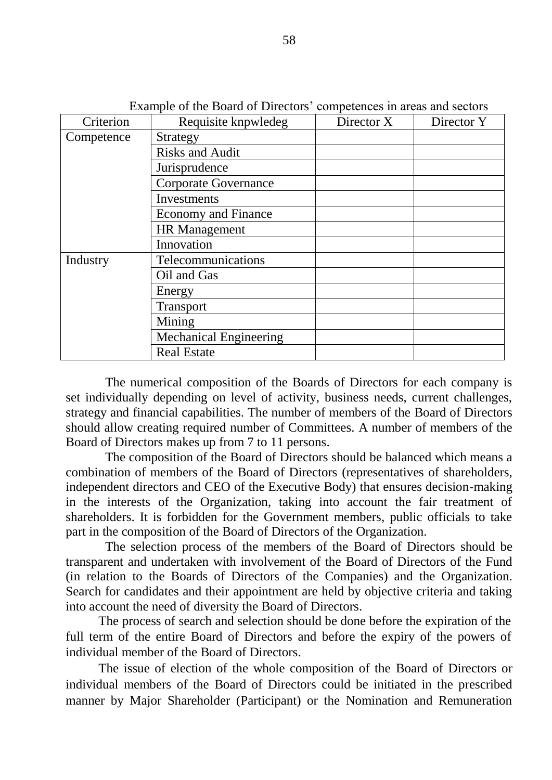| Example of the Doard of Directors competences in areas and sectors |                               |            |            |  |  |
|--------------------------------------------------------------------|-------------------------------|------------|------------|--|--|
| Criterion                                                          | Requisite knpwledeg           | Director X | Director Y |  |  |
| Competence                                                         | Strategy                      |            |            |  |  |
|                                                                    | <b>Risks and Audit</b>        |            |            |  |  |
|                                                                    | Jurisprudence                 |            |            |  |  |
|                                                                    | <b>Corporate Governance</b>   |            |            |  |  |
|                                                                    | Investments                   |            |            |  |  |
|                                                                    | <b>Economy and Finance</b>    |            |            |  |  |
|                                                                    | <b>HR</b> Management          |            |            |  |  |
|                                                                    | Innovation                    |            |            |  |  |
| Industry                                                           | Telecommunications            |            |            |  |  |
|                                                                    | Oil and Gas                   |            |            |  |  |
|                                                                    | Energy                        |            |            |  |  |
|                                                                    | Transport                     |            |            |  |  |
|                                                                    | Mining                        |            |            |  |  |
|                                                                    | <b>Mechanical Engineering</b> |            |            |  |  |
|                                                                    | <b>Real Estate</b>            |            |            |  |  |

Example of the Board of Directors' competences in areas and sectors

The numerical composition of the Boards of Directors for each company is set individually depending on level of activity, business needs, current challenges, strategy and financial capabilities. The number of members of the Board of Directors should allow creating required number of Committees. A number of members of the Board of Directors makes up from 7 to 11 persons.

The composition of the Board of Directors should be balanced which means a combination of members of the Board of Directors (representatives of shareholders, independent directors and CEO of the Executive Body) that ensures decision-making in the interests of the Organization, taking into account the fair treatment of shareholders. It is forbidden for the Government members, public officials to take part in the composition of the Board of Directors of the Organization.

The selection process of the members of the Board of Directors should be transparent and undertaken with involvement of the Board of Directors of the Fund (in relation to the Boards of Directors of the Companies) and the Organization. Search for candidates and their appointment are held by objective criteria and taking into account the need of diversity the Board of Directors.

The process of search and selection should be done before the expiration of the full term of the entire Board of Directors and before the expiry of the powers of individual member of the Board of Directors.

The issue of election of the whole composition of the Board of Directors or individual members of the Board of Directors could be initiated in the prescribed manner by Major Shareholder (Participant) or the Nomination and Remuneration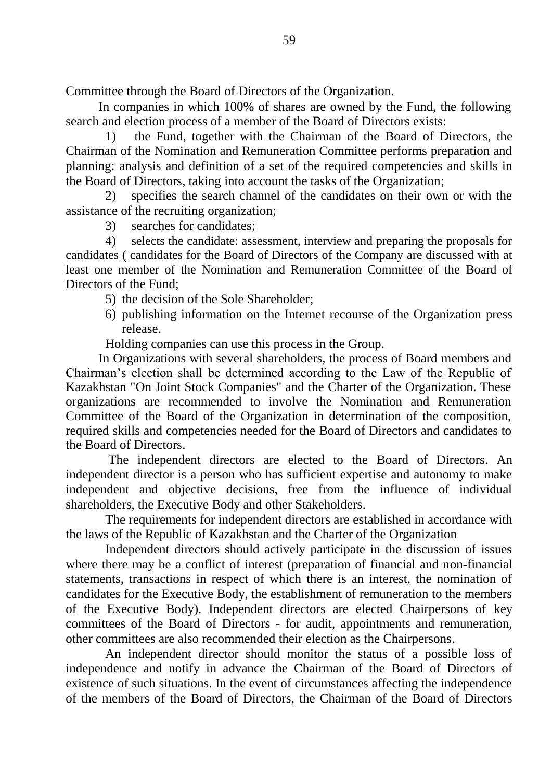Committee through the Board of Directors of the Organization.

In companies in which 100% of shares are owned by the Fund, the following search and election process of a member of the Board of Directors exists:

1) the Fund, together with the Chairman of the Board of Directors, the Chairman of the Nomination and Remuneration Committee performs preparation and planning: analysis and definition of a set of the required competencies and skills in the Board of Directors, taking into account the tasks of the Organization;

2) specifies the search channel of the candidates on their own or with the assistance of the recruiting organization;

3) searches for candidates;

4) selects the candidate: assessment, interview and preparing the proposals for candidates ( candidates for the Board of Directors of the Company are discussed with at least one member of the Nomination and Remuneration Committee of the Board of Directors of the Fund;

- 5) the decision of the Sole Shareholder;
- 6) publishing information on the Internet recourse of the Organization press release.

Holding companies can use this process in the Group.

In Organizations with several shareholders, the process of Board members and Chairman's election shall be determined according to the Law of the Republic of Kazakhstan "On Joint Stock Companies" and the Charter of the Organization. These organizations are recommended to involve the Nomination and Remuneration Committee of the Board of the Organization in determination of the composition, required skills and competencies needed for the Board of Directors and candidates to the Board of Directors.

The independent directors are elected to the Board of Directors. An independent director is a person who has sufficient expertise and autonomy to make independent and objective decisions, free from the influence of individual shareholders, the Executive Body and other Stakeholders.

The requirements for independent directors are established in accordance with the laws of the Republic of Kazakhstan and the Charter of the Organization

Independent directors should actively participate in the discussion of issues where there may be a conflict of interest (preparation of financial and non-financial statements, transactions in respect of which there is an interest, the nomination of candidates for the Executive Body, the establishment of remuneration to the members of the Executive Body). Independent directors are elected Chairpersons of key committees of the Board of Directors - for audit, appointments and remuneration, other committees are also recommended their election as the Chairpersons.

An independent director should monitor the status of a possible loss of independence and notify in advance the Chairman of the Board of Directors of existence of such situations. In the event of circumstances affecting the independence of the members of the Board of Directors, the Chairman of the Board of Directors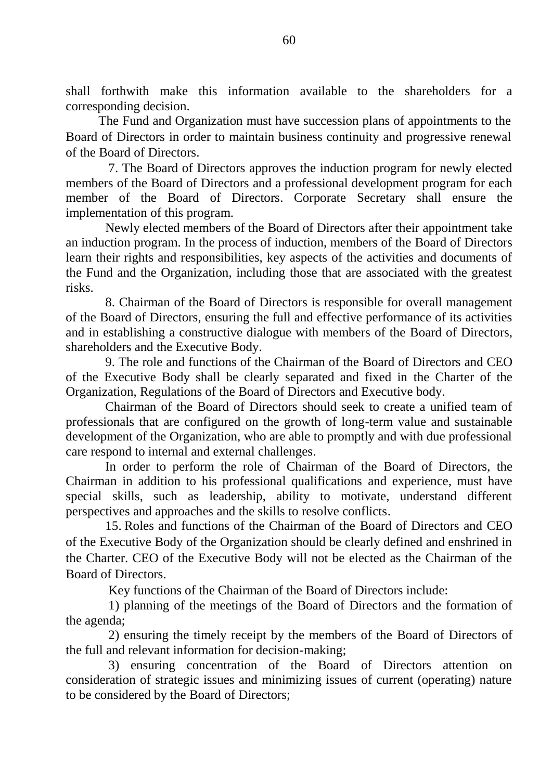shall forthwith make this information available to the shareholders for a corresponding decision.

The Fund and Organization must have succession plans of appointments to the Board of Directors in order to maintain business continuity and progressive renewal of the Board of Directors.

7. The Board of Directors approves the induction program for newly elected members of the Board of Directors and a professional development program for each member of the Board of Directors. Corporate Secretary shall ensure the implementation of this program.

Newly elected members of the Board of Directors after their appointment take an induction program. In the process of induction, members of the Board of Directors learn their rights and responsibilities, key aspects of the activities and documents of the Fund and the Organization, including those that are associated with the greatest risks.

8. Chairman of the Board of Directors is responsible for overall management of the Board of Directors, ensuring the full and effective performance of its activities and in establishing a constructive dialogue with members of the Board of Directors, shareholders and the Executive Body.

9. The role and functions of the Chairman of the Board of Directors and CEO of the Executive Body shall be clearly separated and fixed in the Charter of the Organization, Regulations of the Board of Directors and Executive body.

Chairman of the Board of Directors should seek to create a unified team of professionals that are configured on the growth of long-term value and sustainable development of the Organization, who are able to promptly and with due professional care respond to internal and external challenges.

In order to perform the role of Chairman of the Board of Directors, the Chairman in addition to his professional qualifications and experience, must have special skills, such as leadership, ability to motivate, understand different perspectives and approaches and the skills to resolve conflicts.

15. Roles and functions of the Chairman of the Board of Directors and CEO of the Executive Body of the Organization should be clearly defined and enshrined in the Charter. CEO of the Executive Body will not be elected as the Chairman of the Board of Directors.

Key functions of the Chairman of the Board of Directors include:

1) planning of the meetings of the Board of Directors and the formation of the agenda;

2) ensuring the timely receipt by the members of the Board of Directors of the full and relevant information for decision-making;

3) ensuring concentration of the Board of Directors attention on consideration of strategic issues and minimizing issues of current (operating) nature to be considered by the Board of Directors;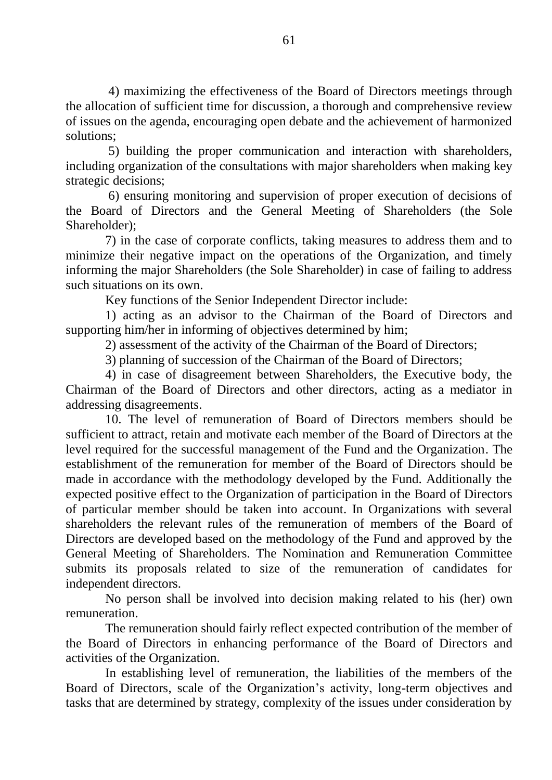4) maximizing the effectiveness of the Board of Directors meetings through the allocation of sufficient time for discussion, a thorough and comprehensive review of issues on the agenda, encouraging open debate and the achievement of harmonized solutions;

5) building the proper communication and interaction with shareholders, including organization of the consultations with major shareholders when making key strategic decisions;

6) ensuring monitoring and supervision of proper execution of decisions of the Board of Directors and the General Meeting of Shareholders (the Sole Shareholder);

7) in the case of corporate conflicts, taking measures to address them and to minimize their negative impact on the operations of the Organization, and timely informing the major Shareholders (the Sole Shareholder) in case of failing to address such situations on its own.

Key functions of the Senior Independent Director include:

1) acting as an advisor to the Chairman of the Board of Directors and supporting him/her in informing of objectives determined by him;

2) assessment of the activity of the Chairman of the Board of Directors;

3) planning of succession of the Chairman of the Board of Directors;

4) in case of disagreement between Shareholders, the Executive body, the Chairman of the Board of Directors and other directors, acting as a mediator in addressing disagreements.

10. The level of remuneration of Board of Directors members should be sufficient to attract, retain and motivate each member of the Board of Directors at the level required for the successful management of the Fund and the Organization. The establishment of the remuneration for member of the Board of Directors should be made in accordance with the methodology developed by the Fund. Additionally the expected positive effect to the Organization of participation in the Board of Directors of particular member should be taken into account. In Organizations with several shareholders the relevant rules of the remuneration of members of the Board of Directors are developed based on the methodology of the Fund and approved by the General Meeting of Shareholders. The Nomination and Remuneration Committee submits its proposals related to size of the remuneration of candidates for independent directors.

No person shall be involved into decision making related to his (her) own remuneration.

The remuneration should fairly reflect expected contribution of the member of the Board of Directors in enhancing performance of the Board of Directors and activities of the Organization.

In establishing level of remuneration, the liabilities of the members of the Board of Directors, scale of the Organization's activity, long-term objectives and tasks that are determined by strategy, complexity of the issues under consideration by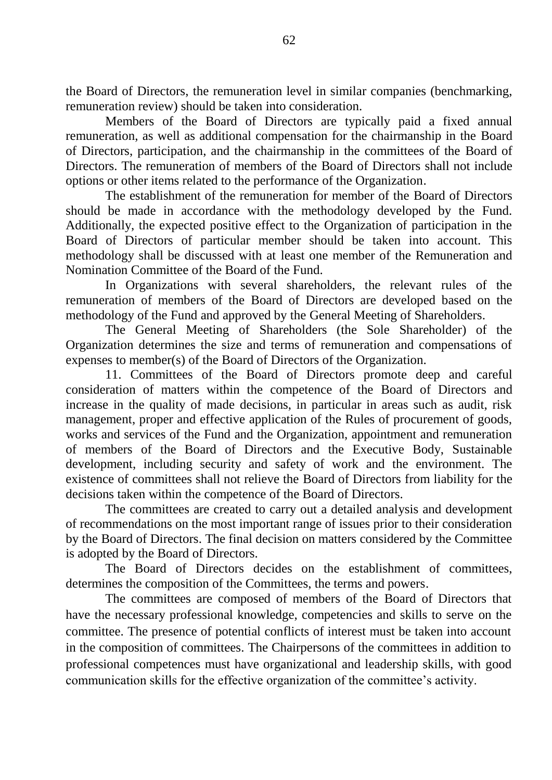the Board of Directors, the remuneration level in similar companies (benchmarking, remuneration review) should be taken into consideration.

Members of the Board of Directors are typically paid a fixed annual remuneration, as well as additional compensation for the chairmanship in the Board of Directors, participation, and the chairmanship in the committees of the Board of Directors. The remuneration of members of the Board of Directors shall not include options or other items related to the performance of the Organization.

The establishment of the remuneration for member of the Board of Directors should be made in accordance with the methodology developed by the Fund. Additionally, the expected positive effect to the Organization of participation in the Board of Directors of particular member should be taken into account. This methodology shall be discussed with at least one member of the Remuneration and Nomination Committee of the Board of the Fund.

In Organizations with several shareholders, the relevant rules of the remuneration of members of the Board of Directors are developed based on the methodology of the Fund and approved by the General Meeting of Shareholders.

The General Meeting of Shareholders (the Sole Shareholder) of the Organization determines the size and terms of remuneration and compensations of expenses to member(s) of the Board of Directors of the Organization.

11. Committees of the Board of Directors promote deep and careful consideration of matters within the competence of the Board of Directors and increase in the quality of made decisions, in particular in areas such as audit, risk management, proper and effective application of the Rules of procurement of goods, works and services of the Fund and the Organization, appointment and remuneration of members of the Board of Directors and the Executive Body, Sustainable development, including security and safety of work and the environment. The existence of committees shall not relieve the Board of Directors from liability for the decisions taken within the competence of the Board of Directors.

The committees are created to carry out a detailed analysis and development of recommendations on the most important range of issues prior to their consideration by the Board of Directors. The final decision on matters considered by the Committee is adopted by the Board of Directors.

The Board of Directors decides on the establishment of committees, determines the composition of the Committees, the terms and powers.

The committees are composed of members of the Board of Directors that have the necessary professional knowledge, competencies and skills to serve on the committee. The presence of potential conflicts of interest must be taken into account in the composition of committees. The Chairpersons of the committees in addition to professional competences must have organizational and leadership skills, with good communication skills for the effective organization of the committee's activity.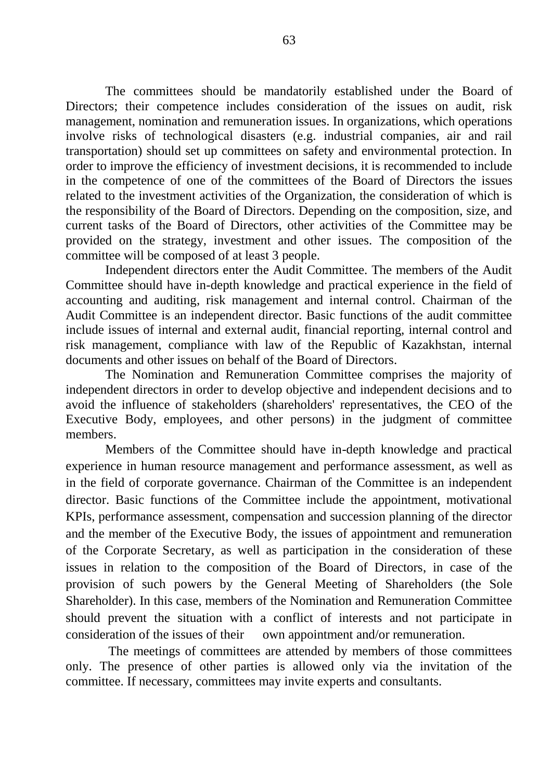The committees should be mandatorily established under the Board of Directors; their competence includes consideration of the issues on audit, risk management, nomination and remuneration issues. In organizations, which operations involve risks of technological disasters (e.g. industrial companies, air and rail transportation) should set up committees on safety and environmental protection. In order to improve the efficiency of investment decisions, it is recommended to include in the competence of one of the committees of the Board of Directors the issues related to the investment activities of the Organization, the consideration of which is the responsibility of the Board of Directors. Depending on the composition, size, and current tasks of the Board of Directors, other activities of the Committee may be provided on the strategy, investment and other issues. The composition of the committee will be composed of at least 3 people.

Independent directors enter the Audit Committee. The members of the Audit Committee should have in-depth knowledge and practical experience in the field of accounting and auditing, risk management and internal control. Chairman of the Audit Committee is an independent director. Basic functions of the audit committee include issues of internal and external audit, financial reporting, internal control and risk management, compliance with law of the Republic of Kazakhstan, internal documents and other issues on behalf of the Board of Directors.

The Nomination and Remuneration Committee comprises the majority of independent directors in order to develop objective and independent decisions and to avoid the influence of stakeholders (shareholders' representatives, the CEO of the Executive Body, employees, and other persons) in the judgment of committee members.

Members of the Committee should have in-depth knowledge and practical experience in human resource management and performance assessment, as well as in the field of corporate governance. Chairman of the Committee is an independent director. Basic functions of the Committee include the appointment, motivational KPIs, performance assessment, compensation and succession planning of the director and the member of the Executive Body, the issues of appointment and remuneration of the Corporate Secretary, as well as participation in the consideration of these issues in relation to the composition of the Board of Directors, in case of the provision of such powers by the General Meeting of Shareholders (the Sole Shareholder). In this case, members of the Nomination and Remuneration Committee should prevent the situation with a conflict of interests and not participate in consideration of the issues of their own appointment and/or remuneration.

The meetings of committees are attended by members of those committees only. The presence of other parties is allowed only via the invitation of the committee. If necessary, committees may invite experts and consultants.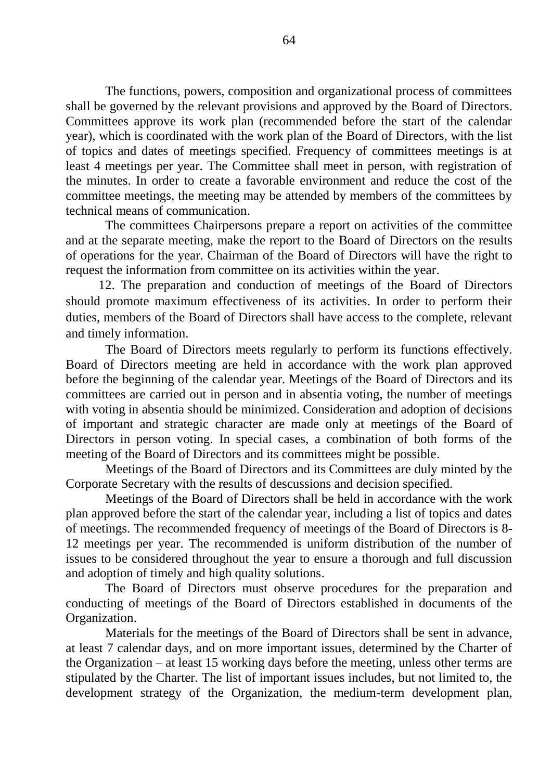The functions, powers, composition and organizational process of committees shall be governed by the relevant provisions and approved by the Board of Directors. Committees approve its work plan (recommended before the start of the calendar year), which is coordinated with the work plan of the Board of Directors, with the list of topics and dates of meetings specified. Frequency of committees meetings is at least 4 meetings per year. The Committee shall meet in person, with registration of the minutes. In order to create a favorable environment and reduce the cost of the committee meetings, the meeting may be attended by members of the committees by technical means of communication.

The committees Chairpersons prepare a report on activities of the committee and at the separate meeting, make the report to the Board of Directors on the results of operations for the year. Chairman of the Board of Directors will have the right to request the information from committee on its activities within the year.

12. The preparation and conduction of meetings of the Board of Directors should promote maximum effectiveness of its activities. In order to perform their duties, members of the Board of Directors shall have access to the complete, relevant and timely information.

The Board of Directors meets regularly to perform its functions effectively. Board of Directors meeting are held in accordance with the work plan approved before the beginning of the calendar year. Meetings of the Board of Directors and its committees are carried out in person and in absentia voting, the number of meetings with voting in absentia should be minimized. Consideration and adoption of decisions of important and strategic character are made only at meetings of the Board of Directors in person voting. In special cases, a combination of both forms of the meeting of the Board of Directors and its committees might be possible.

Meetings of the Board of Directors and its Committees are duly minted by the Corporate Secretary with the results of descussions and decision specified.

Meetings of the Board of Directors shall be held in accordance with the work plan approved before the start of the calendar year, including a list of topics and dates of meetings. The recommended frequency of meetings of the Board of Directors is 8- 12 meetings per year. The recommended is uniform distribution of the number of issues to be considered throughout the year to ensure a thorough and full discussion and adoption of timely and high quality solutions.

The Board of Directors must observe procedures for the preparation and conducting of meetings of the Board of Directors established in documents of the Organization.

Materials for the meetings of the Board of Directors shall be sent in advance, at least 7 calendar days, and on more important issues, determined by the Charter of the Organization – at least 15 working days before the meeting, unless other terms are stipulated by the Charter. The list of important issues includes, but not limited to, the development strategy of the Organization, the medium-term development plan,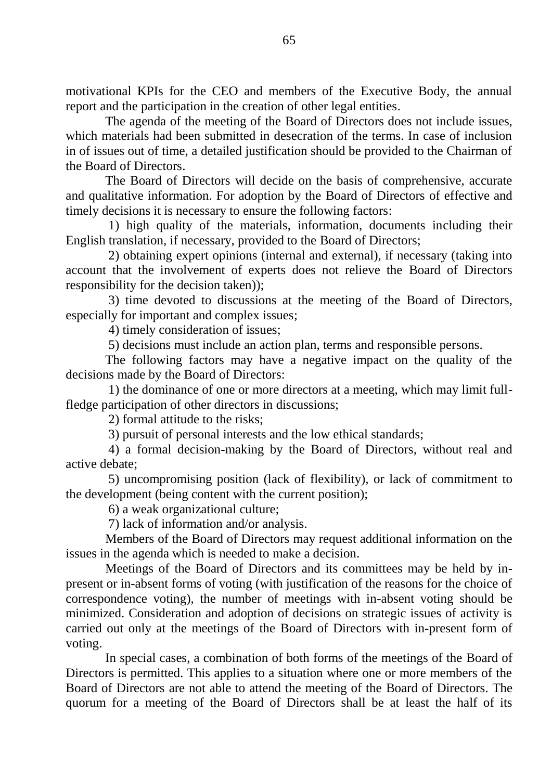motivational KPIs for the CEO and members of the Executive Body, the annual report and the participation in the creation of other legal entities.

The agenda of the meeting of the Board of Directors does not include issues, which materials had been submitted in desecration of the terms. In case of inclusion in of issues out of time, a detailed justification should be provided to the Chairman of the Board of Directors.

The Board of Directors will decide on the basis of comprehensive, accurate and qualitative information. For adoption by the Board of Directors of effective and timely decisions it is necessary to ensure the following factors:

1) high quality of the materials, information, documents including their English translation, if necessary, provided to the Board of Directors;

2) obtaining expert opinions (internal and external), if necessary (taking into account that the involvement of experts does not relieve the Board of Directors responsibility for the decision taken));

3) time devoted to discussions at the meeting of the Board of Directors, especially for important and complex issues;

4) timely consideration of issues;

5) decisions must include an action plan, terms and responsible persons.

The following factors may have a negative impact on the quality of the decisions made by the Board of Directors:

1) the dominance of one or more directors at a meeting, which may limit fullfledge participation of other directors in discussions;

2) formal attitude to the risks;

3) pursuit of personal interests and the low ethical standards;

4) a formal decision-making by the Board of Directors, without real and active debate;

5) uncompromising position (lack of flexibility), or lack of commitment to the development (being content with the current position);

6) a weak organizational culture;

7) lack of information and/or analysis.

Members of the Board of Directors may request additional information on the issues in the agenda which is needed to make a decision.

Meetings of the Board of Directors and its committees may be held by inpresent or in-absent forms of voting (with justification of the reasons for the choice of correspondence voting), the number of meetings with in-absent voting should be minimized. Consideration and adoption of decisions on strategic issues of activity is carried out only at the meetings of the Board of Directors with in-present form of voting.

In special cases, a combination of both forms of the meetings of the Board of Directors is permitted. This applies to a situation where one or more members of the Board of Directors are not able to attend the meeting of the Board of Directors. The quorum for a meeting of the Board of Directors shall be at least the half of its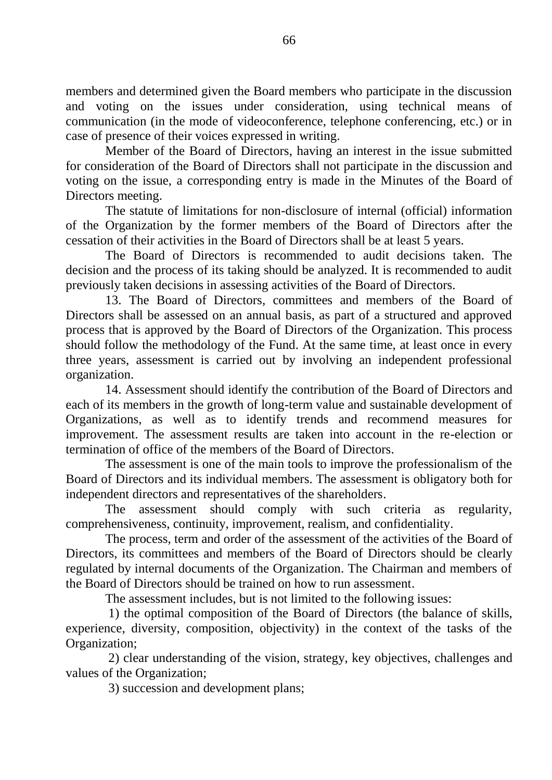members and determined given the Board members who participate in the discussion and voting on the issues under consideration, using technical means of communication (in the mode of videoconference, telephone conferencing, etc.) or in case of presence of their voices expressed in writing.

Member of the Board of Directors, having an interest in the issue submitted for consideration of the Board of Directors shall not participate in the discussion and voting on the issue, a corresponding entry is made in the Minutes of the Board of Directors meeting.

The statute of limitations for non-disclosure of internal (official) information of the Organization by the former members of the Board of Directors after the cessation of their activities in the Board of Directors shall be at least 5 years.

The Board of Directors is recommended to audit decisions taken. The decision and the process of its taking should be analyzed. It is recommended to audit previously taken decisions in assessing activities of the Board of Directors.

13. The Board of Directors, committees and members of the Board of Directors shall be assessed on an annual basis, as part of a structured and approved process that is approved by the Board of Directors of the Organization. This process should follow the methodology of the Fund. At the same time, at least once in every three years, assessment is carried out by involving an independent professional organization.

14. Assessment should identify the contribution of the Board of Directors and each of its members in the growth of long-term value and sustainable development of Organizations, as well as to identify trends and recommend measures for improvement. The assessment results are taken into account in the re-election or termination of office of the members of the Board of Directors.

The assessment is one of the main tools to improve the professionalism of the Board of Directors and its individual members. The assessment is obligatory both for independent directors and representatives of the shareholders.

The assessment should comply with such criteria as regularity, comprehensiveness, continuity, improvement, realism, and confidentiality.

The process, term and order of the assessment of the activities of the Board of Directors, its committees and members of the Board of Directors should be clearly regulated by internal documents of the Organization. The Chairman and members of the Board of Directors should be trained on how to run assessment.

The assessment includes, but is not limited to the following issues:

1) the optimal composition of the Board of Directors (the balance of skills, experience, diversity, composition, objectivity) in the context of the tasks of the Organization;

2) clear understanding of the vision, strategy, key objectives, challenges and values of the Organization;

3) succession and development plans;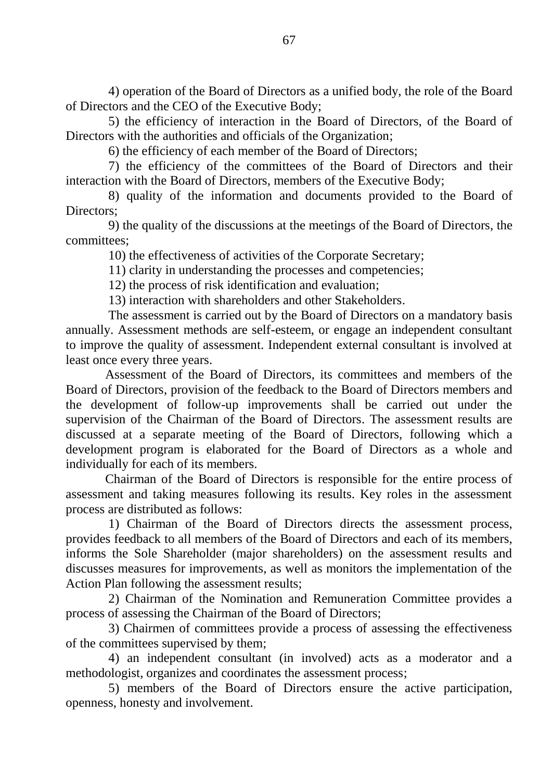4) operation of the Board of Directors as a unified body, the role of the Board of Directors and the CEO of the Executive Body;

5) the efficiency of interaction in the Board of Directors, of the Board of Directors with the authorities and officials of the Organization;

6) the efficiency of each member of the Board of Directors;

7) the efficiency of the committees of the Board of Directors and their interaction with the Board of Directors, members of the Executive Body;

8) quality of the information and documents provided to the Board of Directors:

9) the quality of the discussions at the meetings of the Board of Directors, the committees;

10) the effectiveness of activities of the Corporate Secretary;

11) clarity in understanding the processes and competencies;

12) the process of risk identification and evaluation;

13) interaction with shareholders and other Stakeholders.

The assessment is carried out by the Board of Directors on a mandatory basis annually. Assessment methods are self-esteem, or engage an independent consultant to improve the quality of assessment. Independent external consultant is involved at least once every three years.

Assessment of the Board of Directors, its committees and members of the Board of Directors, provision of the feedback to the Board of Directors members and the development of follow-up improvements shall be carried out under the supervision of the Chairman of the Board of Directors. The assessment results are discussed at a separate meeting of the Board of Directors, following which a development program is elaborated for the Board of Directors as a whole and individually for each of its members.

Chairman of the Board of Directors is responsible for the entire process of assessment and taking measures following its results. Key roles in the assessment process are distributed as follows:

1) Chairman of the Board of Directors directs the assessment process, provides feedback to all members of the Board of Directors and each of its members, informs the Sole Shareholder (major shareholders) on the assessment results and discusses measures for improvements, as well as monitors the implementation of the Action Plan following the assessment results;

2) Chairman of the Nomination and Remuneration Committee provides a process of assessing the Chairman of the Board of Directors;

3) Chairmen of committees provide a process of assessing the effectiveness of the committees supervised by them;

4) an independent consultant (in involved) acts as a moderator and a methodologist, organizes and coordinates the assessment process;

5) members of the Board of Directors ensure the active participation, openness, honesty and involvement.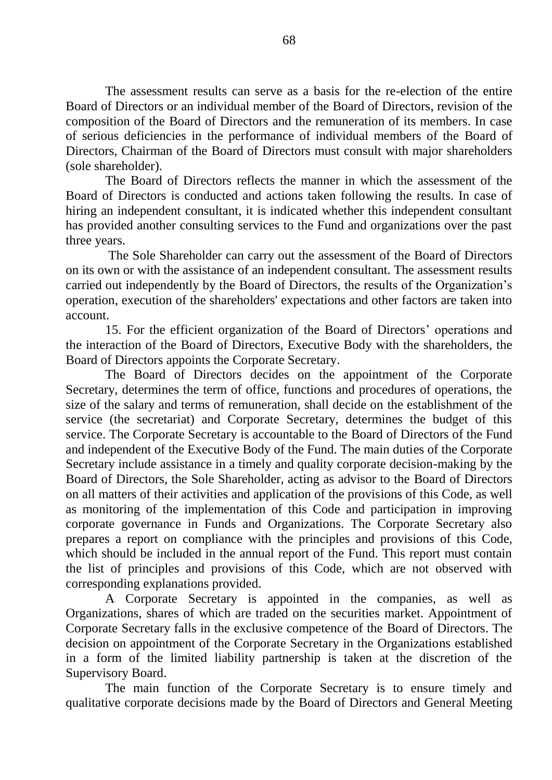The assessment results can serve as a basis for the re-election of the entire Board of Directors or an individual member of the Board of Directors, revision of the composition of the Board of Directors and the remuneration of its members. In case of serious deficiencies in the performance of individual members of the Board of Directors, Chairman of the Board of Directors must consult with major shareholders (sole shareholder).

The Board of Directors reflects the manner in which the assessment of the Board of Directors is conducted and actions taken following the results. In case of hiring an independent consultant, it is indicated whether this independent consultant has provided another consulting services to the Fund and organizations over the past three years.

The Sole Shareholder can carry out the assessment of the Board of Directors on its own or with the assistance of an independent consultant. The assessment results carried out independently by the Board of Directors, the results of the Organization's operation, execution of the shareholders' expectations and other factors are taken into account.

15. For the efficient organization of the Board of Directors' operations and the interaction of the Board of Directors, Executive Body with the shareholders, the Board of Directors appoints the Corporate Secretary.

The Board of Directors decides on the appointment of the Corporate Secretary, determines the term of office, functions and procedures of operations, the size of the salary and terms of remuneration, shall decide on the establishment of the service (the secretariat) and Corporate Secretary, determines the budget of this service. The Corporate Secretary is accountable to the Board of Directors of the Fund and independent of the Executive Body of the Fund. The main duties of the Corporate Secretary include assistance in a timely and quality corporate decision-making by the Board of Directors, the Sole Shareholder, acting as advisor to the Board of Directors on all matters of their activities and application of the provisions of this Code, as well as monitoring of the implementation of this Code and participation in improving corporate governance in Funds and Organizations. The Corporate Secretary also prepares a report on compliance with the principles and provisions of this Code, which should be included in the annual report of the Fund. This report must contain the list of principles and provisions of this Code, which are not observed with corresponding explanations provided.

A Corporate Secretary is appointed in the companies, as well as Organizations, shares of which are traded on the securities market. Appointment of Corporate Secretary falls in the exclusive competence of the Board of Directors. The decision on appointment of the Corporate Secretary in the Organizations established in a form of the limited liability partnership is taken at the discretion of the Supervisory Board.

The main function of the Corporate Secretary is to ensure timely and qualitative corporate decisions made by the Board of Directors and General Meeting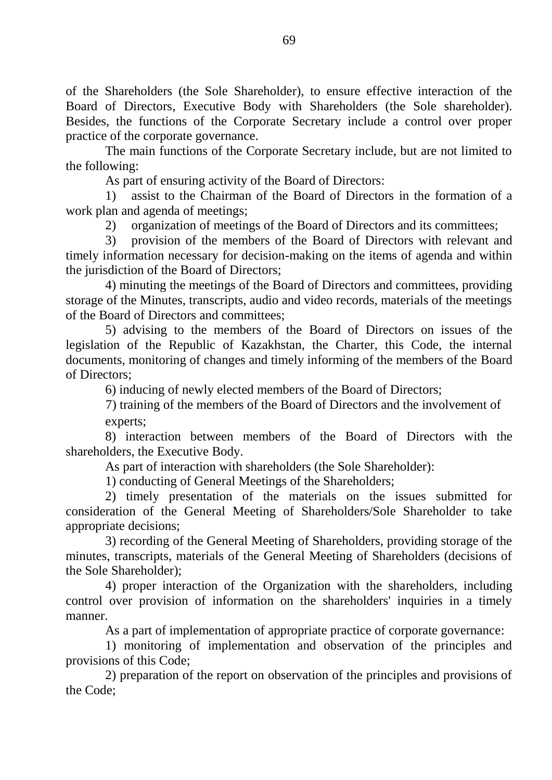of the Shareholders (the Sole Shareholder), to ensure effective interaction of the Board of Directors, Executive Body with Shareholders (the Sole shareholder). Besides, the functions of the Corporate Secretary include a control over proper practice of the corporate governance.

The main functions of the Corporate Secretary include, but are not limited to the following:

As part of ensuring activity of the Board of Directors:

1) assist to the Chairman of the Board of Directors in the formation of a work plan and agenda of meetings;

2) organization of meetings of the Board of Directors and its committees;

3) provision of the members of the Board of Directors with relevant and timely information necessary for decision-making on the items of agenda and within the jurisdiction of the Board of Directors;

4) minuting the meetings of the Board of Directors and committees, providing storage of the Minutes, transcripts, audio and video records, materials of the meetings of the Board of Directors and committees;

5) advising to the members of the Board of Directors on issues of the legislation of the Republic of Kazakhstan, the Charter, this Code, the internal documents, monitoring of changes and timely informing of the members of the Board of Directors;

6) inducing of newly elected members of the Board of Directors;

7) training of the members of the Board of Directors and the involvement of experts;

8) interaction between members of the Board of Directors with the shareholders, the Executive Body.

As part of interaction with shareholders (the Sole Shareholder):

1) conducting of General Meetings of the Shareholders;

2) timely presentation of the materials on the issues submitted for consideration of the General Meeting of Shareholders/Sole Shareholder to take appropriate decisions;

3) recording of the General Meeting of Shareholders, providing storage of the minutes, transcripts, materials of the General Meeting of Shareholders (decisions of the Sole Shareholder);

4) proper interaction of the Organization with the shareholders, including control over provision of information on the shareholders' inquiries in a timely manner.

As a part of implementation of appropriate practice of corporate governance:

1) monitoring of implementation and observation of the principles and provisions of this Code;

2) preparation of the report on observation of the principles and provisions of the Code;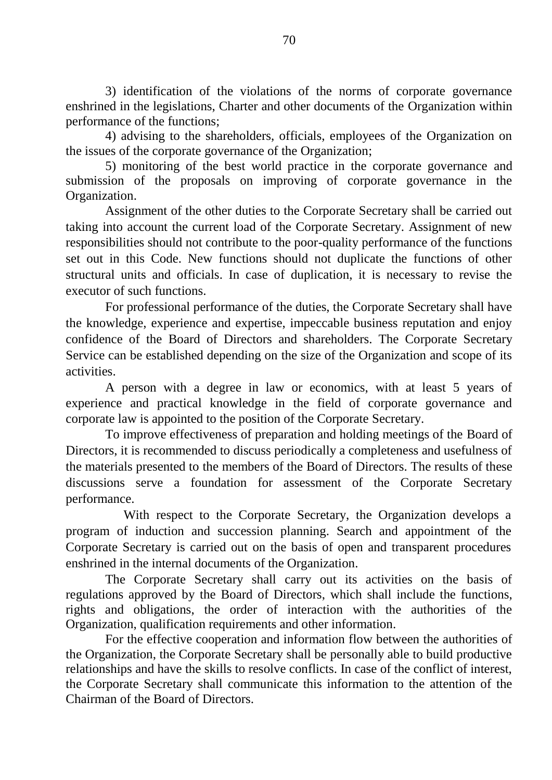3) identification of the violations of the norms of corporate governance enshrined in the legislations, Charter and other documents of the Organization within performance of the functions;

4) advising to the shareholders, officials, employees of the Organization on the issues of the corporate governance of the Organization;

5) monitoring of the best world practice in the corporate governance and submission of the proposals on improving of corporate governance in the Organization.

Assignment of the other duties to the Corporate Secretary shall be carried out taking into account the current load of the Corporate Secretary. Assignment of new responsibilities should not contribute to the poor-quality performance of the functions set out in this Code. New functions should not duplicate the functions of other structural units and officials. In case of duplication, it is necessary to revise the executor of such functions.

For professional performance of the duties, the Corporate Secretary shall have the knowledge, experience and expertise, impeccable business reputation and enjoy confidence of the Board of Directors and shareholders. The Corporate Secretary Service can be established depending on the size of the Organization and scope of its activities.

A person with a degree in law or economics, with at least 5 years of experience and practical knowledge in the field of corporate governance and corporate law is appointed to the position of the Corporate Secretary.

To improve effectiveness of preparation and holding meetings of the Board of Directors, it is recommended to discuss periodically a completeness and usefulness of the materials presented to the members of the Board of Directors. The results of these discussions serve a foundation for assessment of the Corporate Secretary performance.

With respect to the Corporate Secretary, the Organization develops a program of induction and succession planning. Search and appointment of the Corporate Secretary is carried out on the basis of open and transparent procedures enshrined in the internal documents of the Organization.

The Corporate Secretary shall carry out its activities on the basis of regulations approved by the Board of Directors, which shall include the functions, rights and obligations, the order of interaction with the authorities of the Organization, qualification requirements and other information.

For the effective cooperation and information flow between the authorities of the Organization, the Corporate Secretary shall be personally able to build productive relationships and have the skills to resolve conflicts. In case of the conflict of interest, the Corporate Secretary shall communicate this information to the attention of the Chairman of the Board of Directors.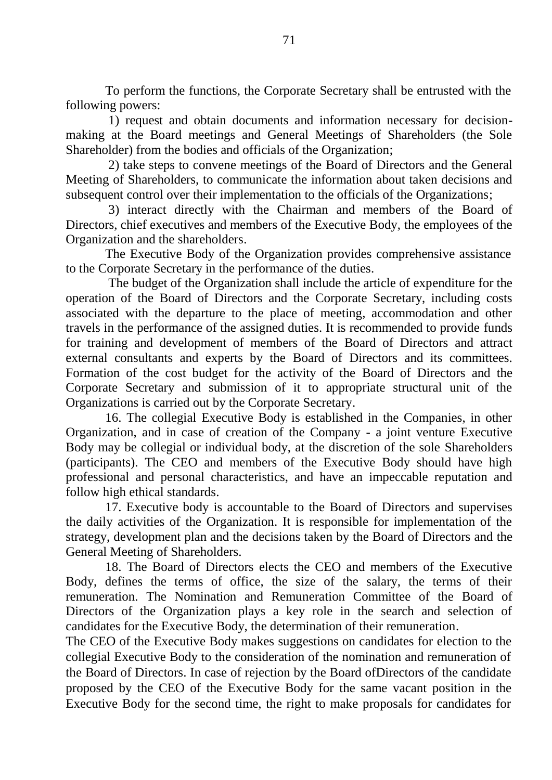To perform the functions, the Corporate Secretary shall be entrusted with the following powers:

1) request and obtain documents and information necessary for decisionmaking at the Board meetings and General Meetings of Shareholders (the Sole Shareholder) from the bodies and officials of the Organization;

2) take steps to convene meetings of the Board of Directors and the General Meeting of Shareholders, to communicate the information about taken decisions and subsequent control over their implementation to the officials of the Organizations;

3) interact directly with the Chairman and members of the Board of Directors, chief executives and members of the Executive Body, the employees of the Organization and the shareholders.

The Executive Body of the Organization provides comprehensive assistance to the Corporate Secretary in the performance of the duties.

The budget of the Organization shall include the article of expenditure for the operation of the Board of Directors and the Corporate Secretary, including costs associated with the departure to the place of meeting, accommodation and other travels in the performance of the assigned duties. It is recommended to provide funds for training and development of members of the Board of Directors and attract external consultants and experts by the Board of Directors and its committees. Formation of the cost budget for the activity of the Board of Directors and the Corporate Secretary and submission of it to appropriate structural unit of the Organizations is carried out by the Corporate Secretary.

16. The collegial Executive Body is established in the Companies, in other Organization, and in case of creation of the Company - a joint venture Executive Body may be collegial or individual body, at the discretion of the sole Shareholders (participants). The CEO and members of the Executive Body should have high professional and personal characteristics, and have an impeccable reputation and follow high ethical standards.

17. Executive body is accountable to the Board of Directors and supervises the daily activities of the Organization. It is responsible for implementation of the strategy, development plan and the decisions taken by the Board of Directors and the General Meeting of Shareholders.

18. The Board of Directors elects the CEO and members of the Executive Body, defines the terms of office, the size of the salary, the terms of their remuneration. The Nomination and Remuneration Committee of the Board of Directors of the Organization plays a key role in the search and selection of candidates for the Executive Body, the determination of their remuneration.

The CEO of the Executive Body makes suggestions on candidates for election to the collegial Executive Body to the consideration of the nomination and remuneration of the Board of Directors. In case of rejection by the Board ofDirectors of the candidate proposed by the CEO of the Executive Body for the same vacant position in the Executive Body for the second time, the right to make proposals for candidates for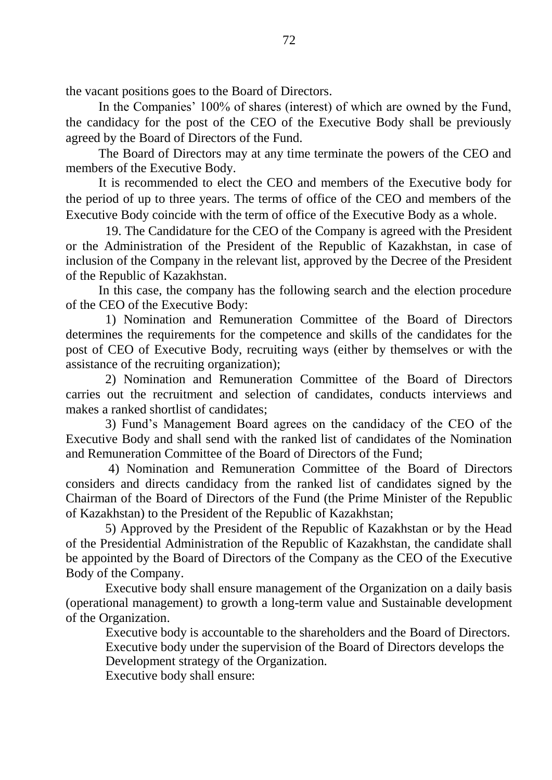the vacant positions goes to the Board of Directors.

In the Companies' 100% of shares (interest) of which are owned by the Fund, the candidacy for the post of the CEO of the Executive Body shall be previously agreed by the Board of Directors of the Fund.

The Board of Directors may at any time terminate the powers of the CEO and members of the Executive Body.

It is recommended to elect the CEO and members of the Executive body for the period of up to three years. The terms of office of the CEO and members of the Executive Body coincide with the term of office of the Executive Body as a whole.

19. The Candidature for the CEO of the Company is agreed with the President or the Administration of the President of the Republic of Kazakhstan, in case of inclusion of the Company in the relevant list, approved by the Decree of the President of the Republic of Kazakhstan.

In this case, the company has the following search and the election procedure of the CEO of the Executive Body:

1) Nomination and Remuneration Committee of the Board of Directors determines the requirements for the competence and skills of the candidates for the post of CEO of Executive Body, recruiting ways (either by themselves or with the assistance of the recruiting organization);

2) Nomination and Remuneration Committee of the Board of Directors carries out the recruitment and selection of candidates, conducts interviews and makes a ranked shortlist of candidates;

3) Fund's Management Board agrees on the candidacy of the CEO of the Executive Body and shall send with the ranked list of candidates of the Nomination and Remuneration Committee of the Board of Directors of the Fund;

4) Nomination and Remuneration Committee of the Board of Directors considers and directs candidacy from the ranked list of candidates signed by the Chairman of the Board of Directors of the Fund (the Prime Minister of the Republic of Kazakhstan) to the President of the Republic of Kazakhstan;

5) Approved by the President of the Republic of Kazakhstan or by the Head of the Presidential Administration of the Republic of Kazakhstan, the candidate shall be appointed by the Board of Directors of the Company as the CEO of the Executive Body of the Company.

Executive body shall ensure management of the Organization on a daily basis (operational management) to growth a long-term value and Sustainable development of the Organization.

Executive body is accountable to the shareholders and the Board of Directors. Executive body under the supervision of the Board of Directors develops the

Development strategy of the Organization.

Executive body shall ensure: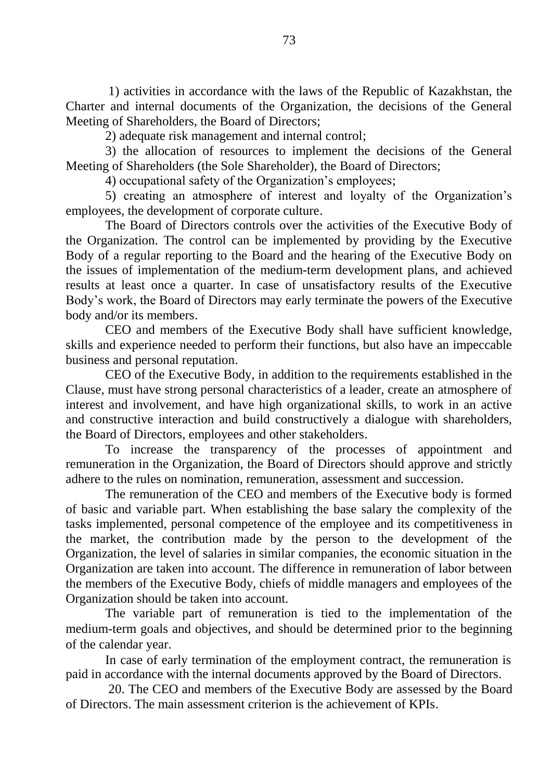1) activities in accordance with the laws of the Republic of Kazakhstan, the Charter and internal documents of the Organization, the decisions of the General Meeting of Shareholders, the Board of Directors;

2) adequate risk management and internal control;

3) the allocation of resources to implement the decisions of the General Meeting of Shareholders (the Sole Shareholder), the Board of Directors;

4) occupational safety of the Organization's employees;

5) creating an atmosphere of interest and loyalty of the Organization's employees, the development of corporate culture.

The Board of Directors controls over the activities of the Executive Body of the Organization. The control can be implemented by providing by the Executive Body of a regular reporting to the Board and the hearing of the Executive Body on the issues of implementation of the medium-term development plans, and achieved results at least once a quarter. In case of unsatisfactory results of the Executive Body's work, the Board of Directors may early terminate the powers of the Executive body and/or its members.

CEO and members of the Executive Body shall have sufficient knowledge, skills and experience needed to perform their functions, but also have an impeccable business and personal reputation.

CEO of the Executive Body, in addition to the requirements established in the Clause, must have strong personal characteristics of a leader, create an atmosphere of interest and involvement, and have high organizational skills, to work in an active and constructive interaction and build constructively a dialogue with shareholders, the Board of Directors, employees and other stakeholders.

To increase the transparency of the processes of appointment and remuneration in the Organization, the Board of Directors should approve and strictly adhere to the rules on nomination, remuneration, assessment and succession.

The remuneration of the CEO and members of the Executive body is formed of basic and variable part. When establishing the base salary the complexity of the tasks implemented, personal competence of the employee and its competitiveness in the market, the contribution made by the person to the development of the Organization, the level of salaries in similar companies, the economic situation in the Organization are taken into account. The difference in remuneration of labor between the members of the Executive Body, chiefs of middle managers and employees of the Organization should be taken into account.

The variable part of remuneration is tied to the implementation of the medium-term goals and objectives, and should be determined prior to the beginning of the calendar year.

In case of early termination of the employment contract, the remuneration is paid in accordance with the internal documents approved by the Board of Directors.

20. The CEO and members of the Executive Body are assessed by the Board of Directors. The main assessment criterion is the achievement of KPIs.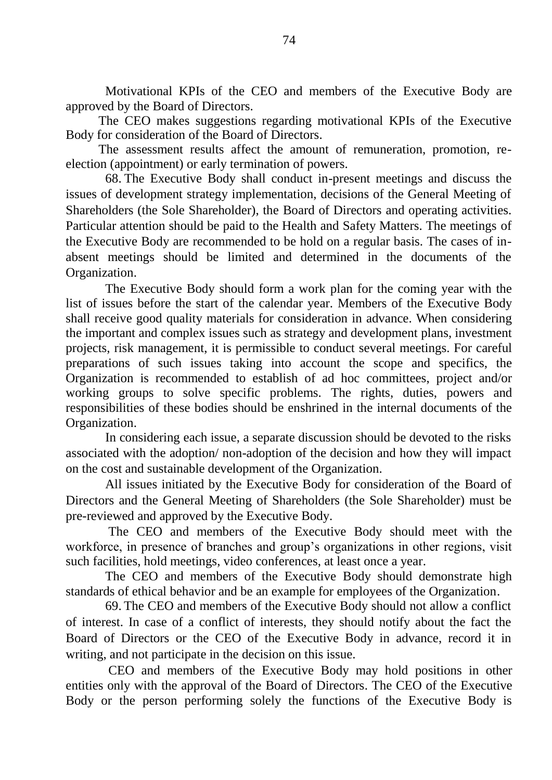Motivational KPIs of the CEO and members of the Executive Body are approved by the Board of Directors.

The CEO makes suggestions regarding motivational KPIs of the Executive Body for consideration of the Board of Directors.

The assessment results affect the amount of remuneration, promotion, reelection (appointment) or early termination of powers.

68. The Executive Body shall conduct in-present meetings and discuss the issues of development strategy implementation, decisions of the General Meeting of Shareholders (the Sole Shareholder), the Board of Directors and operating activities. Particular attention should be paid to the Health and Safety Matters. The meetings of the Executive Body are recommended to be hold on a regular basis. The cases of inabsent meetings should be limited and determined in the documents of the Organization.

The Executive Body should form a work plan for the coming year with the list of issues before the start of the calendar year. Members of the Executive Body shall receive good quality materials for consideration in advance. When considering the important and complex issues such as strategy and development plans, investment projects, risk management, it is permissible to conduct several meetings. For careful preparations of such issues taking into account the scope and specifics, the Organization is recommended to establish of ad hoc committees, project and/or working groups to solve specific problems. The rights, duties, powers and responsibilities of these bodies should be enshrined in the internal documents of the Organization.

In considering each issue, a separate discussion should be devoted to the risks associated with the adoption/ non-adoption of the decision and how they will impact on the cost and sustainable development of the Organization.

All issues initiated by the Executive Body for consideration of the Board of Directors and the General Meeting of Shareholders (the Sole Shareholder) must be pre-reviewed and approved by the Executive Body.

The CEO and members of the Executive Body should meet with the workforce, in presence of branches and group's organizations in other regions, visit such facilities, hold meetings, video conferences, at least once a year.

The CEO and members of the Executive Body should demonstrate high standards of ethical behavior and be an example for employees of the Organization.

69. The CEO and members of the Executive Body should not allow a conflict of interest. In case of a conflict of interests, they should notify about the fact the Board of Directors or the CEO of the Executive Body in advance, record it in writing, and not participate in the decision on this issue.

CEO and members of the Executive Body may hold positions in other entities only with the approval of the Board of Directors. The CEO of the Executive Body or the person performing solely the functions of the Executive Body is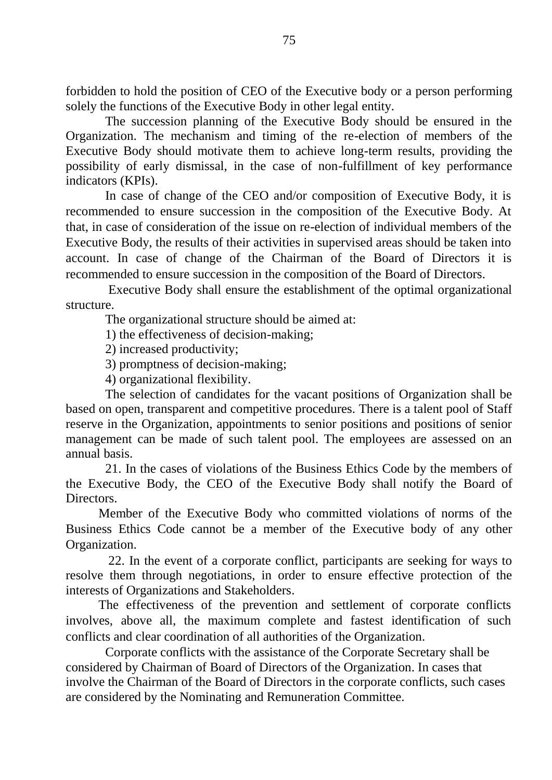forbidden to hold the position of CEO of the Executive body or a person performing solely the functions of the Executive Body in other legal entity.

The succession planning of the Executive Body should be ensured in the Organization. The mechanism and timing of the re-election of members of the Executive Body should motivate them to achieve long-term results, providing the possibility of early dismissal, in the case of non-fulfillment of key performance indicators (KPIs).

In case of change of the CEO and/or composition of Executive Body, it is recommended to ensure succession in the composition of the Executive Body. At that, in case of consideration of the issue on re-election of individual members of the Executive Body, the results of their activities in supervised areas should be taken into account. In case of change of the Chairman of the Board of Directors it is recommended to ensure succession in the composition of the Board of Directors.

Executive Body shall ensure the establishment of the optimal organizational structure.

The organizational structure should be aimed at:

1) the effectiveness of decision-making;

2) increased productivity;

3) promptness of decision-making;

4) organizational flexibility.

The selection of candidates for the vacant positions of Organization shall be based on open, transparent and competitive procedures. There is a talent pool of Staff reserve in the Organization, appointments to senior positions and positions of senior management can be made of such talent pool. The employees are assessed on an annual basis.

21. In the cases of violations of the Business Ethics Code by the members of the Executive Body, the CEO of the Executive Body shall notify the Board of Directors.

Member of the Executive Body who committed violations of norms of the Business Ethics Code cannot be a member of the Executive body of any other Organization.

22. In the event of a corporate conflict, participants are seeking for ways to resolve them through negotiations, in order to ensure effective protection of the interests of Organizations and Stakeholders.

The effectiveness of the prevention and settlement of corporate conflicts involves, above all, the maximum complete and fastest identification of such conflicts and clear coordination of all authorities of the Organization.

Corporate conflicts with the assistance of the Corporate Secretary shall be considered by Chairman of Board of Directors of the Organization. In cases that involve the Chairman of the Board of Directors in the corporate conflicts, such cases are considered by the Nominating and Remuneration Committee.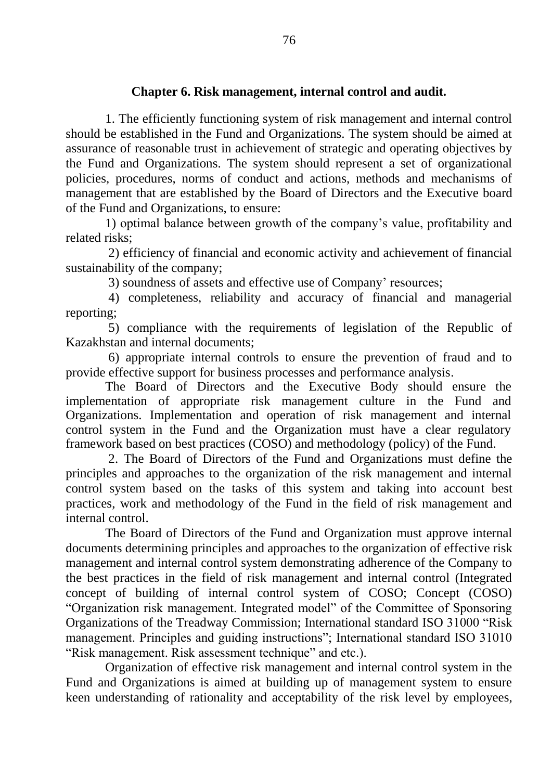## **Chapter 6. Risk management, internal control and audit.**

1. The efficiently functioning system of risk management and internal control should be established in the Fund and Organizations. The system should be aimed at assurance of reasonable trust in achievement of strategic and operating objectives by the Fund and Organizations. The system should represent a set of organizational policies, procedures, norms of conduct and actions, methods and mechanisms of management that are established by the Board of Directors and the Executive board of the Fund and Organizations, to ensure:

1) optimal balance between growth of the company's value, profitability and related risks;

2) efficiency of financial and economic activity and achievement of financial sustainability of the company;

3) soundness of assets and effective use of Company' resources;

4) completeness, reliability and accuracy of financial and managerial reporting;

5) compliance with the requirements of legislation of the Republic of Kazakhstan and internal documents;

6) appropriate internal controls to ensure the prevention of fraud and to provide effective support for business processes and performance analysis.

The Board of Directors and the Executive Body should ensure the implementation of appropriate risk management culture in the Fund and Organizations. Implementation and operation of risk management and internal control system in the Fund and the Organization must have a clear regulatory framework based on best practices (COSO) and methodology (policy) of the Fund.

2. The Board of Directors of the Fund and Organizations must define the principles and approaches to the organization of the risk management and internal control system based on the tasks of this system and taking into account best practices, work and methodology of the Fund in the field of risk management and internal control.

The Board of Directors of the Fund and Organization must approve internal documents determining principles and approaches to the organization of effective risk management and internal control system demonstrating adherence of the Company to the best practices in the field of risk management and internal control (Integrated concept of building of internal control system of COSO; Concept (COSO) "Organization risk management. Integrated model" of the Committee of Sponsoring Organizations of the Treadway Commission; International standard ISO 31000 "Risk management. Principles and guiding instructions"; International standard ISO 31010 "Risk management. Risk assessment technique" and etc.).

Organization of effective risk management and internal control system in the Fund and Organizations is aimed at building up of management system to ensure keen understanding of rationality and acceptability of the risk level by employees,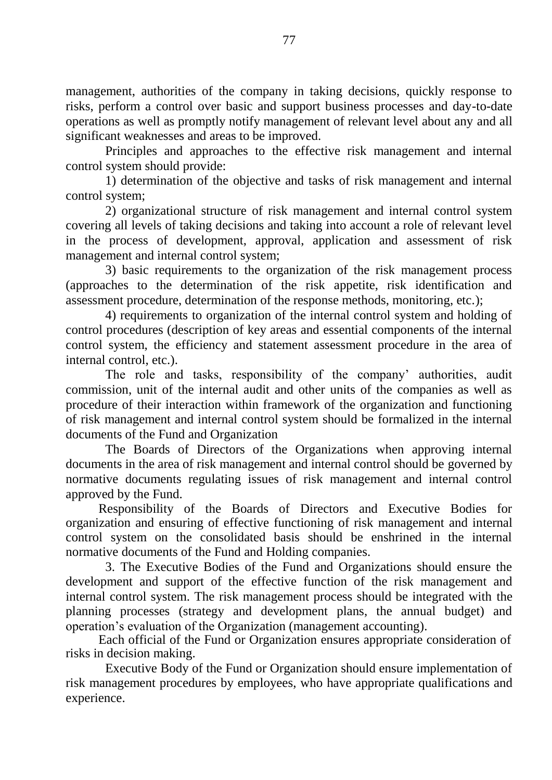management, authorities of the company in taking decisions, quickly response to risks, perform a control over basic and support business processes and day-to-date operations as well as promptly notify management of relevant level about any and all significant weaknesses and areas to be improved.

Principles and approaches to the effective risk management and internal control system should provide:

1) determination of the objective and tasks of risk management and internal control system;

2) organizational structure of risk management and internal control system covering all levels of taking decisions and taking into account a role of relevant level in the process of development, approval, application and assessment of risk management and internal control system;

3) basic requirements to the organization of the risk management process (approaches to the determination of the risk appetite, risk identification and assessment procedure, determination of the response methods, monitoring, etc.);

4) requirements to organization of the internal control system and holding of control procedures (description of key areas and essential components of the internal control system, the efficiency and statement assessment procedure in the area of internal control, etc.).

The role and tasks, responsibility of the company' authorities, audit commission, unit of the internal audit and other units of the companies as well as procedure of their interaction within framework of the organization and functioning of risk management and internal control system should be formalized in the internal documents of the Fund and Organization

The Boards of Directors of the Organizations when approving internal documents in the area of risk management and internal control should be governed by normative documents regulating issues of risk management and internal control approved by the Fund.

Responsibility of the Boards of Directors and Executive Bodies for organization and ensuring of effective functioning of risk management and internal control system on the consolidated basis should be enshrined in the internal normative documents of the Fund and Holding companies.

3. The Executive Bodies of the Fund and Organizations should ensure the development and support of the effective function of the risk management and internal control system. The risk management process should be integrated with the planning processes (strategy and development plans, the annual budget) and operation's evaluation of the Organization (management accounting).

Each official of the Fund or Organization ensures appropriate consideration of risks in decision making.

Executive Body of the Fund or Organization should ensure implementation of risk management procedures by employees, who have appropriate qualifications and experience.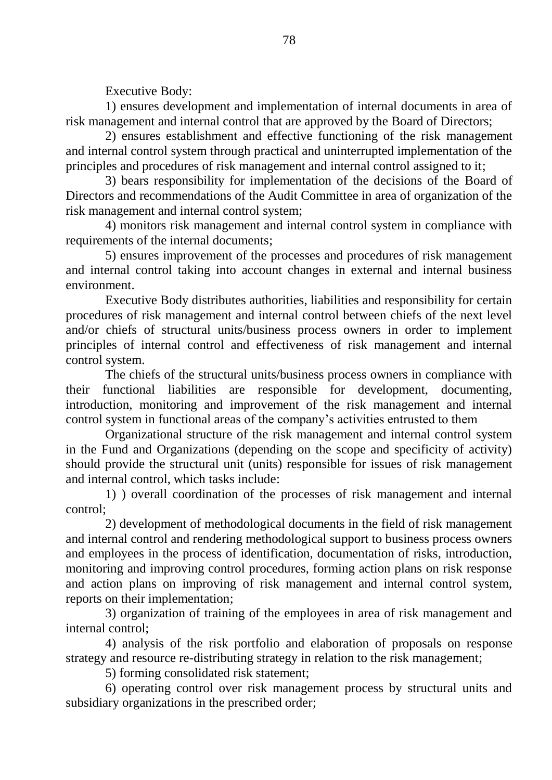Executive Body:

1) ensures development and implementation of internal documents in area of risk management and internal control that are approved by the Board of Directors;

2) ensures establishment and effective functioning of the risk management and internal control system through practical and uninterrupted implementation of the principles and procedures of risk management and internal control assigned to it;

3) bears responsibility for implementation of the decisions of the Board of Directors and recommendations of the Audit Committee in area of organization of the risk management and internal control system;

4) monitors risk management and internal control system in compliance with requirements of the internal documents;

5) ensures improvement of the processes and procedures of risk management and internal control taking into account changes in external and internal business environment.

Executive Body distributes authorities, liabilities and responsibility for certain procedures of risk management and internal control between chiefs of the next level and/or chiefs of structural units/business process owners in order to implement principles of internal control and effectiveness of risk management and internal control system.

The chiefs of the structural units/business process owners in compliance with their functional liabilities are responsible for development, documenting, introduction, monitoring and improvement of the risk management and internal control system in functional areas of the company's activities entrusted to them

Organizational structure of the risk management and internal control system in the Fund and Organizations (depending on the scope and specificity of activity) should provide the structural unit (units) responsible for issues of risk management and internal control, which tasks include:

1) ) overall coordination of the processes of risk management and internal control;

2) development of methodological documents in the field of risk management and internal control and rendering methodological support to business process owners and employees in the process of identification, documentation of risks, introduction, monitoring and improving control procedures, forming action plans on risk response and action plans on improving of risk management and internal control system, reports on their implementation;

3) organization of training of the employees in area of risk management and internal control;

4) analysis of the risk portfolio and elaboration of proposals on response strategy and resource re-distributing strategy in relation to the risk management;

5) forming consolidated risk statement;

6) operating control over risk management process by structural units and subsidiary organizations in the prescribed order;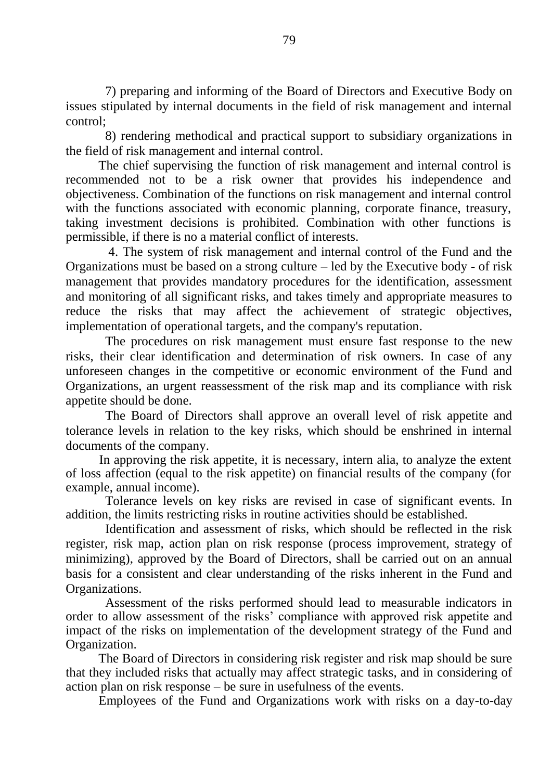7) preparing and informing of the Board of Directors and Executive Body on issues stipulated by internal documents in the field of risk management and internal control;

8) rendering methodical and practical support to subsidiary organizations in the field of risk management and internal control.

The chief supervising the function of risk management and internal control is recommended not to be a risk owner that provides his independence and objectiveness. Combination of the functions on risk management and internal control with the functions associated with economic planning, corporate finance, treasury, taking investment decisions is prohibited. Combination with other functions is permissible, if there is no a material conflict of interests.

4. The system of risk management and internal control of the Fund and the Organizations must be based on a strong culture – led by the Executive body - of risk management that provides mandatory procedures for the identification, assessment and monitoring of all significant risks, and takes timely and appropriate measures to reduce the risks that may affect the achievement of strategic objectives, implementation of operational targets, and the company's reputation.

The procedures on risk management must ensure fast response to the new risks, their clear identification and determination of risk owners. In case of any unforeseen changes in the competitive or economic environment of the Fund and Organizations, an urgent reassessment of the risk map and its compliance with risk appetite should be done.

The Board of Directors shall approve an overall level of risk appetite and tolerance levels in relation to the key risks, which should be enshrined in internal documents of the company.

In approving the risk appetite, it is necessary, intern alia, to analyze the extent of loss affection (equal to the risk appetite) on financial results of the company (for example, annual income).

Tolerance levels on key risks are revised in case of significant events. In addition, the limits restricting risks in routine activities should be established.

Identification and assessment of risks, which should be reflected in the risk register, risk map, action plan on risk response (process improvement, strategy of minimizing), approved by the Board of Directors, shall be carried out on an annual basis for a consistent and clear understanding of the risks inherent in the Fund and Organizations.

Assessment of the risks performed should lead to measurable indicators in order to allow assessment of the risks' compliance with approved risk appetite and impact of the risks on implementation of the development strategy of the Fund and Organization.

The Board of Directors in considering risk register and risk map should be sure that they included risks that actually may affect strategic tasks, and in considering of action plan on risk response – be sure in usefulness of the events.

Employees of the Fund and Organizations work with risks on a day-to-day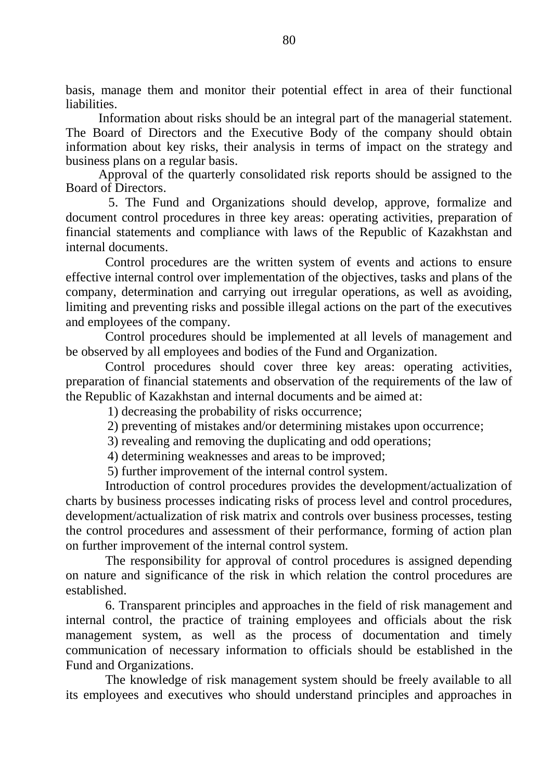basis, manage them and monitor their potential effect in area of their functional liabilities.

Information about risks should be an integral part of the managerial statement. The Board of Directors and the Executive Body of the company should obtain information about key risks, their analysis in terms of impact on the strategy and business plans on a regular basis.

Approval of the quarterly consolidated risk reports should be assigned to the Board of Directors.

5. The Fund and Organizations should develop, approve, formalize and document control procedures in three key areas: operating activities, preparation of financial statements and compliance with laws of the Republic of Kazakhstan and internal documents.

Control procedures are the written system of events and actions to ensure effective internal control over implementation of the objectives, tasks and plans of the company, determination and carrying out irregular operations, as well as avoiding, limiting and preventing risks and possible illegal actions on the part of the executives and employees of the company.

Control procedures should be implemented at all levels of management and be observed by all employees and bodies of the Fund and Organization.

Control procedures should cover three key areas: operating activities, preparation of financial statements and observation of the requirements of the law of the Republic of Kazakhstan and internal documents and be aimed at:

1) decreasing the probability of risks occurrence;

2) preventing of mistakes and/or determining mistakes upon occurrence;

3) revealing and removing the duplicating and odd operations;

4) determining weaknesses and areas to be improved;

5) further improvement of the internal control system.

Introduction of control procedures provides the development/actualization of charts by business processes indicating risks of process level and control procedures, development/actualization of risk matrix and controls over business processes, testing the control procedures and assessment of their performance, forming of action plan on further improvement of the internal control system.

The responsibility for approval of control procedures is assigned depending on nature and significance of the risk in which relation the control procedures are established.

6. Transparent principles and approaches in the field of risk management and internal control, the practice of training employees and officials about the risk management system, as well as the process of documentation and timely communication of necessary information to officials should be established in the Fund and Organizations.

The knowledge of risk management system should be freely available to all its employees and executives who should understand principles and approaches in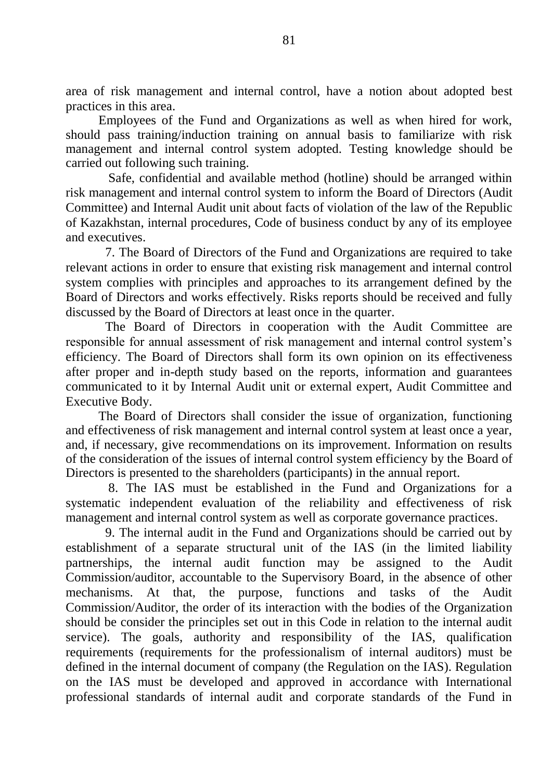area of risk management and internal control, have a notion about adopted best practices in this area.

Employees of the Fund and Organizations as well as when hired for work, should pass training/induction training on annual basis to familiarize with risk management and internal control system adopted. Testing knowledge should be carried out following such training.

Safe, confidential and available method (hotline) should be arranged within risk management and internal control system to inform the Board of Directors (Audit Committee) and Internal Audit unit about facts of violation of the law of the Republic of Kazakhstan, internal procedures, Code of business conduct by any of its employee and executives.

7. The Board of Directors of the Fund and Organizations are required to take relevant actions in order to ensure that existing risk management and internal control system complies with principles and approaches to its arrangement defined by the Board of Directors and works effectively. Risks reports should be received and fully discussed by the Board of Directors at least once in the quarter.

The Board of Directors in cooperation with the Audit Committee are responsible for annual assessment of risk management and internal control system's efficiency. The Board of Directors shall form its own opinion on its effectiveness after proper and in-depth study based on the reports, information and guarantees communicated to it by Internal Audit unit or external expert, Audit Committee and Executive Body.

The Board of Directors shall consider the issue of organization, functioning and effectiveness of risk management and internal control system at least once a year, and, if necessary, give recommendations on its improvement. Information on results of the consideration of the issues of internal control system efficiency by the Board of Directors is presented to the shareholders (participants) in the annual report.

8. The IAS must be established in the Fund and Organizations for a systematic independent evaluation of the reliability and effectiveness of risk management and internal control system as well as corporate governance practices.

9. The internal audit in the Fund and Organizations should be carried out by establishment of a separate structural unit of the IAS (in the limited liability partnerships, the internal audit function may be assigned to the Audit Commission/auditor, accountable to the Supervisory Board, in the absence of other mechanisms. At that, the purpose, functions and tasks of the Audit Commission/Auditor, the order of its interaction with the bodies of the Organization should be consider the principles set out in this Code in relation to the internal audit service). The goals, authority and responsibility of the IAS, qualification requirements (requirements for the professionalism of internal auditors) must be defined in the internal document of company (the Regulation on the IAS). Regulation on the IAS must be developed and approved in accordance with International professional standards of internal audit and corporate standards of the Fund in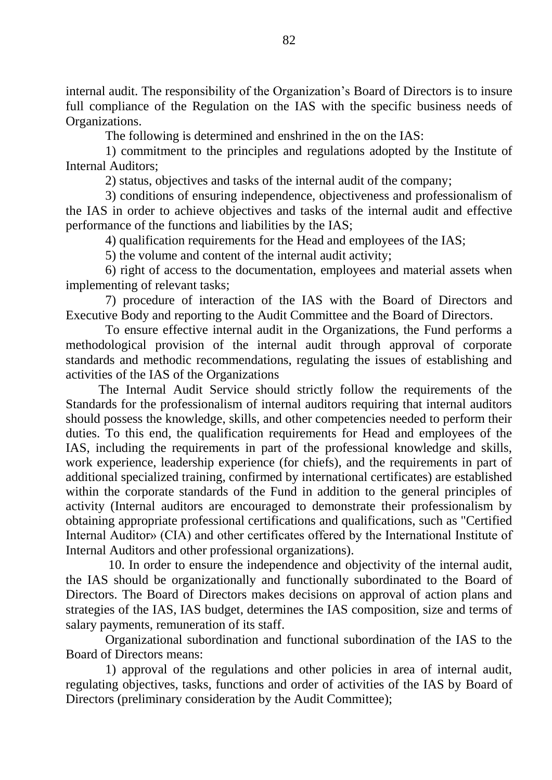internal audit. The responsibility of the Organization's Board of Directors is to insure full compliance of the Regulation on the IAS with the specific business needs of Organizations.

The following is determined and enshrined in the on the IAS:

1) commitment to the principles and regulations adopted by the Institute of Internal Auditors;

2) status, objectives and tasks of the internal audit of the company;

3) conditions of ensuring independence, objectiveness and professionalism of the IAS in order to achieve objectives and tasks of the internal audit and effective performance of the functions and liabilities by the IAS;

4) qualification requirements for the Head and employees of the IAS;

5) the volume and content of the internal audit activity;

6) right of access to the documentation, employees and material assets when implementing of relevant tasks;

7) procedure of interaction of the IAS with the Board of Directors and Executive Body and reporting to the Audit Committee and the Board of Directors.

To ensure effective internal audit in the Organizations, the Fund performs a methodological provision of the internal audit through approval of corporate standards and methodic recommendations, regulating the issues of establishing and activities of the IAS of the Organizations

The Internal Audit Service should strictly follow the requirements of the Standards for the professionalism of internal auditors requiring that internal auditors should possess the knowledge, skills, and other competencies needed to perform their duties. To this end, the qualification requirements for Head and employees of the IAS, including the requirements in part of the professional knowledge and skills, work experience, leadership experience (for chiefs), and the requirements in part of additional specialized training, confirmed by international certificates) are established within the corporate standards of the Fund in addition to the general principles of activity (Internal auditors are encouraged to demonstrate their professionalism by obtaining appropriate professional certifications and qualifications, such as "Certified Internal Auditor» (CIA) and other certificates offered by the International Institute of Internal Auditors and other professional organizations).

10. In order to ensure the independence and objectivity of the internal audit, the IAS should be organizationally and functionally subordinated to the Board of Directors. The Board of Directors makes decisions on approval of action plans and strategies of the IAS, IAS budget, determines the IAS composition, size and terms of salary payments, remuneration of its staff.

Organizational subordination and functional subordination of the IAS to the Board of Directors means:

1) approval of the regulations and other policies in area of internal audit, regulating objectives, tasks, functions and order of activities of the IAS by Board of Directors (preliminary consideration by the Audit Committee);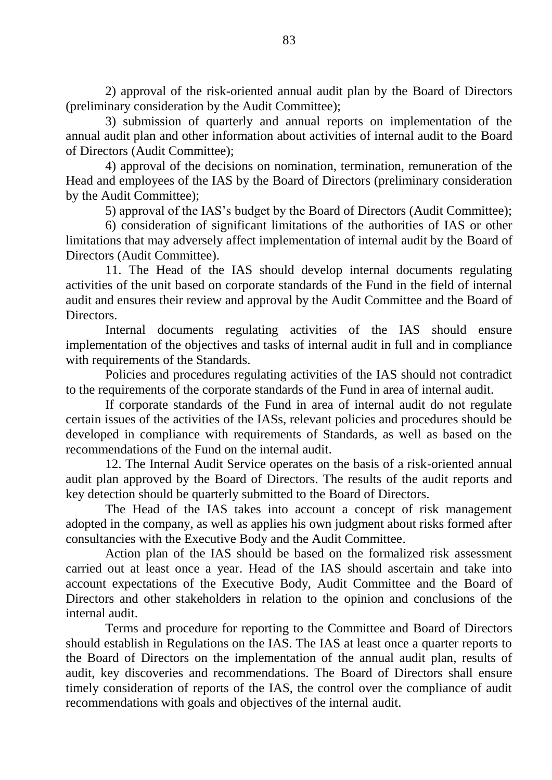2) approval of the risk-oriented annual audit plan by the Board of Directors (preliminary consideration by the Audit Committee);

3) submission of quarterly and annual reports on implementation of the annual audit plan and other information about activities of internal audit to the Board of Directors (Audit Committee);

4) approval of the decisions on nomination, termination, remuneration of the Head and employees of the IAS by the Board of Directors (preliminary consideration by the Audit Committee);

5) approval of the IAS's budget by the Board of Directors (Audit Committee);

6) consideration of significant limitations of the authorities of IAS or other limitations that may adversely affect implementation of internal audit by the Board of Directors (Audit Committee).

11. The Head of the IAS should develop internal documents regulating activities of the unit based on corporate standards of the Fund in the field of internal audit and ensures their review and approval by the Audit Committee and the Board of Directors.

Internal documents regulating activities of the IAS should ensure implementation of the objectives and tasks of internal audit in full and in compliance with requirements of the Standards.

Policies and procedures regulating activities of the IAS should not contradict to the requirements of the corporate standards of the Fund in area of internal audit.

If corporate standards of the Fund in area of internal audit do not regulate certain issues of the activities of the IASs, relevant policies and procedures should be developed in compliance with requirements of Standards, as well as based on the recommendations of the Fund on the internal audit.

12. The Internal Audit Service operates on the basis of a risk-oriented annual audit plan approved by the Board of Directors. The results of the audit reports and key detection should be quarterly submitted to the Board of Directors.

The Head of the IAS takes into account a concept of risk management adopted in the company, as well as applies his own judgment about risks formed after consultancies with the Executive Body and the Audit Committee.

Action plan of the IAS should be based on the formalized risk assessment carried out at least once a year. Head of the IAS should ascertain and take into account expectations of the Executive Body, Audit Committee and the Board of Directors and other stakeholders in relation to the opinion and conclusions of the internal audit.

Terms and procedure for reporting to the Committee and Board of Directors should establish in Regulations on the IAS. The IAS at least once a quarter reports to the Board of Directors on the implementation of the annual audit plan, results of audit, key discoveries and recommendations. The Board of Directors shall ensure timely consideration of reports of the IAS, the control over the compliance of audit recommendations with goals and objectives of the internal audit.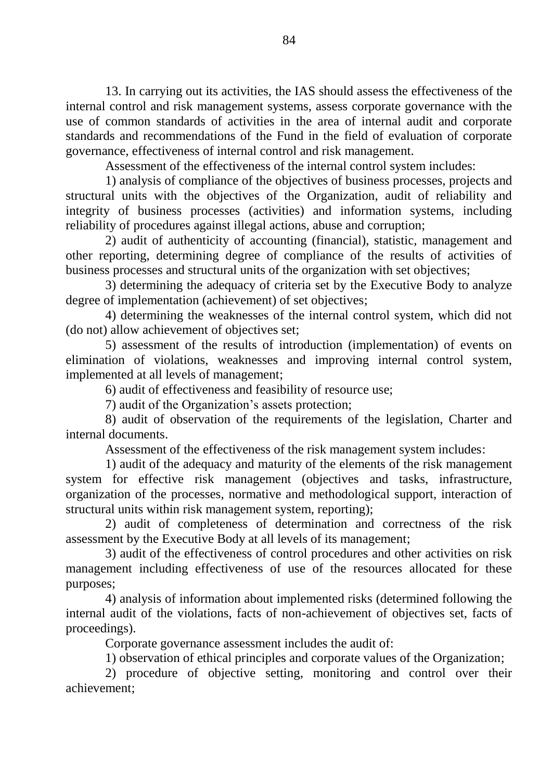13. In carrying out its activities, the IAS should assess the effectiveness of the internal control and risk management systems, assess corporate governance with the use of common standards of activities in the area of internal audit and corporate standards and recommendations of the Fund in the field of evaluation of corporate governance, effectiveness of internal control and risk management.

Assessment of the effectiveness of the internal control system includes:

1) analysis of compliance of the objectives of business processes, projects and structural units with the objectives of the Organization, audit of reliability and integrity of business processes (activities) and information systems, including reliability of procedures against illegal actions, abuse and corruption;

2) audit of authenticity of accounting (financial), statistic, management and other reporting, determining degree of compliance of the results of activities of business processes and structural units of the organization with set objectives;

3) determining the adequacy of criteria set by the Executive Body to analyze degree of implementation (achievement) of set objectives;

4) determining the weaknesses of the internal control system, which did not (do not) allow achievement of objectives set;

5) assessment of the results of introduction (implementation) of events on elimination of violations, weaknesses and improving internal control system, implemented at all levels of management;

6) audit of effectiveness and feasibility of resource use;

7) audit of the Organization's assets protection;

8) audit of observation of the requirements of the legislation, Charter and internal documents.

Assessment of the effectiveness of the risk management system includes:

1) audit of the adequacy and maturity of the elements of the risk management system for effective risk management (objectives and tasks, infrastructure, organization of the processes, normative and methodological support, interaction of structural units within risk management system, reporting);

2) audit of completeness of determination and correctness of the risk assessment by the Executive Body at all levels of its management;

3) audit of the effectiveness of control procedures and other activities on risk management including effectiveness of use of the resources allocated for these purposes;

4) analysis of information about implemented risks (determined following the internal audit of the violations, facts of non-achievement of objectives set, facts of proceedings).

Corporate governance assessment includes the audit of:

1) observation of ethical principles and corporate values of the Organization;

2) procedure of objective setting, monitoring and control over their achievement;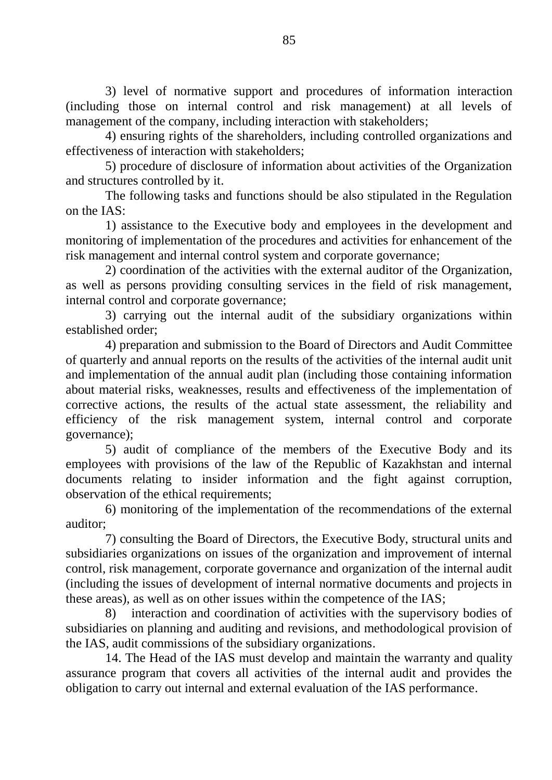3) level of normative support and procedures of information interaction (including those on internal control and risk management) at all levels of management of the company, including interaction with stakeholders;

4) ensuring rights of the shareholders, including controlled organizations and effectiveness of interaction with stakeholders;

5) procedure of disclosure of information about activities of the Organization and structures controlled by it.

The following tasks and functions should be also stipulated in the Regulation on the IAS:

1) assistance to the Executive body and employees in the development and monitoring of implementation of the procedures and activities for enhancement of the risk management and internal control system and corporate governance;

2) coordination of the activities with the external auditor of the Organization, as well as persons providing consulting services in the field of risk management, internal control and corporate governance;

3) carrying out the internal audit of the subsidiary organizations within established order;

4) preparation and submission to the Board of Directors and Audit Committee of quarterly and annual reports on the results of the activities of the internal audit unit and implementation of the annual audit plan (including those containing information about material risks, weaknesses, results and effectiveness of the implementation of corrective actions, the results of the actual state assessment, the reliability and efficiency of the risk management system, internal control and corporate governance);

5) audit of compliance of the members of the Executive Body and its employees with provisions of the law of the Republic of Kazakhstan and internal documents relating to insider information and the fight against corruption, observation of the ethical requirements;

6) monitoring of the implementation of the recommendations of the external auditor;

7) consulting the Board of Directors, the Executive Body, structural units and subsidiaries organizations on issues of the organization and improvement of internal control, risk management, corporate governance and organization of the internal audit (including the issues of development of internal normative documents and projects in these areas), as well as on other issues within the competence of the IAS;

8) interaction and coordination of activities with the supervisory bodies of subsidiaries on planning and auditing and revisions, and methodological provision of the IAS, audit commissions of the subsidiary organizations.

14. The Head of the IAS must develop and maintain the warranty and quality assurance program that covers all activities of the internal audit and provides the obligation to carry out internal and external evaluation of the IAS performance.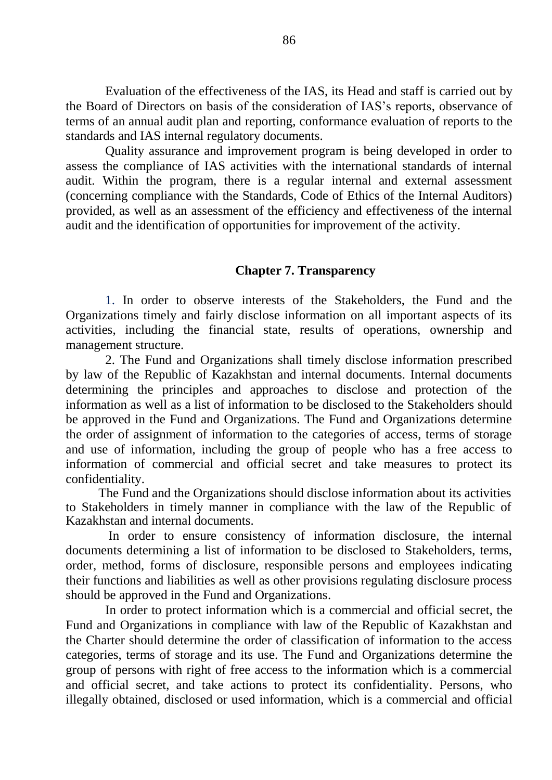Evaluation of the effectiveness of the IAS, its Head and staff is carried out by the Board of Directors on basis of the consideration of IAS's reports, observance of terms of an annual audit plan and reporting, conformance evaluation of reports to the standards and IAS internal regulatory documents.

Quality assurance and improvement program is being developed in order to assess the compliance of IAS activities with the international standards of internal audit. Within the program, there is a regular internal and external assessment (concerning compliance with the Standards, Code of Ethics of the Internal Auditors) provided, as well as an assessment of the efficiency and effectiveness of the internal audit and the identification of opportunities for improvement of the activity.

## **Chapter 7. Transparency**

1. In order to observe interests of the Stakeholders, the Fund and the Organizations timely and fairly disclose information on all important aspects of its activities, including the financial state, results of operations, ownership and management structure.

2. The Fund and Organizations shall timely disclose information prescribed by law of the Republic of Kazakhstan and internal documents. Internal documents determining the principles and approaches to disclose and protection of the information as well as a list of information to be disclosed to the Stakeholders should be approved in the Fund and Organizations. The Fund and Organizations determine the order of assignment of information to the categories of access, terms of storage and use of information, including the group of people who has a free access to information of commercial and official secret and take measures to protect its confidentiality.

The Fund and the Organizations should disclose information about its activities to Stakeholders in timely manner in compliance with the law of the Republic of Kazakhstan and internal documents.

In order to ensure consistency of information disclosure, the internal documents determining a list of information to be disclosed to Stakeholders, terms, order, method, forms of disclosure, responsible persons and employees indicating their functions and liabilities as well as other provisions regulating disclosure process should be approved in the Fund and Organizations.

In order to protect information which is a commercial and official secret, the Fund and Organizations in compliance with law of the Republic of Kazakhstan and the Charter should determine the order of classification of information to the access categories, terms of storage and its use. The Fund and Organizations determine the group of persons with right of free access to the information which is a commercial and official secret, and take actions to protect its confidentiality. Persons, who illegally obtained, disclosed or used information, which is a commercial and official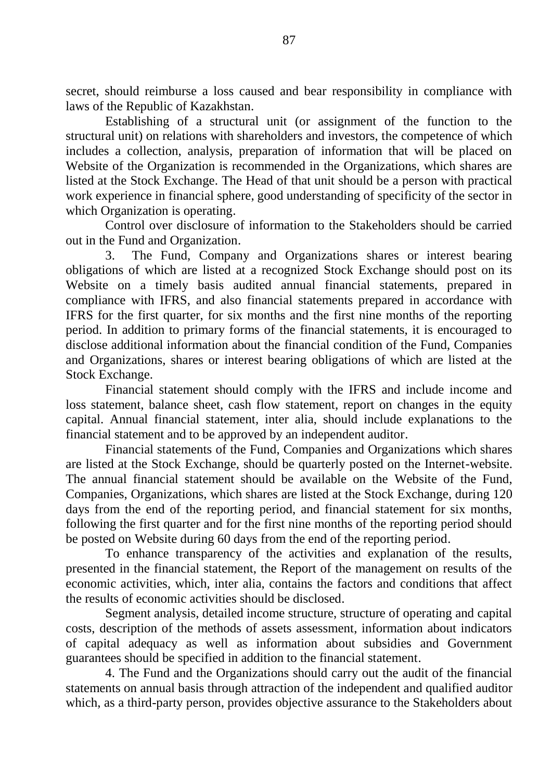secret, should reimburse a loss caused and bear responsibility in compliance with laws of the Republic of Kazakhstan.

Establishing of a structural unit (or assignment of the function to the structural unit) on relations with shareholders and investors, the competence of which includes a collection, analysis, preparation of information that will be placed on Website of the Organization is recommended in the Organizations, which shares are listed at the Stock Exchange. The Head of that unit should be a person with practical work experience in financial sphere, good understanding of specificity of the sector in which Organization is operating.

Control over disclosure of information to the Stakeholders should be carried out in the Fund and Organization.

3. The Fund, Company and Organizations shares or interest bearing obligations of which are listed at a recognized Stock Exchange should post on its Website on a timely basis audited annual financial statements, prepared in compliance with IFRS, and also financial statements prepared in accordance with IFRS for the first quarter, for six months and the first nine months of the reporting period. In addition to primary forms of the financial statements, it is encouraged to disclose additional information about the financial condition of the Fund, Companies and Organizations, shares or interest bearing obligations of which are listed at the Stock Exchange.

Financial statement should comply with the IFRS and include income and loss statement, balance sheet, cash flow statement, report on changes in the equity capital. Annual financial statement, inter alia, should include explanations to the financial statement and to be approved by an independent auditor.

Financial statements of the Fund, Companies and Organizations which shares are listed at the Stock Exchange, should be quarterly posted on the Internet-website. The annual financial statement should be available on the Website of the Fund, Companies, Organizations, which shares are listed at the Stock Exchange, during 120 days from the end of the reporting period, and financial statement for six months, following the first quarter and for the first nine months of the reporting period should be posted on Website during 60 days from the end of the reporting period.

To enhance transparency of the activities and explanation of the results, presented in the financial statement, the Report of the management on results of the economic activities, which, inter alia, contains the factors and conditions that affect the results of economic activities should be disclosed.

Segment analysis, detailed income structure, structure of operating and capital costs, description of the methods of assets assessment, information about indicators of capital adequacy as well as information about subsidies and Government guarantees should be specified in addition to the financial statement.

4. The Fund and the Organizations should carry out the audit of the financial statements on annual basis through attraction of the independent and qualified auditor which, as a third-party person, provides objective assurance to the Stakeholders about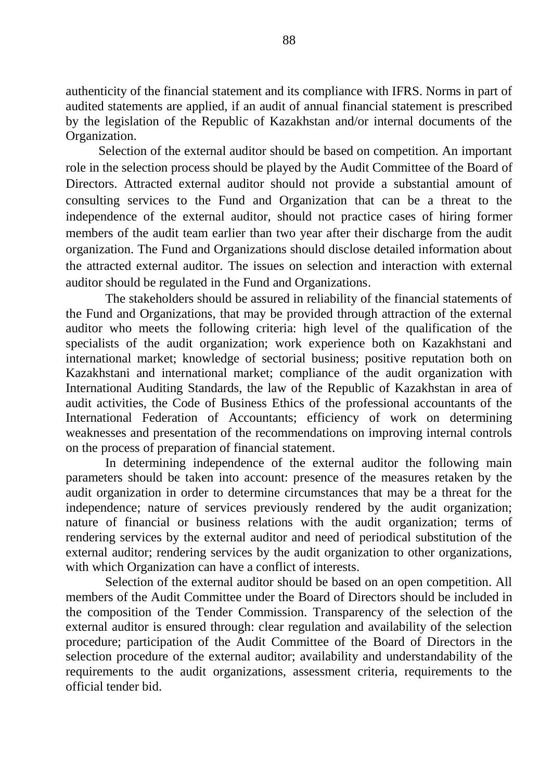authenticity of the financial statement and its compliance with IFRS. Norms in part of audited statements are applied, if an audit of annual financial statement is prescribed by the legislation of the Republic of Kazakhstan and/or internal documents of the Organization.

Selection of the external auditor should be based on competition. An important role in the selection process should be played by the Audit Committee of the Board of Directors. Attracted external auditor should not provide a substantial amount of consulting services to the Fund and Organization that can be a threat to the independence of the external auditor, should not practice cases of hiring former members of the audit team earlier than two year after their discharge from the audit organization. The Fund and Organizations should disclose detailed information about the attracted external auditor. The issues on selection and interaction with external auditor should be regulated in the Fund and Organizations.

The stakeholders should be assured in reliability of the financial statements of the Fund and Organizations, that may be provided through attraction of the external auditor who meets the following criteria: high level of the qualification of the specialists of the audit organization; work experience both on Kazakhstani and international market; knowledge of sectorial business; positive reputation both on Kazakhstani and international market; compliance of the audit organization with International Auditing Standards, the law of the Republic of Kazakhstan in area of audit activities, the Code of Business Ethics of the professional accountants of the International Federation of Accountants; efficiency of work on determining weaknesses and presentation of the recommendations on improving internal controls on the process of preparation of financial statement.

In determining independence of the external auditor the following main parameters should be taken into account: presence of the measures retaken by the audit organization in order to determine circumstances that may be a threat for the independence; nature of services previously rendered by the audit organization; nature of financial or business relations with the audit organization; terms of rendering services by the external auditor and need of periodical substitution of the external auditor; rendering services by the audit organization to other organizations, with which Organization can have a conflict of interests.

Selection of the external auditor should be based on an open competition. All members of the Audit Committee under the Board of Directors should be included in the composition of the Tender Commission. Transparency of the selection of the external auditor is ensured through: clear regulation and availability of the selection procedure; participation of the Audit Committee of the Board of Directors in the selection procedure of the external auditor; availability and understandability of the requirements to the audit organizations, assessment criteria, requirements to the official tender bid.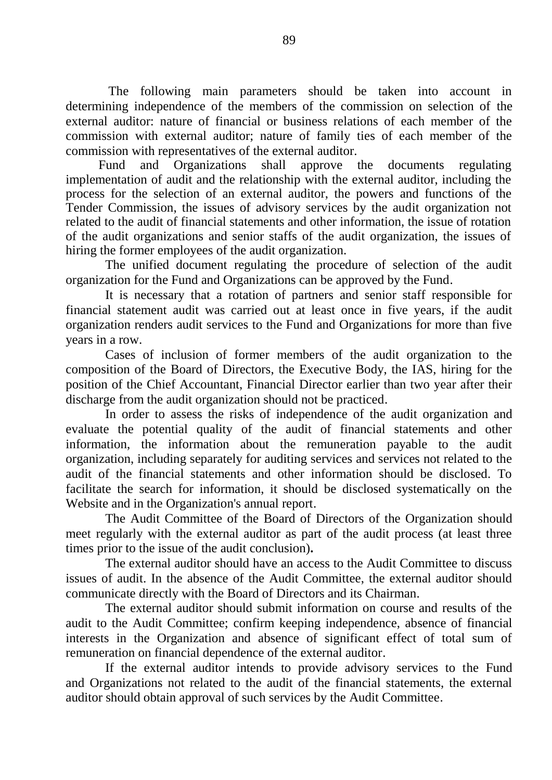The following main parameters should be taken into account in determining independence of the members of the commission on selection of the external auditor: nature of financial or business relations of each member of the commission with external auditor; nature of family ties of each member of the commission with representatives of the external auditor.

Fund and Organizations shall approve the documents regulating implementation of audit and the relationship with the external auditor, including the process for the selection of an external auditor, the powers and functions of the Tender Commission, the issues of advisory services by the audit organization not related to the audit of financial statements and other information, the issue of rotation of the audit organizations and senior staffs of the audit organization, the issues of hiring the former employees of the audit organization.

The unified document regulating the procedure of selection of the audit organization for the Fund and Organizations can be approved by the Fund.

It is necessary that a rotation of partners and senior staff responsible for financial statement audit was carried out at least once in five years, if the audit organization renders audit services to the Fund and Organizations for more than five years in a row.

Cases of inclusion of former members of the audit organization to the composition of the Board of Directors, the Executive Body, the IAS, hiring for the position of the Chief Accountant, Financial Director earlier than two year after their discharge from the audit organization should not be practiced.

In order to assess the risks of independence of the audit organization and evaluate the potential quality of the audit of financial statements and other information, the information about the remuneration payable to the audit organization, including separately for auditing services and services not related to the audit of the financial statements and other information should be disclosed. To facilitate the search for information, it should be disclosed systematically on the Website and in the Organization's annual report.

The Audit Committee of the Board of Directors of the Organization should meet regularly with the external auditor as part of the audit process (at least three times prior to the issue of the audit conclusion)**.** 

The external auditor should have an access to the Audit Committee to discuss issues of audit. In the absence of the Audit Committee, the external auditor should communicate directly with the Board of Directors and its Chairman.

The external auditor should submit information on course and results of the audit to the Audit Committee; confirm keeping independence, absence of financial interests in the Organization and absence of significant effect of total sum of remuneration on financial dependence of the external auditor.

If the external auditor intends to provide advisory services to the Fund and Organizations not related to the audit of the financial statements, the external auditor should obtain approval of such services by the Audit Committee.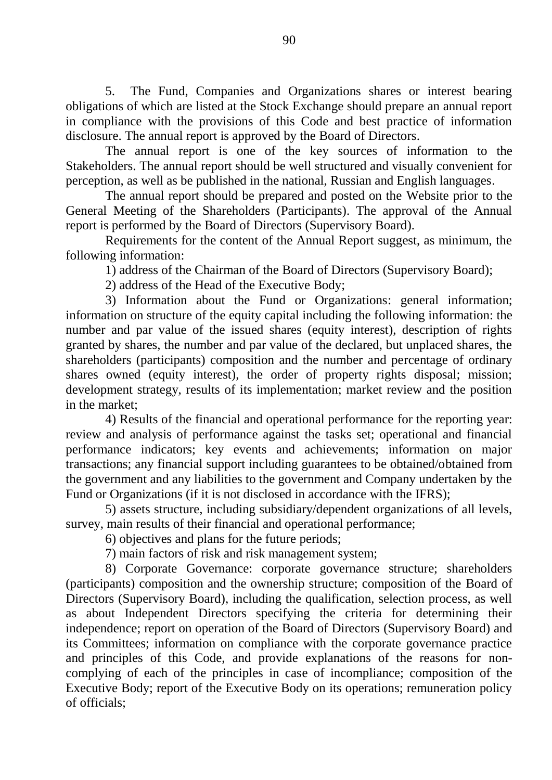5. The Fund, Companies and Organizations shares or interest bearing obligations of which are listed at the Stock Exchange should prepare an annual report in compliance with the provisions of this Code and best practice of information disclosure. The annual report is approved by the Board of Directors.

The annual report is one of the key sources of information to the Stakeholders. The annual report should be well structured and visually convenient for perception, as well as be published in the national, Russian and English languages.

The annual report should be prepared and posted on the Website prior to the General Meeting of the Shareholders (Participants). The approval of the Annual report is performed by the Board of Directors (Supervisory Board).

Requirements for the content of the Annual Report suggest, as minimum, the following information:

1) address of the Chairman of the Board of Directors (Supervisory Board);

2) address of the Head of the Executive Body;

3) Information about the Fund or Organizations: general information; information on structure of the equity capital including the following information: the number and par value of the issued shares (equity interest), description of rights granted by shares, the number and par value of the declared, but unplaced shares, the shareholders (participants) composition and the number and percentage of ordinary shares owned (equity interest), the order of property rights disposal; mission; development strategy, results of its implementation; market review and the position in the market;

4) Results of the financial and operational performance for the reporting year: review and analysis of performance against the tasks set; operational and financial performance indicators; key events and achievements; information on major transactions; any financial support including guarantees to be obtained/obtained from the government and any liabilities to the government and Company undertaken by the Fund or Organizations (if it is not disclosed in accordance with the IFRS);

5) assets structure, including subsidiary/dependent organizations of all levels, survey, main results of their financial and operational performance;

6) objectives and plans for the future periods;

7) main factors of risk and risk management system;

8) Corporate Governance: corporate governance structure; shareholders (participants) composition and the ownership structure; composition of the Board of Directors (Supervisory Board), including the qualification, selection process, as well as about Independent Directors specifying the criteria for determining their independence; report on operation of the Board of Directors (Supervisory Board) and its Committees; information on compliance with the corporate governance practice and principles of this Code, and provide explanations of the reasons for noncomplying of each of the principles in case of incompliance; composition of the Executive Body; report of the Executive Body on its operations; remuneration policy of officials;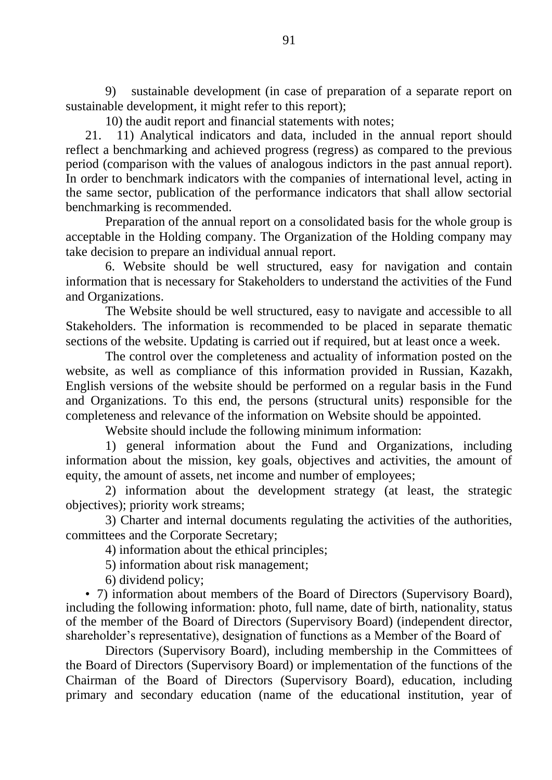9) sustainable development (in case of preparation of a separate report on sustainable development, it might refer to this report);

10) the audit report and financial statements with notes;

21. 11) Analytical indicators and data, included in the annual report should reflect a benchmarking and achieved progress (regress) as compared to the previous period (comparison with the values of analogous indictors in the past annual report). In order to benchmark indicators with the companies of international level, acting in the same sector, publication of the performance indicators that shall allow sectorial benchmarking is recommended.

Preparation of the annual report on a consolidated basis for the whole group is acceptable in the Holding company. The Organization of the Holding company may take decision to prepare an individual annual report.

6. Website should be well structured, easy for navigation and contain information that is necessary for Stakeholders to understand the activities of the Fund and Organizations.

The Website should be well structured, easy to navigate and accessible to all Stakeholders. The information is recommended to be placed in separate thematic sections of the website. Updating is carried out if required, but at least once a week.

The control over the completeness and actuality of information posted on the website, as well as compliance of this information provided in Russian, Kazakh, English versions of the website should be performed on a regular basis in the Fund and Organizations. To this end, the persons (structural units) responsible for the completeness and relevance of the information on Website should be appointed.

Website should include the following minimum information:

1) general information about the Fund and Organizations, including information about the mission, key goals, objectives and activities, the amount of equity, the amount of assets, net income and number of employees;

2) information about the development strategy (at least, the strategic objectives); priority work streams;

3) Charter and internal documents regulating the activities of the authorities, committees and the Corporate Secretary;

4) information about the ethical principles;

5) information about risk management;

6) dividend policy;

• 7) information about members of the Board of Directors (Supervisory Board), including the following information: photo, full name, date of birth, nationality, status of the member of the Board of Directors (Supervisory Board) (independent director, shareholder's representative), designation of functions as a Member of the Board of

Directors (Supervisory Board), including membership in the Committees of the Board of Directors (Supervisory Board) or implementation of the functions of the Chairman of the Board of Directors (Supervisory Board), education, including primary and secondary education (name of the educational institution, year of